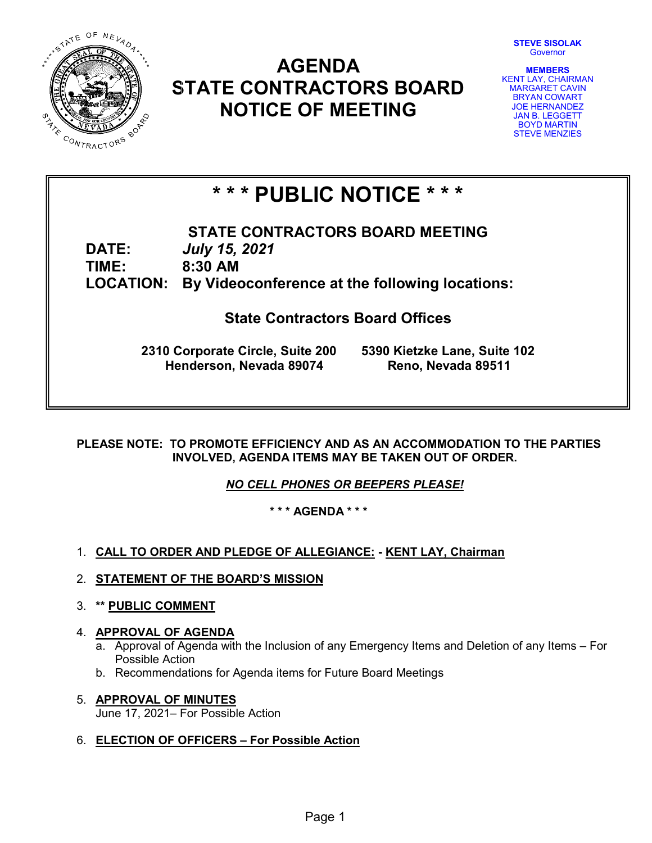

## **AGENDA STATE CONTRACTORS BOARD NOTICE OF MEETING**



**MEMBERS** KENT LAY, CHAIRMAN MARGARET CAVIN BRYAN COWART JOE HERNANDEZ JAN B. LEGGETT BOYD MARTIN STEVE MENZIES

# **\* \* \* PUBLIC NOTICE \* \* \***

**STATE CONTRACTORS BOARD MEETING DATE:** *July 15, 2021* **TIME: 8:30 AM LOCATION: By Videoconference at the following locations:**

**State Contractors Board Offices**

**2310 Corporate Circle, Suite 200 5390 Kietzke Lane, Suite 102 Henderson, Nevada 89074 Reno, Nevada 89511**

**PLEASE NOTE: TO PROMOTE EFFICIENCY AND AS AN ACCOMMODATION TO THE PARTIES INVOLVED, AGENDA ITEMS MAY BE TAKEN OUT OF ORDER.**

*NO CELL PHONES OR BEEPERS PLEASE!* 

**\* \* \* AGENDA \* \* \***

- 1. **CALL TO ORDER AND PLEDGE OF ALLEGIANCE: - KENT LAY, Chairman**
- 2. **STATEMENT OF THE BOARD'S MISSION**
- 3. **\*\* PUBLIC COMMENT**

## 4. **APPROVAL OF AGENDA**

- a. Approval of Agenda with the Inclusion of any Emergency Items and Deletion of any Items For Possible Action
- b. Recommendations for Agenda items for Future Board Meetings
- 5. **APPROVAL OF MINUTES** June 17, 2021– For Possible Action
- 6. **ELECTION OF OFFICERS – For Possible Action**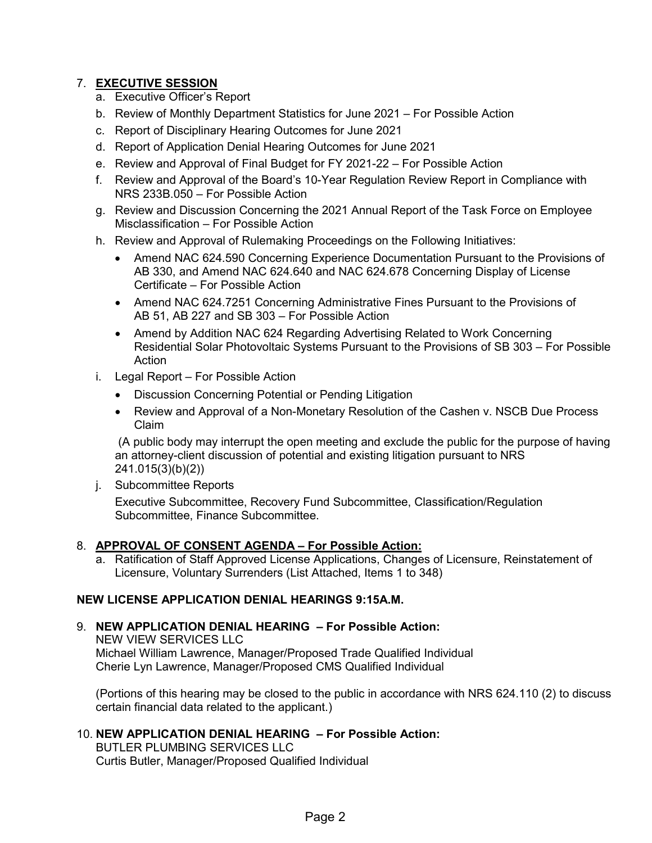## 7. **EXECUTIVE SESSION**

- a. Executive Officer's Report
- b. Review of Monthly Department Statistics for June 2021 For Possible Action
- c. Report of Disciplinary Hearing Outcomes for June 2021
- d. Report of Application Denial Hearing Outcomes for June 2021
- e. Review and Approval of Final Budget for FY 2021-22 For Possible Action
- f. Review and Approval of the Board's 10-Year Regulation Review Report in Compliance with NRS 233B.050 – For Possible Action
- g. Review and Discussion Concerning the 2021 Annual Report of the Task Force on Employee Misclassification – For Possible Action
- h. Review and Approval of Rulemaking Proceedings on the Following Initiatives:
	- Amend NAC 624.590 Concerning Experience Documentation Pursuant to the Provisions of AB 330, and Amend NAC 624.640 and NAC 624.678 Concerning Display of License Certificate – For Possible Action
	- Amend NAC 624.7251 Concerning Administrative Fines Pursuant to the Provisions of AB 51, AB 227 and SB 303 – For Possible Action
	- Amend by Addition NAC 624 Regarding Advertising Related to Work Concerning Residential Solar Photovoltaic Systems Pursuant to the Provisions of SB 303 – For Possible Action
- i. Legal Report For Possible Action
	- Discussion Concerning Potential or Pending Litigation
	- Review and Approval of a Non-Monetary Resolution of the Cashen v. NSCB Due Process Claim

(A public body may interrupt the open meeting and exclude the public for the purpose of having an attorney-client discussion of potential and existing litigation pursuant to NRS 241.015(3)(b)(2))

j. Subcommittee Reports

Executive Subcommittee, Recovery Fund Subcommittee, Classification/Regulation Subcommittee, Finance Subcommittee.

## 8. **APPROVAL OF CONSENT AGENDA – For Possible Action:**

a. Ratification of Staff Approved License Applications, Changes of Licensure, Reinstatement of Licensure, Voluntary Surrenders (List Attached, Items 1 to 348)

## **NEW LICENSE APPLICATION DENIAL HEARINGS 9:15A.M.**

9. **NEW APPLICATION DENIAL HEARING – For Possible Action:** NEW VIEW SERVICES LLC Michael William Lawrence, Manager/Proposed Trade Qualified Individual Cherie Lyn Lawrence, Manager/Proposed CMS Qualified Individual

(Portions of this hearing may be closed to the public in accordance with NRS 624.110 (2) to discuss certain financial data related to the applicant.)

## 10. **NEW APPLICATION DENIAL HEARING – For Possible Action:**

BUTLER PLUMBING SERVICES LLC Curtis Butler, Manager/Proposed Qualified Individual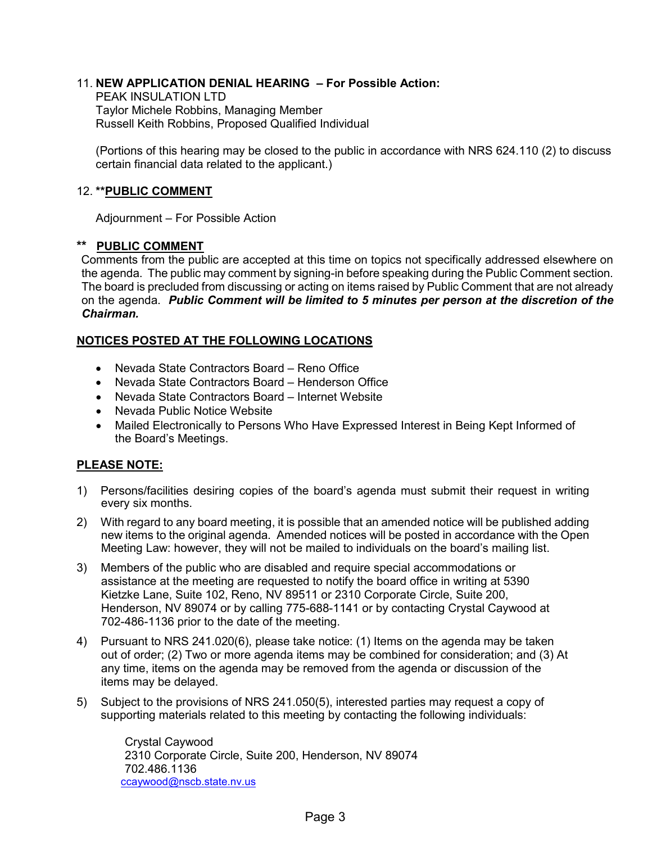## 11. **NEW APPLICATION DENIAL HEARING – For Possible Action:**

PEAK INSULATION LTD Taylor Michele Robbins, Managing Member Russell Keith Robbins, Proposed Qualified Individual

(Portions of this hearing may be closed to the public in accordance with NRS 624.110 (2) to discuss certain financial data related to the applicant.)

## 12. **\*\*PUBLIC COMMENT**

Adjournment – For Possible Action

## **\*\* PUBLIC COMMENT**

Comments from the public are accepted at this time on topics not specifically addressed elsewhere on the agenda. The public may comment by signing-in before speaking during the Public Comment section. The board is precluded from discussing or acting on items raised by Public Comment that are not already on the agenda. *Public Comment will be limited to 5 minutes per person at the discretion of the Chairman.*

## **NOTICES POSTED AT THE FOLLOWING LOCATIONS**

- Nevada State Contractors Board Reno Office
- Nevada State Contractors Board Henderson Office
- Nevada State Contractors Board Internet Website
- Nevada Public Notice Website
- Mailed Electronically to Persons Who Have Expressed Interest in Being Kept Informed of the Board's Meetings.

## **PLEASE NOTE:**

- 1) Persons/facilities desiring copies of the board's agenda must submit their request in writing every six months.
- 2) With regard to any board meeting, it is possible that an amended notice will be published adding new items to the original agenda. Amended notices will be posted in accordance with the Open Meeting Law: however, they will not be mailed to individuals on the board's mailing list.
- 3) Members of the public who are disabled and require special accommodations or assistance at the meeting are requested to notify the board office in writing at 5390 Kietzke Lane, Suite 102, Reno, NV 89511 or 2310 Corporate Circle, Suite 200, Henderson, NV 89074 or by calling 775-688-1141 or by contacting Crystal Caywood at 702-486-1136 prior to the date of the meeting.
- 4) Pursuant to NRS 241.020(6), please take notice: (1) Items on the agenda may be taken out of order; (2) Two or more agenda items may be combined for consideration; and (3) At any time, items on the agenda may be removed from the agenda or discussion of the items may be delayed.
- 5) Subject to the provisions of NRS 241.050(5), interested parties may request a copy of supporting materials related to this meeting by contacting the following individuals:

Crystal Caywood 2310 Corporate Circle, Suite 200, Henderson, NV 89074 702.486.1136 [ccaywood@nscb.state.nv.us](mailto:ccaywood@nscb.state.nv.us)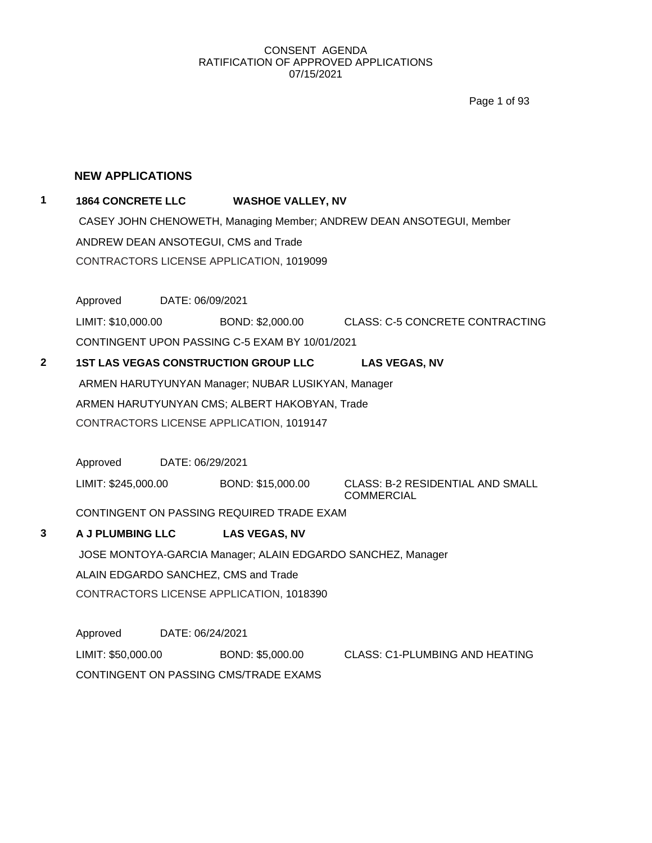Page 1 of 93

## **NEW APPLICATIONS**

## **1 1864 CONCRETE LLC WASHOE VALLEY, NV**

CASEY JOHN CHENOWETH, Managing Member; ANDREW DEAN ANSOTEGUI, Member ANDREW DEAN ANSOTEGUI, CMS and Trade CONTRACTORS LICENSE APPLICATION, 1019099

Approved DATE: 06/09/2021

LIMIT: \$10,000.00 BOND: \$2,000.00 CLASS: C-5 CONCRETE CONTRACTING CONTINGENT UPON PASSING C-5 EXAM BY 10/01/2021

**2 1ST LAS VEGAS CONSTRUCTION GROUP LLC LAS VEGAS, NV** ARMEN HARUTYUNYAN Manager; NUBAR LUSIKYAN, Manager ARMEN HARUTYUNYAN CMS; ALBERT HAKOBYAN, Trade CONTRACTORS LICENSE APPLICATION, 1019147

Approved DATE: 06/29/2021 LIMIT: \$245,000.00 BOND: \$15,000.00 CLASS: B-2 RESIDENTIAL AND SMALL **COMMERCIAL** 

CONTINGENT ON PASSING REQUIRED TRADE EXAM

## **3 A J PLUMBING LLC LAS VEGAS, NV** JOSE MONTOYA-GARCIA Manager; ALAIN EDGARDO SANCHEZ, Manager ALAIN EDGARDO SANCHEZ, CMS and Trade CONTRACTORS LICENSE APPLICATION, 1018390

Approved DATE: 06/24/2021 LIMIT: \$50,000.00 BOND: \$5,000.00 CLASS: C1-PLUMBING AND HEATING CONTINGENT ON PASSING CMS/TRADE EXAMS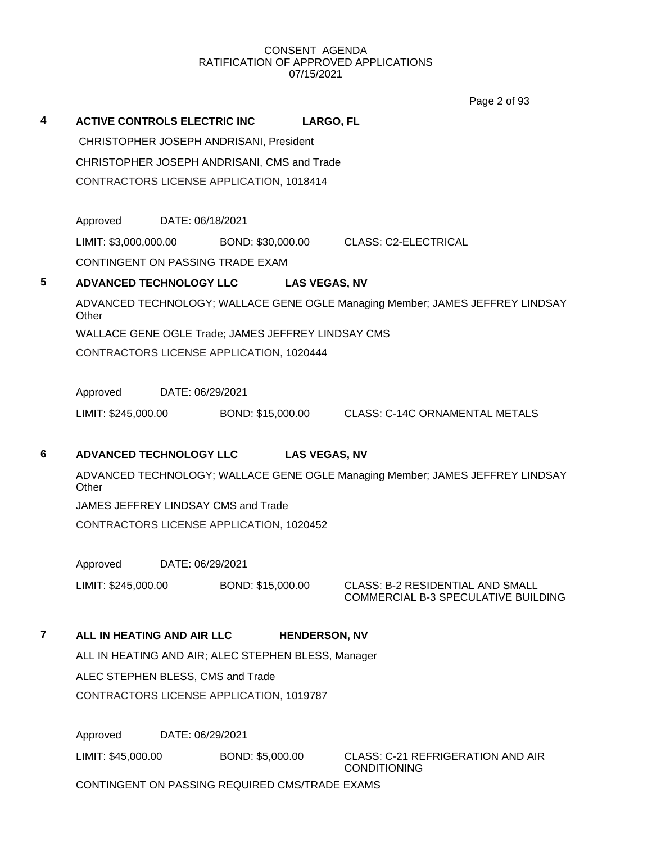Page 2 of 93

| 4 | <b>ACTIVE CONTROLS ELECTRIC INC</b>                |                      | LARGO, FL                                                                     |  |  |  |  |
|---|----------------------------------------------------|----------------------|-------------------------------------------------------------------------------|--|--|--|--|
|   | CHRISTOPHER JOSEPH ANDRISANI, President            |                      |                                                                               |  |  |  |  |
|   | CHRISTOPHER JOSEPH ANDRISANI, CMS and Trade        |                      |                                                                               |  |  |  |  |
|   | CONTRACTORS LICENSE APPLICATION, 1018414           |                      |                                                                               |  |  |  |  |
|   |                                                    |                      |                                                                               |  |  |  |  |
|   | Approved<br>DATE: 06/18/2021                       |                      |                                                                               |  |  |  |  |
|   |                                                    |                      | LIMIT: \$3,000,000.00 BOND: \$30,000.00 CLASS: C2-ELECTRICAL                  |  |  |  |  |
|   | CONTINGENT ON PASSING TRADE EXAM                   |                      |                                                                               |  |  |  |  |
| 5 | ADVANCED TECHNOLOGY LLC                            | <b>LAS VEGAS, NV</b> |                                                                               |  |  |  |  |
|   | Other                                              |                      | ADVANCED TECHNOLOGY; WALLACE GENE OGLE Managing Member; JAMES JEFFREY LINDSAY |  |  |  |  |
|   | WALLACE GENE OGLE Trade; JAMES JEFFREY LINDSAY CMS |                      |                                                                               |  |  |  |  |
|   | CONTRACTORS LICENSE APPLICATION, 1020444           |                      |                                                                               |  |  |  |  |
|   |                                                    |                      |                                                                               |  |  |  |  |
|   | Approved<br>DATE: 06/29/2021                       |                      |                                                                               |  |  |  |  |
|   | LIMIT: \$245,000.00                                |                      | BOND: \$15,000.00 CLASS: C-14C ORNAMENTAL METALS                              |  |  |  |  |
| 6 |                                                    |                      |                                                                               |  |  |  |  |
|   | ADVANCED TECHNOLOGY LLC                            | <b>LAS VEGAS, NV</b> |                                                                               |  |  |  |  |
|   | Other                                              |                      | ADVANCED TECHNOLOGY; WALLACE GENE OGLE Managing Member; JAMES JEFFREY LINDSAY |  |  |  |  |
|   | JAMES JEFFREY LINDSAY CMS and Trade                |                      |                                                                               |  |  |  |  |
|   | CONTRACTORS LICENSE APPLICATION, 1020452           |                      |                                                                               |  |  |  |  |
|   |                                                    |                      |                                                                               |  |  |  |  |

Approved DATE: 06/29/2021

LIMIT: \$245,000.00 BOND: \$15,000.00 CLASS: B-2 RESIDENTIAL AND SMALL

COMMERCIAL B-3 SPECULATIVE BUILDING

## **7 ALL IN HEATING AND AIR LLC HENDERSON, NV**

ALL IN HEATING AND AIR; ALEC STEPHEN BLESS, Manager ALEC STEPHEN BLESS, CMS and Trade CONTRACTORS LICENSE APPLICATION, 1019787

Approved DATE: 06/29/2021

LIMIT: \$45,000.00 BOND: \$5,000.00 CLASS: C-21 REFRIGERATION AND AIR

CONDITIONING

CONTINGENT ON PASSING REQUIRED CMS/TRADE EXAMS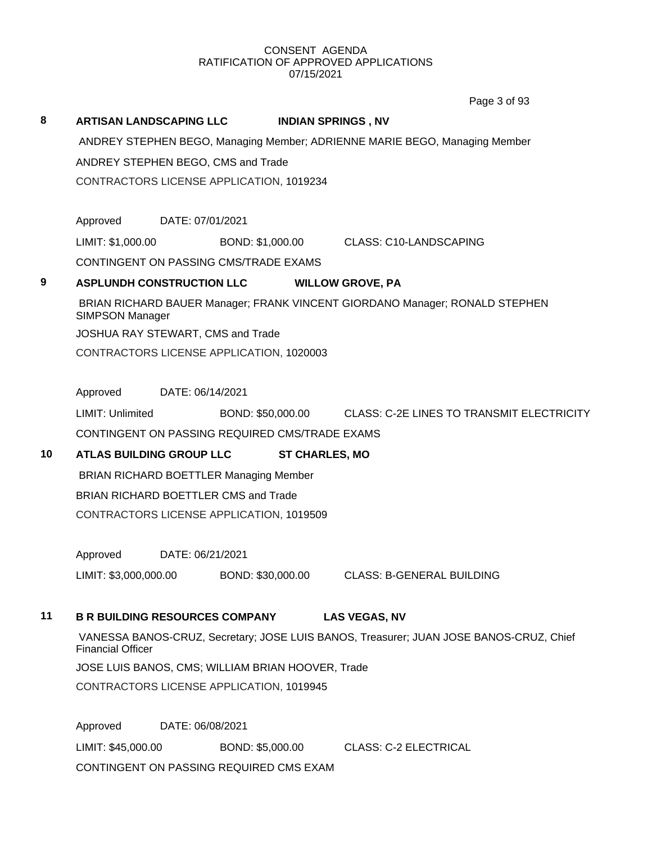Page 3 of 93

## **8 ARTISAN LANDSCAPING LLC INDIAN SPRINGS , NV** ANDREY STEPHEN BEGO, Managing Member; ADRIENNE MARIE BEGO, Managing Member ANDREY STEPHEN BEGO, CMS and Trade CONTRACTORS LICENSE APPLICATION, 1019234 Approved DATE: 07/01/2021 LIMIT: \$1,000.00 BOND: \$1,000.00 CLASS: C10-LANDSCAPING CONTINGENT ON PASSING CMS/TRADE EXAMS **9 ASPLUNDH CONSTRUCTION LLC WILLOW GROVE, PA** BRIAN RICHARD BAUER Manager; FRANK VINCENT GIORDANO Manager; RONALD STEPHEN SIMPSON Manager JOSHUA RAY STEWART, CMS and Trade CONTRACTORS LICENSE APPLICATION, 1020003 Approved DATE: 06/14/2021 LIMIT: Unlimited BOND: \$50,000.00 CLASS: C-2E LINES TO TRANSMIT ELECTRICITY CONTINGENT ON PASSING REQUIRED CMS/TRADE EXAMS **10 ATLAS BUILDING GROUP LLC ST CHARLES, MO** BRIAN RICHARD BOETTLER Managing Member BRIAN RICHARD BOETTLER CMS and Trade CONTRACTORS LICENSE APPLICATION, 1019509 Approved DATE: 06/21/2021 LIMIT: \$3,000,000.00 BOND: \$30,000.00 CLASS: B-GENERAL BUILDING **11 B R BUILDING RESOURCES COMPANY LAS VEGAS, NV** VANESSA BANOS-CRUZ, Secretary; JOSE LUIS BANOS, Treasurer; JUAN JOSE BANOS-CRUZ, Chief Financial Officer JOSE LUIS BANOS, CMS; WILLIAM BRIAN HOOVER, Trade

CONTRACTORS LICENSE APPLICATION, 1019945

Approved DATE: 06/08/2021 LIMIT: \$45,000.00 BOND: \$5,000.00 CLASS: C-2 ELECTRICAL CONTINGENT ON PASSING REQUIRED CMS EXAM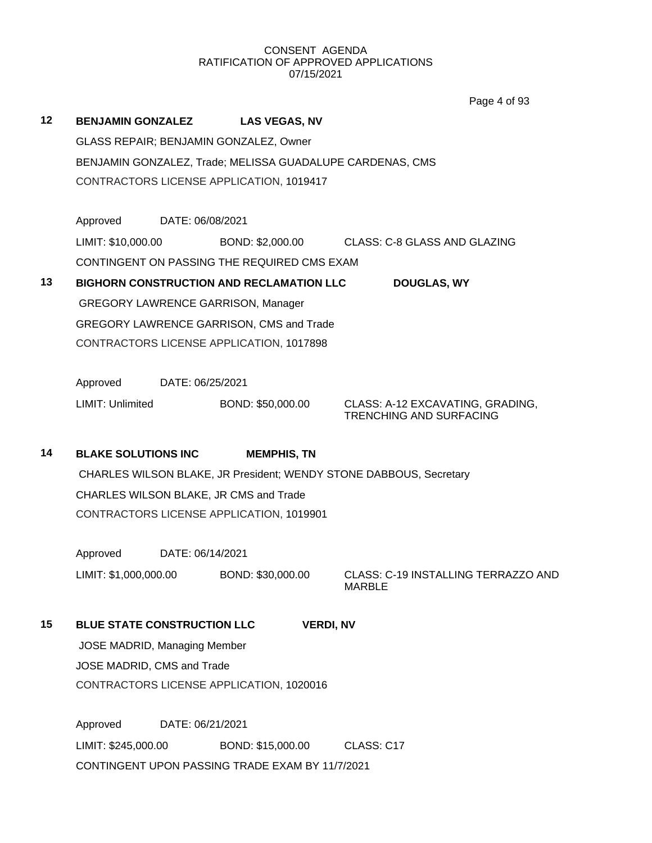|    |                                    |                                     |                                                           | Page 4 of 93                                                       |
|----|------------------------------------|-------------------------------------|-----------------------------------------------------------|--------------------------------------------------------------------|
| 12 | <b>BENJAMIN GONZALEZ</b>           |                                     | <b>LAS VEGAS, NV</b>                                      |                                                                    |
|    |                                    |                                     | GLASS REPAIR; BENJAMIN GONZALEZ, Owner                    |                                                                    |
|    |                                    |                                     | BENJAMIN GONZALEZ, Trade; MELISSA GUADALUPE CARDENAS, CMS |                                                                    |
|    |                                    |                                     | CONTRACTORS LICENSE APPLICATION, 1019417                  |                                                                    |
|    |                                    |                                     |                                                           |                                                                    |
|    | Approved                           | DATE: 06/08/2021                    |                                                           |                                                                    |
|    | LIMIT: \$10,000.00                 |                                     |                                                           | BOND: \$2,000.00 CLASS: C-8 GLASS AND GLAZING                      |
|    |                                    |                                     | CONTINGENT ON PASSING THE REQUIRED CMS EXAM               |                                                                    |
| 13 |                                    |                                     | <b>BIGHORN CONSTRUCTION AND RECLAMATION LLC</b>           | <b>DOUGLAS, WY</b>                                                 |
|    |                                    |                                     | <b>GREGORY LAWRENCE GARRISON, Manager</b>                 |                                                                    |
|    |                                    |                                     | GREGORY LAWRENCE GARRISON, CMS and Trade                  |                                                                    |
|    |                                    |                                     | CONTRACTORS LICENSE APPLICATION, 1017898                  |                                                                    |
|    | Approved                           | DATE: 06/25/2021                    |                                                           |                                                                    |
|    | <b>LIMIT: Unlimited</b>            |                                     | BOND: \$50,000.00                                         | CLASS: A-12 EXCAVATING, GRADING,<br><b>TRENCHING AND SURFACING</b> |
|    |                                    |                                     |                                                           |                                                                    |
| 14 | <b>BLAKE SOLUTIONS INC</b>         |                                     | <b>MEMPHIS, TN</b>                                        |                                                                    |
|    |                                    |                                     |                                                           | CHARLES WILSON BLAKE, JR President; WENDY STONE DABBOUS, Secretary |
|    |                                    |                                     | CHARLES WILSON BLAKE, JR CMS and Trade                    |                                                                    |
|    |                                    |                                     | CONTRACTORS LICENSE APPLICATION, 1019901                  |                                                                    |
|    | Approved                           | DATE: 06/14/2021                    |                                                           |                                                                    |
|    | LIMIT: \$1,000,000.00              |                                     | BOND: \$30,000.00                                         | CLASS: C-19 INSTALLING TERRAZZO AND<br><b>MARBLE</b>               |
| 15 | <b>BLUE STATE CONSTRUCTION LLC</b> |                                     |                                                           | <b>VERDI, NV</b>                                                   |
|    |                                    | <b>JOSE MADRID, Managing Member</b> |                                                           |                                                                    |
|    | JOSE MADRID, CMS and Trade         |                                     |                                                           |                                                                    |
|    |                                    |                                     | CONTRACTORS LICENSE APPLICATION, 1020016                  |                                                                    |
|    | Approved                           | DATE: 06/21/2021                    |                                                           |                                                                    |
|    |                                    |                                     |                                                           |                                                                    |

LIMIT: \$245,000.00 BOND: \$15,000.00 CLASS: C17 CONTINGENT UPON PASSING TRADE EXAM BY 11/7/2021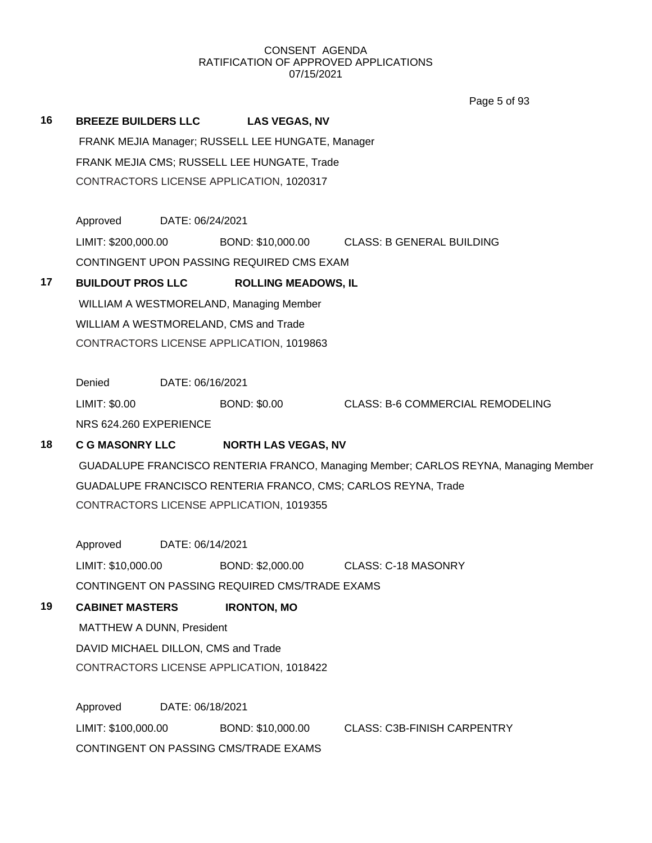Page 5 of 93

## **16 BREEZE BUILDERS LLC LAS VEGAS, NV** FRANK MEJIA Manager; RUSSELL LEE HUNGATE, Manager FRANK MEJIA CMS; RUSSELL LEE HUNGATE, Trade CONTRACTORS LICENSE APPLICATION, 1020317 Approved DATE: 06/24/2021

LIMIT: \$200,000.00 BOND: \$10,000.00 CLASS: B GENERAL BUILDING CONTINGENT UPON PASSING REQUIRED CMS EXAM

## **17 BUILDOUT PROS LLC ROLLING MEADOWS, IL**

WILLIAM A WESTMORELAND, Managing Member WILLIAM A WESTMORELAND, CMS and Trade CONTRACTORS LICENSE APPLICATION, 1019863

Denied DATE: 06/16/2021

LIMIT: \$0.00 BOND: \$0.00 CLASS: B-6 COMMERCIAL REMODELING NRS 624.260 EXPERIENCE

## **18 C G MASONRY LLC NORTH LAS VEGAS, NV**

GUADALUPE FRANCISCO RENTERIA FRANCO, Managing Member; CARLOS REYNA, Managing Member GUADALUPE FRANCISCO RENTERIA FRANCO, CMS; CARLOS REYNA, Trade CONTRACTORS LICENSE APPLICATION, 1019355

Approved DATE: 06/14/2021

LIMIT: \$10,000.00 BOND: \$2,000.00 CLASS: C-18 MASONRY

CONTINGENT ON PASSING REQUIRED CMS/TRADE EXAMS

## **19 CABINET MASTERS IRONTON, MO**

MATTHEW A DUNN, President DAVID MICHAEL DILLON, CMS and Trade CONTRACTORS LICENSE APPLICATION, 1018422

Approved DATE: 06/18/2021 LIMIT: \$100,000.00 BOND: \$10,000.00 CLASS: C3B-FINISH CARPENTRY CONTINGENT ON PASSING CMS/TRADE EXAMS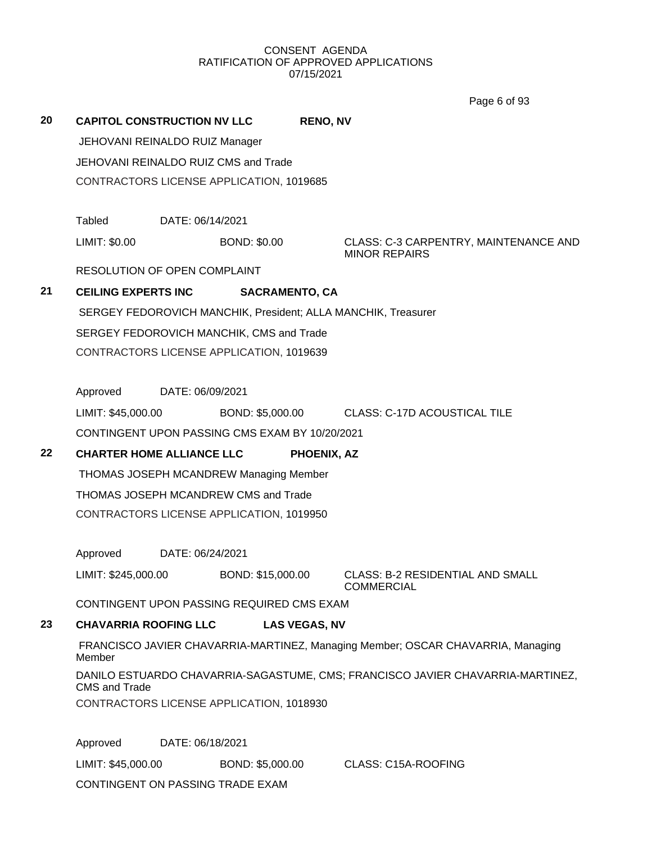Page 6 of 93

| 20 | <b>CAPITOL CONSTRUCTION NV LLC</b><br>JEHOVANI REINALDO RUIZ Manager |                  |                                                | <b>RENO, NV</b>      |                                                                                 |
|----|----------------------------------------------------------------------|------------------|------------------------------------------------|----------------------|---------------------------------------------------------------------------------|
|    |                                                                      |                  |                                                |                      |                                                                                 |
|    |                                                                      |                  | JEHOVANI REINALDO RUIZ CMS and Trade           |                      |                                                                                 |
|    |                                                                      |                  | CONTRACTORS LICENSE APPLICATION, 1019685       |                      |                                                                                 |
|    | Tabled                                                               | DATE: 06/14/2021 |                                                |                      |                                                                                 |
|    | LIMIT: \$0.00                                                        |                  | <b>BOND: \$0.00</b>                            |                      | CLASS: C-3 CARPENTRY, MAINTENANCE AND<br><b>MINOR REPAIRS</b>                   |
|    | <b>RESOLUTION OF OPEN COMPLAINT</b>                                  |                  |                                                |                      |                                                                                 |
| 21 | <b>CEILING EXPERTS INC</b>                                           |                  | <b>SACRAMENTO, CA</b>                          |                      |                                                                                 |
|    |                                                                      |                  |                                                |                      | SERGEY FEDOROVICH MANCHIK, President; ALLA MANCHIK, Treasurer                   |
|    |                                                                      |                  | SERGEY FEDOROVICH MANCHIK, CMS and Trade       |                      |                                                                                 |
|    |                                                                      |                  | CONTRACTORS LICENSE APPLICATION, 1019639       |                      |                                                                                 |
|    |                                                                      |                  |                                                |                      |                                                                                 |
|    | Approved                                                             | DATE: 06/09/2021 |                                                |                      |                                                                                 |
|    | LIMIT: \$45,000.00                                                   |                  | BOND: \$5,000.00                               |                      | <b>CLASS: C-17D ACOUSTICAL TILE</b>                                             |
|    |                                                                      |                  | CONTINGENT UPON PASSING CMS EXAM BY 10/20/2021 |                      |                                                                                 |
| 22 | <b>CHARTER HOME ALLIANCE LLC</b>                                     |                  |                                                | <b>PHOENIX, AZ</b>   |                                                                                 |
|    |                                                                      |                  | THOMAS JOSEPH MCANDREW Managing Member         |                      |                                                                                 |
|    |                                                                      |                  | THOMAS JOSEPH MCANDREW CMS and Trade           |                      |                                                                                 |
|    |                                                                      |                  | CONTRACTORS LICENSE APPLICATION, 1019950       |                      |                                                                                 |
|    |                                                                      |                  |                                                |                      |                                                                                 |
|    | Approved                                                             | DATE: 06/24/2021 |                                                |                      |                                                                                 |
|    | LIMIT: \$245,000.00                                                  |                  | BOND: \$15,000.00                              |                      | <b>CLASS: B-2 RESIDENTIAL AND SMALL</b><br><b>COMMERCIAL</b>                    |
|    |                                                                      |                  | CONTINGENT UPON PASSING REQUIRED CMS EXAM      |                      |                                                                                 |
| 23 | <b>CHAVARRIA ROOFING LLC</b>                                         |                  |                                                | <b>LAS VEGAS, NV</b> |                                                                                 |
|    | Member                                                               |                  |                                                |                      | FRANCISCO JAVIER CHAVARRIA-MARTINEZ, Managing Member; OSCAR CHAVARRIA, Managing |
|    | <b>CMS and Trade</b>                                                 |                  |                                                |                      | DANILO ESTUARDO CHAVARRIA-SAGASTUME, CMS; FRANCISCO JAVIER CHAVARRIA-MARTINEZ,  |
|    |                                                                      |                  | CONTRACTORS LICENSE APPLICATION, 1018930       |                      |                                                                                 |
|    | Approved                                                             | DATE: 06/18/2021 |                                                |                      |                                                                                 |
|    | LIMIT: \$45,000.00                                                   |                  | BOND: \$5,000.00                               |                      | CLASS: C15A-ROOFING                                                             |

CONTINGENT ON PASSING TRADE EXAM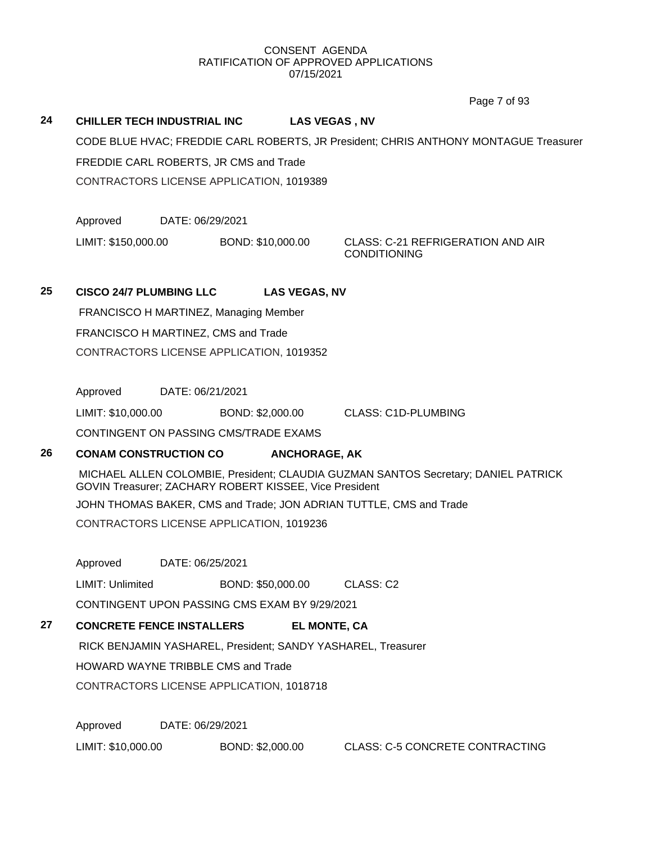Page 7 of 93

### **24 CHILLER TECH INDUSTRIAL INC LAS VEGAS , NV**

CODE BLUE HVAC; FREDDIE CARL ROBERTS, JR President; CHRIS ANTHONY MONTAGUE Treasurer FREDDIE CARL ROBERTS, JR CMS and Trade CONTRACTORS LICENSE APPLICATION, 1019389

Approved DATE: 06/29/2021

LIMIT: \$150,000.00 BOND: \$10,000.00 CLASS: C-21 REFRIGERATION AND AIR

CONDITIONING

## **25 CISCO 24/7 PLUMBING LLC LAS VEGAS, NV**

FRANCISCO H MARTINEZ, Managing Member FRANCISCO H MARTINEZ, CMS and Trade CONTRACTORS LICENSE APPLICATION, 1019352

Approved DATE: 06/21/2021

LIMIT: \$10,000.00 BOND: \$2,000.00 CLASS: C1D-PLUMBING

CONTINGENT ON PASSING CMS/TRADE EXAMS

## **26 CONAM CONSTRUCTION CO ANCHORAGE, AK**

MICHAEL ALLEN COLOMBIE, President; CLAUDIA GUZMAN SANTOS Secretary; DANIEL PATRICK GOVIN Treasurer; ZACHARY ROBERT KISSEE, Vice President

JOHN THOMAS BAKER, CMS and Trade; JON ADRIAN TUTTLE, CMS and Trade

CONTRACTORS LICENSE APPLICATION, 1019236

Approved DATE: 06/25/2021

LIMIT: Unlimited BOND: \$50,000.00 CLASS: C2

CONTINGENT UPON PASSING CMS EXAM BY 9/29/2021

## **27 CONCRETE FENCE INSTALLERS EL MONTE, CA**

RICK BENJAMIN YASHAREL, President; SANDY YASHAREL, Treasurer

HOWARD WAYNE TRIBBLE CMS and Trade

CONTRACTORS LICENSE APPLICATION, 1018718

Approved DATE: 06/29/2021

LIMIT: \$10,000.00 BOND: \$2,000.00 CLASS: C-5 CONCRETE CONTRACTING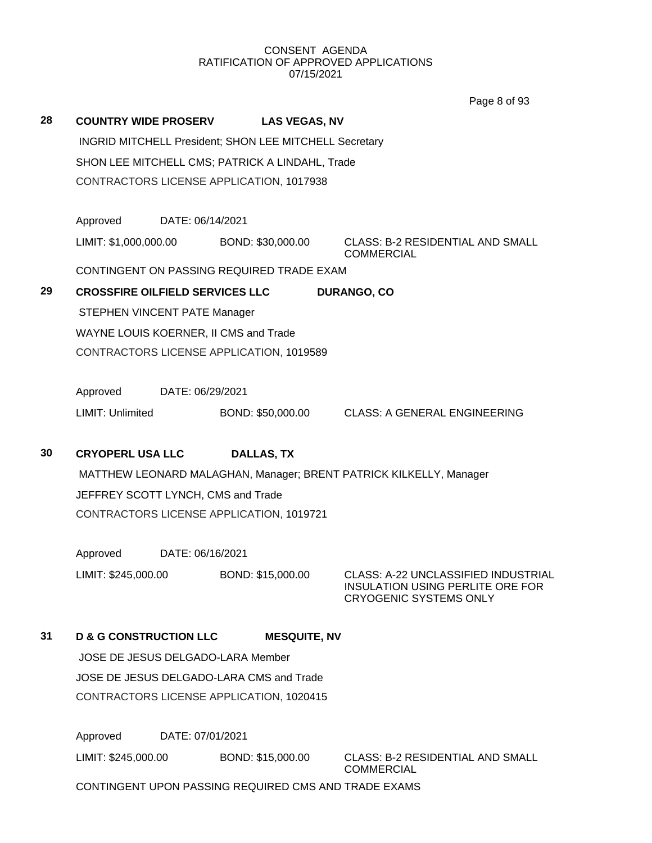Page 8 of 93

| 28 | <b>COUNTRY WIDE PROSERV</b>                                   |                                                 | <b>LAS VEGAS, NV</b>                      |                                                                                                                 |  |  |  |  |  |
|----|---------------------------------------------------------------|-------------------------------------------------|-------------------------------------------|-----------------------------------------------------------------------------------------------------------------|--|--|--|--|--|
|    | <b>INGRID MITCHELL President; SHON LEE MITCHELL Secretary</b> |                                                 |                                           |                                                                                                                 |  |  |  |  |  |
|    |                                                               | SHON LEE MITCHELL CMS; PATRICK A LINDAHL, Trade |                                           |                                                                                                                 |  |  |  |  |  |
|    |                                                               | CONTRACTORS LICENSE APPLICATION, 1017938        |                                           |                                                                                                                 |  |  |  |  |  |
|    |                                                               |                                                 |                                           |                                                                                                                 |  |  |  |  |  |
|    | Approved                                                      | DATE: 06/14/2021                                |                                           |                                                                                                                 |  |  |  |  |  |
|    | LIMIT: \$1,000,000.00                                         |                                                 | BOND: \$30,000.00                         | <b>CLASS: B-2 RESIDENTIAL AND SMALL</b><br><b>COMMERCIAL</b>                                                    |  |  |  |  |  |
|    |                                                               |                                                 | CONTINGENT ON PASSING REQUIRED TRADE EXAM |                                                                                                                 |  |  |  |  |  |
| 29 | <b>CROSSFIRE OILFIELD SERVICES LLC</b>                        |                                                 |                                           | <b>DURANGO, CO</b>                                                                                              |  |  |  |  |  |
|    |                                                               | STEPHEN VINCENT PATE Manager                    |                                           |                                                                                                                 |  |  |  |  |  |
|    |                                                               |                                                 | WAYNE LOUIS KOERNER, II CMS and Trade     |                                                                                                                 |  |  |  |  |  |
|    |                                                               |                                                 | CONTRACTORS LICENSE APPLICATION, 1019589  |                                                                                                                 |  |  |  |  |  |
|    |                                                               |                                                 |                                           |                                                                                                                 |  |  |  |  |  |
|    | Approved                                                      | DATE: 06/29/2021                                |                                           |                                                                                                                 |  |  |  |  |  |
|    | LIMIT: Unlimited                                              |                                                 | BOND: \$50,000.00                         | <b>CLASS: A GENERAL ENGINEERING</b>                                                                             |  |  |  |  |  |
|    |                                                               |                                                 |                                           |                                                                                                                 |  |  |  |  |  |
| 30 | <b>CRYOPERL USA LLC</b>                                       |                                                 | <b>DALLAS, TX</b>                         |                                                                                                                 |  |  |  |  |  |
|    |                                                               |                                                 |                                           | MATTHEW LEONARD MALAGHAN, Manager; BRENT PATRICK KILKELLY, Manager                                              |  |  |  |  |  |
|    | JEFFREY SCOTT LYNCH, CMS and Trade                            |                                                 |                                           |                                                                                                                 |  |  |  |  |  |
|    |                                                               |                                                 | CONTRACTORS LICENSE APPLICATION, 1019721  |                                                                                                                 |  |  |  |  |  |
|    |                                                               |                                                 |                                           |                                                                                                                 |  |  |  |  |  |
|    | Approved                                                      | DATE: 06/16/2021                                |                                           |                                                                                                                 |  |  |  |  |  |
|    | LIMIT: \$245,000.00                                           |                                                 | BOND: \$15,000.00                         | CLASS: A-22 UNCLASSIFIED INDUSTRIAL<br><b>INSULATION USING PERLITE ORE FOR</b><br><b>CRYOGENIC SYSTEMS ONLY</b> |  |  |  |  |  |
| 31 | <b>D &amp; G CONSTRUCTION LLC</b>                             |                                                 | <b>MESQUITE, NV</b>                       |                                                                                                                 |  |  |  |  |  |
|    |                                                               |                                                 | JOSE DE JESUS DELGADO-LARA Member         |                                                                                                                 |  |  |  |  |  |
|    |                                                               |                                                 | JOSE DE JESUS DELGADO-LARA CMS and Trade  |                                                                                                                 |  |  |  |  |  |
|    |                                                               |                                                 | CONTRACTORS LICENSE APPLICATION, 1020415  |                                                                                                                 |  |  |  |  |  |
|    |                                                               |                                                 |                                           |                                                                                                                 |  |  |  |  |  |
|    | Approved                                                      | DATE: 07/01/2021                                |                                           |                                                                                                                 |  |  |  |  |  |

LIMIT: \$245,000.00 BOND: \$15,000.00 CLASS: B-2 RESIDENTIAL AND SMALL

COMMERCIAL

CONTINGENT UPON PASSING REQUIRED CMS AND TRADE EXAMS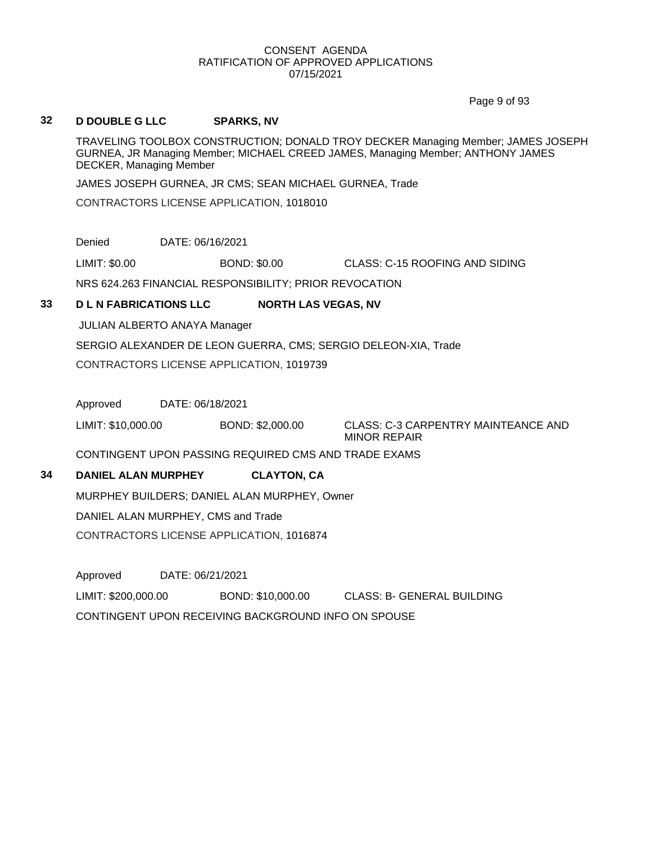Page 9 of 93

### **32 D DOUBLE G LLC SPARKS, NV**

TRAVELING TOOLBOX CONSTRUCTION; DONALD TROY DECKER Managing Member; JAMES JOSEPH GURNEA, JR Managing Member; MICHAEL CREED JAMES, Managing Member; ANTHONY JAMES DECKER, Managing Member

JAMES JOSEPH GURNEA, JR CMS; SEAN MICHAEL GURNEA, Trade

CONTRACTORS LICENSE APPLICATION, 1018010

Denied DATE: 06/16/2021

LIMIT: \$0.00 BOND: \$0.00 CLASS: C-15 ROOFING AND SIDING

NRS 624.263 FINANCIAL RESPONSIBILITY; PRIOR REVOCATION

## **33 D L N FABRICATIONS LLC NORTH LAS VEGAS, NV**

JULIAN ALBERTO ANAYA Manager

SERGIO ALEXANDER DE LEON GUERRA, CMS; SERGIO DELEON-XIA, Trade

CONTRACTORS LICENSE APPLICATION, 1019739

Approved DATE: 06/18/2021

LIMIT: \$10,000.00 BOND: \$2,000.00 CLASS: C-3 CARPENTRY MAINTEANCE AND MINOR REPAIR

CONTINGENT UPON PASSING REQUIRED CMS AND TRADE EXAMS

## **34 DANIEL ALAN MURPHEY CLAYTON, CA**

MURPHEY BUILDERS; DANIEL ALAN MURPHEY, Owner

DANIEL ALAN MURPHEY, CMS and Trade

CONTRACTORS LICENSE APPLICATION, 1016874

Approved DATE: 06/21/2021

LIMIT: \$200,000.00 BOND: \$10,000.00 CLASS: B- GENERAL BUILDING CONTINGENT UPON RECEIVING BACKGROUND INFO ON SPOUSE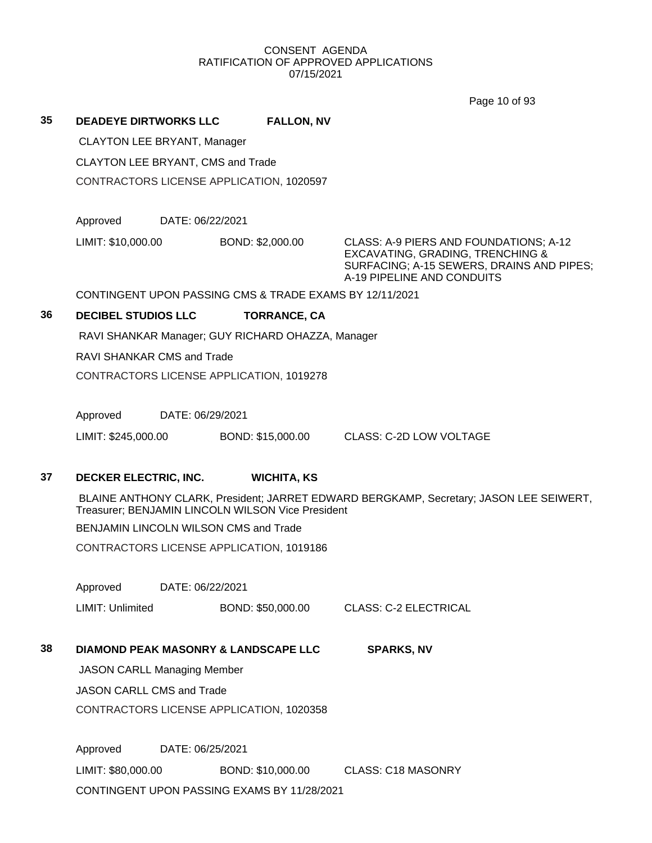Page 10 of 93

## **35 DEADEYE DIRTWORKS LLC FALLON, NV**

CLAYTON LEE BRYANT, Manager

CLAYTON LEE BRYANT, CMS and Trade

CONTRACTORS LICENSE APPLICATION, 1020597

Approved DATE: 06/22/2021

LIMIT: \$10,000.00 BOND: \$2,000.00 CLASS: A-9 PIERS AND FOUNDATIONS; A-12

EXCAVATING, GRADING, TRENCHING & SURFACING; A-15 SEWERS, DRAINS AND PIPES; A-19 PIPELINE AND CONDUITS

CONTINGENT UPON PASSING CMS & TRADE EXAMS BY 12/11/2021

## **36 DECIBEL STUDIOS LLC TORRANCE, CA**

RAVI SHANKAR Manager; GUY RICHARD OHAZZA, Manager

RAVI SHANKAR CMS and Trade

CONTRACTORS LICENSE APPLICATION, 1019278

Approved DATE: 06/29/2021

LIMIT: \$245,000.00 BOND: \$15,000.00 CLASS: C-2D LOW VOLTAGE

## **37 DECKER ELECTRIC, INC. WICHITA, KS**

BLAINE ANTHONY CLARK, President; JARRET EDWARD BERGKAMP, Secretary; JASON LEE SEIWERT, Treasurer; BENJAMIN LINCOLN WILSON Vice President

BENJAMIN LINCOLN WILSON CMS and Trade

CONTRACTORS LICENSE APPLICATION, 1019186

Approved DATE: 06/22/2021

LIMIT: Unlimited BOND: \$50,000.00 CLASS: C-2 ELECTRICAL

## **38 DIAMOND PEAK MASONRY & LANDSCAPE LLC SPARKS, NV**

JASON CARLL Managing Member

JASON CARLL CMS and Trade

CONTRACTORS LICENSE APPLICATION, 1020358

Approved DATE: 06/25/2021 LIMIT: \$80,000.00 BOND: \$10,000.00 CLASS: C18 MASONRY CONTINGENT UPON PASSING EXAMS BY 11/28/2021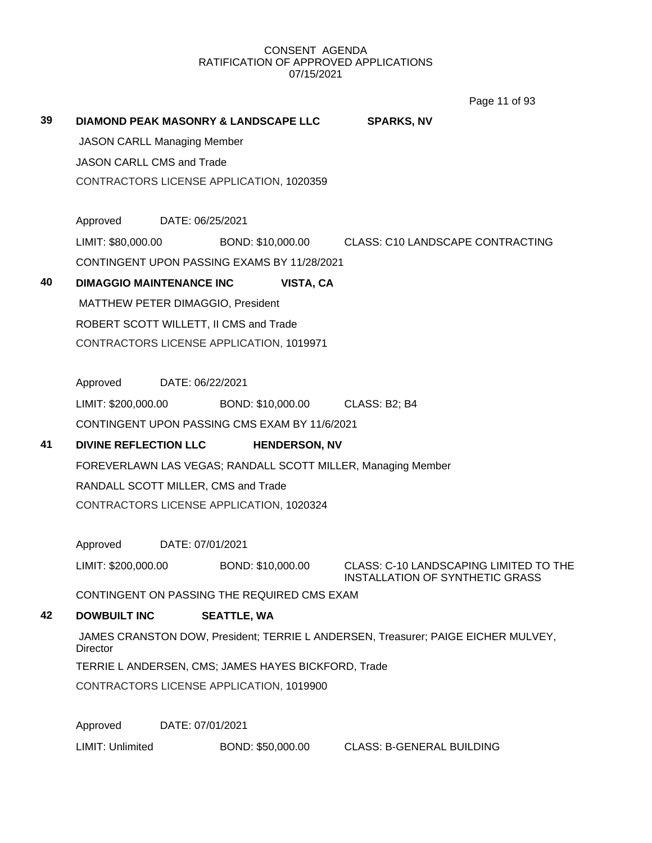Page 11 of 93

| 39 | <b>DIAMOND PEAK MASONRY &amp; LANDSCAPE LLC</b>                                               |                  |                    |                      | <b>SPARKS, NV</b>                                                                |  |  |
|----|-----------------------------------------------------------------------------------------------|------------------|--------------------|----------------------|----------------------------------------------------------------------------------|--|--|
|    | <b>JASON CARLL Managing Member</b>                                                            |                  |                    |                      |                                                                                  |  |  |
|    | <b>JASON CARLL CMS and Trade</b>                                                              |                  |                    |                      |                                                                                  |  |  |
|    | CONTRACTORS LICENSE APPLICATION, 1020359                                                      |                  |                    |                      |                                                                                  |  |  |
|    | Approved                                                                                      | DATE: 06/25/2021 |                    |                      |                                                                                  |  |  |
|    | LIMIT: \$80,000.00                                                                            |                  |                    |                      | BOND: \$10,000.00 CLASS: C10 LANDSCAPE CONTRACTING                               |  |  |
|    | CONTINGENT UPON PASSING EXAMS BY 11/28/2021                                                   |                  |                    |                      |                                                                                  |  |  |
| 40 | <b>DIMAGGIO MAINTENANCE INC</b>                                                               |                  |                    | VISTA, CA            |                                                                                  |  |  |
|    | MATTHEW PETER DIMAGGIO, President                                                             |                  |                    |                      |                                                                                  |  |  |
|    | ROBERT SCOTT WILLETT, II CMS and Trade                                                        |                  |                    |                      |                                                                                  |  |  |
|    | CONTRACTORS LICENSE APPLICATION, 1019971                                                      |                  |                    |                      |                                                                                  |  |  |
|    |                                                                                               |                  |                    |                      |                                                                                  |  |  |
|    | Approved                                                                                      | DATE: 06/22/2021 |                    |                      |                                                                                  |  |  |
|    | LIMIT: \$200,000.00                                                                           |                  |                    | BOND: \$10,000.00    | CLASS: B2; B4                                                                    |  |  |
|    | CONTINGENT UPON PASSING CMS EXAM BY 11/6/2021                                                 |                  |                    |                      |                                                                                  |  |  |
| 41 | <b>DIVINE REFLECTION LLC</b>                                                                  |                  |                    | <b>HENDERSON, NV</b> |                                                                                  |  |  |
|    |                                                                                               |                  |                    |                      | FOREVERLAWN LAS VEGAS; RANDALL SCOTT MILLER, Managing Member                     |  |  |
|    | RANDALL SCOTT MILLER, CMS and Trade                                                           |                  |                    |                      |                                                                                  |  |  |
|    | CONTRACTORS LICENSE APPLICATION, 1020324                                                      |                  |                    |                      |                                                                                  |  |  |
|    |                                                                                               |                  |                    |                      |                                                                                  |  |  |
|    | Approved                                                                                      | DATE: 07/01/2021 |                    |                      |                                                                                  |  |  |
|    | LIMIT: \$200,000.00                                                                           |                  | BOND: \$10,000.00  |                      | CLASS: C-10 LANDSCAPING LIMITED TO THE<br><b>INSTALLATION OF SYNTHETIC GRASS</b> |  |  |
|    | CONTINGENT ON PASSING THE REQUIRED CMS EXAM                                                   |                  |                    |                      |                                                                                  |  |  |
| 42 | <b>DOWBUILT INC</b>                                                                           |                  | <b>SEATTLE, WA</b> |                      |                                                                                  |  |  |
|    | JAMES CRANSTON DOW, President; TERRIE L ANDERSEN, Treasurer; PAIGE EICHER MULVEY,<br>Director |                  |                    |                      |                                                                                  |  |  |
|    | TERRIE L ANDERSEN, CMS; JAMES HAYES BICKFORD, Trade                                           |                  |                    |                      |                                                                                  |  |  |
|    | CONTRACTORS LICENSE APPLICATION, 1019900                                                      |                  |                    |                      |                                                                                  |  |  |
|    |                                                                                               |                  |                    |                      |                                                                                  |  |  |

Approved DATE: 07/01/2021

LIMIT: Unlimited BOND: \$50,000.00 CLASS: B-GENERAL BUILDING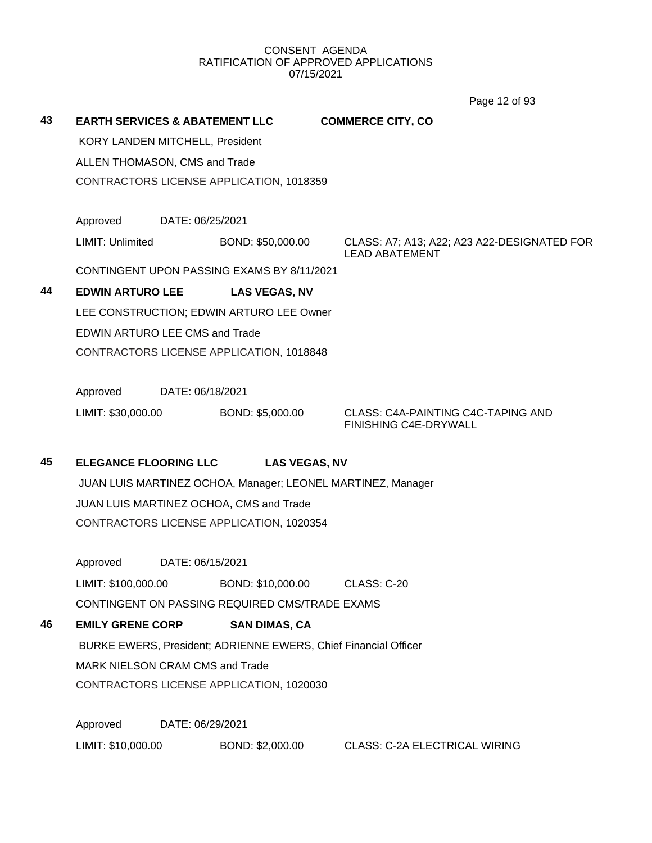Page 12 of 93

| 43 | <b>EARTH SERVICES &amp; ABATEMENT LLC</b><br>KORY LANDEN MITCHELL, President<br>ALLEN THOMASON, CMS and Trade |                  | CONTRACTORS LICENSE APPLICATION, 1018359                        | <b>COMMERCE CITY, CO</b>                                             |
|----|---------------------------------------------------------------------------------------------------------------|------------------|-----------------------------------------------------------------|----------------------------------------------------------------------|
|    | Approved                                                                                                      | DATE: 06/25/2021 |                                                                 |                                                                      |
|    | LIMIT: Unlimited                                                                                              |                  | BOND: \$50,000.00                                               | CLASS: A7; A13; A22; A23 A22-DESIGNATED FOR<br><b>LEAD ABATEMENT</b> |
|    |                                                                                                               |                  | CONTINGENT UPON PASSING EXAMS BY 8/11/2021                      |                                                                      |
| 44 | <b>EDWIN ARTURO LEE</b>                                                                                       |                  | <b>LAS VEGAS, NV</b>                                            |                                                                      |
|    |                                                                                                               |                  | LEE CONSTRUCTION; EDWIN ARTURO LEE Owner                        |                                                                      |
|    | EDWIN ARTURO LEE CMS and Trade                                                                                |                  |                                                                 |                                                                      |
|    |                                                                                                               |                  | CONTRACTORS LICENSE APPLICATION, 1018848                        |                                                                      |
|    | Approved                                                                                                      | DATE: 06/18/2021 |                                                                 |                                                                      |
|    | LIMIT: \$30,000.00                                                                                            |                  | BOND: \$5,000.00                                                | CLASS: C4A-PAINTING C4C-TAPING AND<br>FINISHING C4E-DRYWALL          |
| 45 | <b>ELEGANCE FLOORING LLC</b>                                                                                  |                  | <b>LAS VEGAS, NV</b>                                            |                                                                      |
|    |                                                                                                               |                  | JUAN LUIS MARTINEZ OCHOA, Manager; LEONEL MARTINEZ, Manager     |                                                                      |
|    |                                                                                                               |                  | JUAN LUIS MARTINEZ OCHOA, CMS and Trade                         |                                                                      |
|    |                                                                                                               |                  | CONTRACTORS LICENSE APPLICATION, 1020354                        |                                                                      |
|    | Approved                                                                                                      | DATE: 06/15/2021 |                                                                 |                                                                      |
|    |                                                                                                               |                  | LIMIT: \$100,000.00 BOND: \$10,000.00 CLASS: C-20               |                                                                      |
|    |                                                                                                               |                  | CONTINGENT ON PASSING REQUIRED CMS/TRADE EXAMS                  |                                                                      |
| 46 | <b>EMILY GRENE CORP</b>                                                                                       |                  | <b>SAN DIMAS, CA</b>                                            |                                                                      |
|    |                                                                                                               |                  | BURKE EWERS, President; ADRIENNE EWERS, Chief Financial Officer |                                                                      |
|    | <b>MARK NIELSON CRAM CMS and Trade</b>                                                                        |                  |                                                                 |                                                                      |
|    |                                                                                                               |                  | CONTRACTORS LICENSE APPLICATION, 1020030                        |                                                                      |
|    | Approved                                                                                                      | DATE: 06/29/2021 |                                                                 |                                                                      |
|    | LIMIT: \$10,000.00                                                                                            |                  | BOND: \$2,000.00                                                | <b>CLASS: C-2A ELECTRICAL WIRING</b>                                 |
|    |                                                                                                               |                  |                                                                 |                                                                      |
|    |                                                                                                               |                  |                                                                 |                                                                      |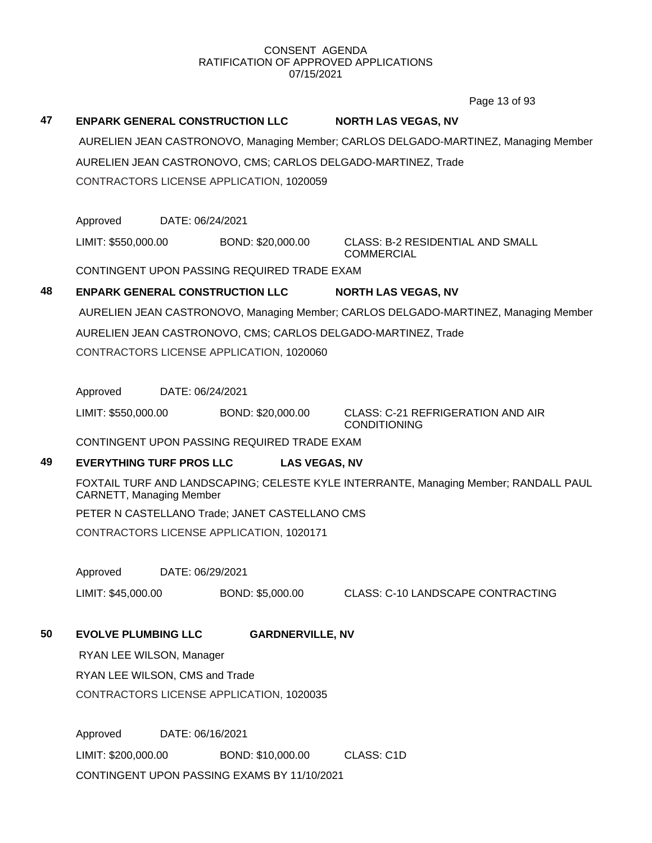Page 13 of 93

## **47 ENPARK GENERAL CONSTRUCTION LLC NORTH LAS VEGAS, NV** AURELIEN JEAN CASTRONOVO, Managing Member; CARLOS DELGADO-MARTINEZ, Managing Member AURELIEN JEAN CASTRONOVO, CMS; CARLOS DELGADO-MARTINEZ, Trade CONTRACTORS LICENSE APPLICATION, 1020059 Approved DATE: 06/24/2021 LIMIT: \$550,000.00 BOND: \$20,000.00 CLASS: B-2 RESIDENTIAL AND SMALL **COMMERCIAL** CONTINGENT UPON PASSING REQUIRED TRADE EXAM **48 ENPARK GENERAL CONSTRUCTION LLC NORTH LAS VEGAS, NV** AURELIEN JEAN CASTRONOVO, Managing Member; CARLOS DELGADO-MARTINEZ, Managing Member AURELIEN JEAN CASTRONOVO, CMS; CARLOS DELGADO-MARTINEZ, Trade CONTRACTORS LICENSE APPLICATION, 1020060 Approved DATE: 06/24/2021 LIMIT: \$550,000.00 BOND: \$20,000.00 CLASS: C-21 REFRIGERATION AND AIR CONDITIONING CONTINGENT UPON PASSING REQUIRED TRADE EXAM **49 EVERYTHING TURF PROS LLC LAS VEGAS, NV** FOXTAIL TURF AND LANDSCAPING; CELESTE KYLE INTERRANTE, Managing Member; RANDALL PAUL CARNETT, Managing Member PETER N CASTELLANO Trade; JANET CASTELLANO CMS CONTRACTORS LICENSE APPLICATION, 1020171 Approved DATE: 06/29/2021 LIMIT: \$45,000.00 BOND: \$5,000.00 CLASS: C-10 LANDSCAPE CONTRACTING **50 EVOLVE PLUMBING LLC GARDNERVILLE, NV** RYAN LEE WILSON, Manager RYAN LEE WILSON, CMS and Trade CONTRACTORS LICENSE APPLICATION, 1020035 Approved DATE: 06/16/2021 LIMIT: \$200,000.00 BOND: \$10,000.00 CLASS: C1D CONTINGENT UPON PASSING EXAMS BY 11/10/2021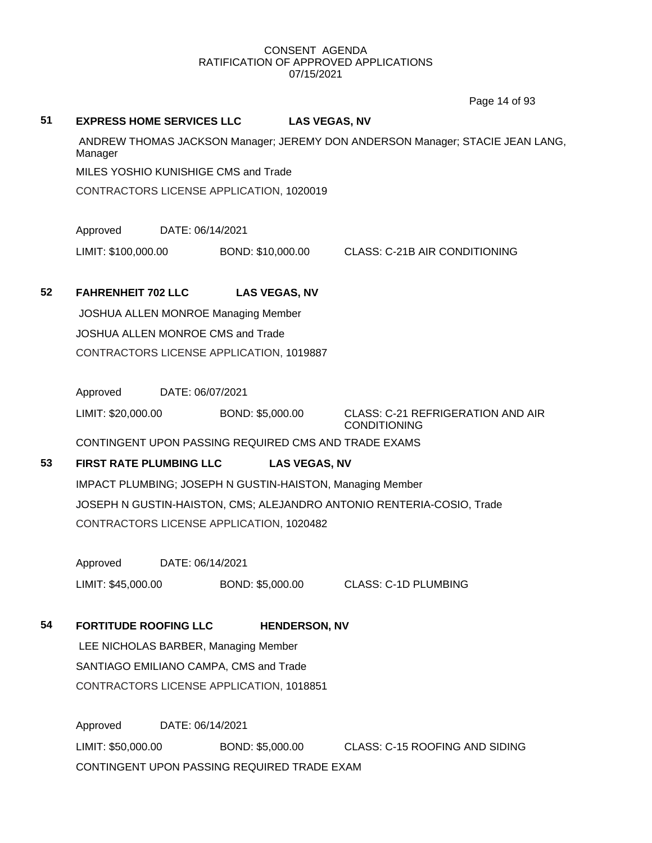Page 14 of 93

## **51 EXPRESS HOME SERVICES LLC LAS VEGAS, NV**

ANDREW THOMAS JACKSON Manager; JEREMY DON ANDERSON Manager; STACIE JEAN LANG, Manager MILES YOSHIO KUNISHIGE CMS and Trade

CONTRACTORS LICENSE APPLICATION, 1020019

Approved DATE: 06/14/2021

LIMIT: \$100,000.00 BOND: \$10,000.00 CLASS: C-21B AIR CONDITIONING

## **52 FAHRENHEIT 702 LLC LAS VEGAS, NV**

JOSHUA ALLEN MONROE Managing Member JOSHUA ALLEN MONROE CMS and Trade CONTRACTORS LICENSE APPLICATION, 1019887

Approved DATE: 06/07/2021

LIMIT: \$20,000.00 BOND: \$5,000.00 CLASS: C-21 REFRIGERATION AND AIR CONDITIONING

CONTINGENT UPON PASSING REQUIRED CMS AND TRADE EXAMS

## **53 FIRST RATE PLUMBING LLC LAS VEGAS, NV**

IMPACT PLUMBING; JOSEPH N GUSTIN-HAISTON, Managing Member JOSEPH N GUSTIN-HAISTON, CMS; ALEJANDRO ANTONIO RENTERIA-COSIO, Trade CONTRACTORS LICENSE APPLICATION, 1020482

Approved DATE: 06/14/2021

LIMIT: \$45,000.00 BOND: \$5,000.00 CLASS: C-1D PLUMBING

**54 FORTITUDE ROOFING LLC HENDERSON, NV**

LEE NICHOLAS BARBER, Managing Member SANTIAGO EMILIANO CAMPA, CMS and Trade CONTRACTORS LICENSE APPLICATION, 1018851

Approved DATE: 06/14/2021 LIMIT: \$50,000.00 BOND: \$5,000.00 CLASS: C-15 ROOFING AND SIDING CONTINGENT UPON PASSING REQUIRED TRADE EXAM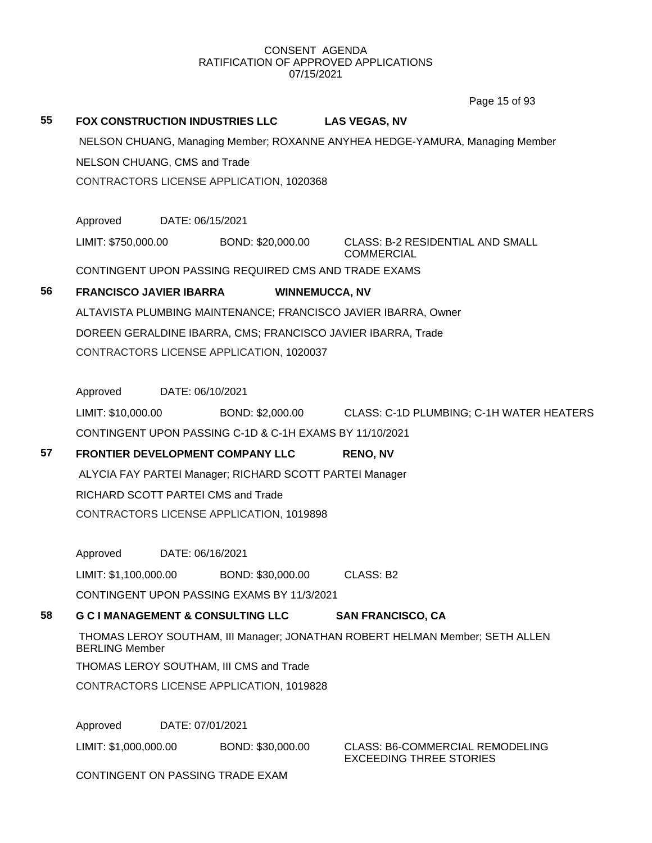Page 15 of 93

| 55 |                                                              |                                                         |                                                                              |  |  |  |  |
|----|--------------------------------------------------------------|---------------------------------------------------------|------------------------------------------------------------------------------|--|--|--|--|
|    | FOX CONSTRUCTION INDUSTRIES LLC                              |                                                         | <b>LAS VEGAS, NV</b>                                                         |  |  |  |  |
|    |                                                              |                                                         | NELSON CHUANG, Managing Member; ROXANNE ANYHEA HEDGE-YAMURA, Managing Member |  |  |  |  |
|    | NELSON CHUANG, CMS and Trade                                 |                                                         |                                                                              |  |  |  |  |
|    | CONTRACTORS LICENSE APPLICATION, 1020368                     |                                                         |                                                                              |  |  |  |  |
|    |                                                              |                                                         |                                                                              |  |  |  |  |
|    | Approved                                                     | DATE: 06/15/2021                                        |                                                                              |  |  |  |  |
|    | LIMIT: \$750,000.00                                          | BOND: \$20,000.00                                       | <b>CLASS: B-2 RESIDENTIAL AND SMALL</b><br><b>COMMERCIAL</b>                 |  |  |  |  |
|    | CONTINGENT UPON PASSING REQUIRED CMS AND TRADE EXAMS         |                                                         |                                                                              |  |  |  |  |
| 56 | <b>FRANCISCO JAVIER IBARRA</b>                               | <b>WINNEMUCCA, NV</b>                                   |                                                                              |  |  |  |  |
|    |                                                              |                                                         | ALTAVISTA PLUMBING MAINTENANCE; FRANCISCO JAVIER IBARRA, Owner               |  |  |  |  |
|    | DOREEN GERALDINE IBARRA, CMS; FRANCISCO JAVIER IBARRA, Trade |                                                         |                                                                              |  |  |  |  |
|    | CONTRACTORS LICENSE APPLICATION, 1020037                     |                                                         |                                                                              |  |  |  |  |
|    |                                                              |                                                         |                                                                              |  |  |  |  |
|    | Approved<br>DATE: 06/10/2021                                 |                                                         |                                                                              |  |  |  |  |
|    | LIMIT: \$10,000.00                                           | BOND: \$2,000.00                                        | CLASS: C-1D PLUMBING; C-1H WATER HEATERS                                     |  |  |  |  |
|    | CONTINGENT UPON PASSING C-1D & C-1H EXAMS BY 11/10/2021      |                                                         |                                                                              |  |  |  |  |
| 57 | FRONTIER DEVELOPMENT COMPANY LLC                             |                                                         | <b>RENO, NV</b>                                                              |  |  |  |  |
|    |                                                              | ALYCIA FAY PARTEI Manager; RICHARD SCOTT PARTEI Manager |                                                                              |  |  |  |  |
|    |                                                              |                                                         |                                                                              |  |  |  |  |
|    | RICHARD SCOTT PARTEI CMS and Trade                           |                                                         |                                                                              |  |  |  |  |
|    | CONTRACTORS LICENSE APPLICATION, 1019898                     |                                                         |                                                                              |  |  |  |  |
|    |                                                              |                                                         |                                                                              |  |  |  |  |
|    | Approved                                                     | DATE: 06/16/2021                                        |                                                                              |  |  |  |  |
|    | LIMIT: \$1,100,000.00                                        | BOND: \$30,000.00                                       | CLASS: B2                                                                    |  |  |  |  |
|    | CONTINGENT UPON PASSING EXAMS BY 11/3/2021                   |                                                         |                                                                              |  |  |  |  |
| 58 | <b>G C I MANAGEMENT &amp; CONSULTING LLC</b>                 |                                                         | <b>SAN FRANCISCO, CA</b>                                                     |  |  |  |  |
|    | <b>BERLING Member</b>                                        |                                                         | THOMAS LEROY SOUTHAM, III Manager; JONATHAN ROBERT HELMAN Member; SETH ALLEN |  |  |  |  |
|    | THOMAS LEROY SOUTHAM, III CMS and Trade                      |                                                         |                                                                              |  |  |  |  |
|    | CONTRACTORS LICENSE APPLICATION, 1019828                     |                                                         |                                                                              |  |  |  |  |
|    | Approved                                                     | DATE: 07/01/2021                                        |                                                                              |  |  |  |  |
|    | LIMIT: \$1,000,000.00                                        | BOND: \$30,000.00                                       | <b>CLASS: B6-COMMERCIAL REMODELING</b><br><b>EXCEEDING THREE STORIES</b>     |  |  |  |  |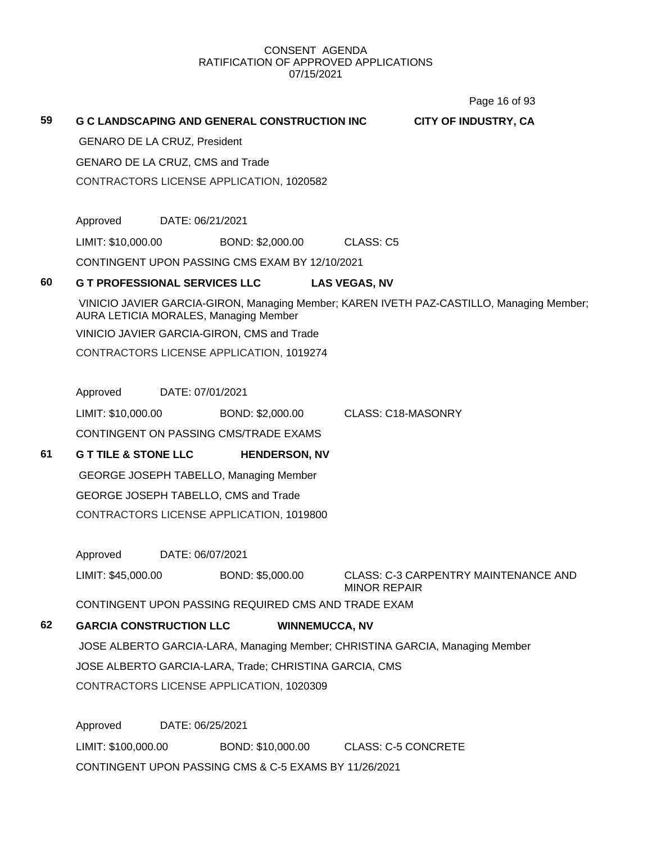Page 16 of 93

| 59 |                                     |                  | <b>G C LANDSCAPING AND GENERAL CONSTRUCTION INC</b>    |                       |                           | <b>CITY OF INDUSTRY, CA</b>                                                              |  |
|----|-------------------------------------|------------------|--------------------------------------------------------|-----------------------|---------------------------|------------------------------------------------------------------------------------------|--|
|    | <b>GENARO DE LA CRUZ, President</b> |                  |                                                        |                       |                           |                                                                                          |  |
|    | GENARO DE LA CRUZ, CMS and Trade    |                  |                                                        |                       |                           |                                                                                          |  |
|    |                                     |                  | CONTRACTORS LICENSE APPLICATION, 1020582               |                       |                           |                                                                                          |  |
|    |                                     |                  |                                                        |                       |                           |                                                                                          |  |
|    | Approved                            | DATE: 06/21/2021 |                                                        |                       |                           |                                                                                          |  |
|    | LIMIT: \$10,000.00                  |                  | BOND: \$2,000.00                                       |                       | CLASS: C5                 |                                                                                          |  |
|    |                                     |                  | CONTINGENT UPON PASSING CMS EXAM BY 12/10/2021         |                       |                           |                                                                                          |  |
| 60 |                                     |                  | <b>G T PROFESSIONAL SERVICES LLC</b>                   |                       | <b>LAS VEGAS, NV</b>      |                                                                                          |  |
|    |                                     |                  | <b>AURA LETICIA MORALES, Managing Member</b>           |                       |                           | VINICIO JAVIER GARCIA-GIRON, Managing Member; KAREN IVETH PAZ-CASTILLO, Managing Member; |  |
|    |                                     |                  | VINICIO JAVIER GARCIA-GIRON, CMS and Trade             |                       |                           |                                                                                          |  |
|    |                                     |                  | CONTRACTORS LICENSE APPLICATION, 1019274               |                       |                           |                                                                                          |  |
|    |                                     |                  |                                                        |                       |                           |                                                                                          |  |
|    | Approved                            | DATE: 07/01/2021 |                                                        |                       |                           |                                                                                          |  |
|    | LIMIT: \$10,000.00                  |                  | BOND: \$2,000.00                                       |                       | <b>CLASS: C18-MASONRY</b> |                                                                                          |  |
|    |                                     |                  | CONTINGENT ON PASSING CMS/TRADE EXAMS                  |                       |                           |                                                                                          |  |
| 61 | <b>G T TILE &amp; STONE LLC</b>     |                  | <b>HENDERSON, NV</b>                                   |                       |                           |                                                                                          |  |
|    |                                     |                  | GEORGE JOSEPH TABELLO, Managing Member                 |                       |                           |                                                                                          |  |
|    |                                     |                  | GEORGE JOSEPH TABELLO, CMS and Trade                   |                       |                           |                                                                                          |  |
|    |                                     |                  | CONTRACTORS LICENSE APPLICATION, 1019800               |                       |                           |                                                                                          |  |
|    |                                     |                  |                                                        |                       |                           |                                                                                          |  |
|    | Approved                            | DATE: 06/07/2021 |                                                        |                       |                           |                                                                                          |  |
|    | LIMIT: \$45,000.00                  |                  | BOND: \$5,000.00                                       |                       | <b>MINOR REPAIR</b>       | <b>CLASS: C-3 CARPENTRY MAINTENANCE AND</b>                                              |  |
|    |                                     |                  | CONTINGENT UPON PASSING REQUIRED CMS AND TRADE EXAM    |                       |                           |                                                                                          |  |
| 62 | <b>GARCIA CONSTRUCTION LLC</b>      |                  |                                                        | <b>WINNEMUCCA, NV</b> |                           |                                                                                          |  |
|    |                                     |                  |                                                        |                       |                           | JOSE ALBERTO GARCIA-LARA, Managing Member; CHRISTINA GARCIA, Managing Member             |  |
|    |                                     |                  | JOSE ALBERTO GARCIA-LARA, Trade; CHRISTINA GARCIA, CMS |                       |                           |                                                                                          |  |

CONTRACTORS LICENSE APPLICATION, 1020309

Approved DATE: 06/25/2021 LIMIT: \$100,000.00 BOND: \$10,000.00 CLASS: C-5 CONCRETE CONTINGENT UPON PASSING CMS & C-5 EXAMS BY 11/26/2021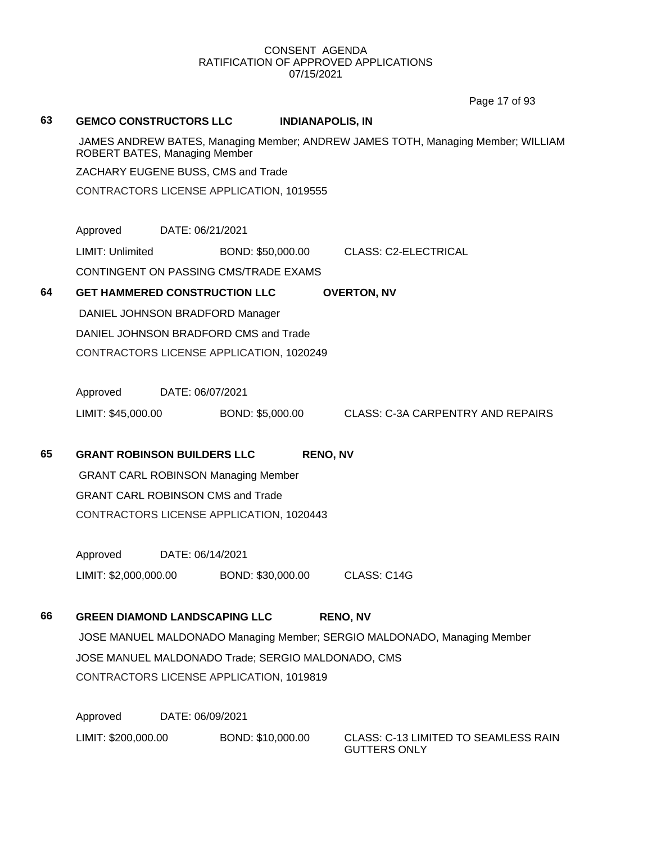Page 17 of 93

### **63 GEMCO CONSTRUCTORS LLC INDIANAPOLIS, IN**

JAMES ANDREW BATES, Managing Member; ANDREW JAMES TOTH, Managing Member; WILLIAM ROBERT BATES, Managing Member

ZACHARY EUGENE BUSS, CMS and Trade

CONTRACTORS LICENSE APPLICATION, 1019555

Approved DATE: 06/21/2021

LIMIT: Unlimited BOND: \$50,000.00 CLASS: C2-ELECTRICAL

CONTINGENT ON PASSING CMS/TRADE EXAMS

## **64 GET HAMMERED CONSTRUCTION LLC OVERTON, NV**

DANIEL JOHNSON BRADFORD Manager DANIEL JOHNSON BRADFORD CMS and Trade CONTRACTORS LICENSE APPLICATION, 1020249

Approved DATE: 06/07/2021

LIMIT: \$45,000.00 BOND: \$5,000.00 CLASS: C-3A CARPENTRY AND REPAIRS

## **65 GRANT ROBINSON BUILDERS LLC RENO, NV**

GRANT CARL ROBINSON Managing Member GRANT CARL ROBINSON CMS and Trade CONTRACTORS LICENSE APPLICATION, 1020443

Approved DATE: 06/14/2021 LIMIT: \$2,000,000.00 BOND: \$30,000.00 CLASS: C14G

## **66 GREEN DIAMOND LANDSCAPING LLC RENO, NV**

JOSE MANUEL MALDONADO Managing Member; SERGIO MALDONADO, Managing Member JOSE MANUEL MALDONADO Trade; SERGIO MALDONADO, CMS CONTRACTORS LICENSE APPLICATION, 1019819

Approved DATE: 06/09/2021 LIMIT: \$200,000.00 BOND: \$10,000.00 CLASS: C-13 LIMITED TO SEAMLESS RAIN

GUTTERS ONLY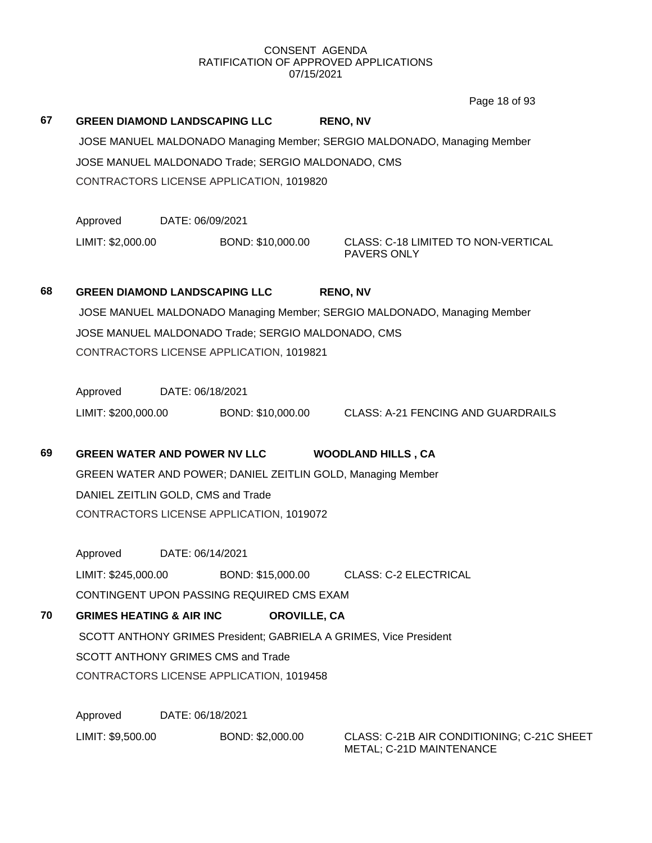Page 18 of 93

| 67 | <b>GREEN DIAMOND LANDSCAPING LLC</b>                                     |                  |                                                    | <b>RENO, NV</b>                                                          |  |  |  |
|----|--------------------------------------------------------------------------|------------------|----------------------------------------------------|--------------------------------------------------------------------------|--|--|--|
|    | JOSE MANUEL MALDONADO Managing Member; SERGIO MALDONADO, Managing Member |                  |                                                    |                                                                          |  |  |  |
|    | JOSE MANUEL MALDONADO Trade; SERGIO MALDONADO, CMS                       |                  |                                                    |                                                                          |  |  |  |
|    |                                                                          |                  | CONTRACTORS LICENSE APPLICATION, 1019820           |                                                                          |  |  |  |
|    | Approved                                                                 | DATE: 06/09/2021 |                                                    |                                                                          |  |  |  |
|    | LIMIT: \$2,000.00                                                        |                  | BOND: \$10,000.00                                  | <b>CLASS: C-18 LIMITED TO NON-VERTICAL</b><br>PAVERS ONLY                |  |  |  |
| 68 | <b>GREEN DIAMOND LANDSCAPING LLC</b>                                     |                  |                                                    | <b>RENO, NV</b>                                                          |  |  |  |
|    |                                                                          |                  |                                                    | JOSE MANUEL MALDONADO Managing Member; SERGIO MALDONADO, Managing Member |  |  |  |
|    |                                                                          |                  | JOSE MANUEL MALDONADO Trade; SERGIO MALDONADO, CMS |                                                                          |  |  |  |
|    |                                                                          |                  | CONTRACTORS LICENSE APPLICATION, 1019821           |                                                                          |  |  |  |
|    | Approved                                                                 | DATE: 06/18/2021 |                                                    |                                                                          |  |  |  |
|    | LIMIT: \$200,000.00                                                      |                  | BOND: \$10,000.00                                  | <b>CLASS: A-21 FENCING AND GUARDRAILS</b>                                |  |  |  |
| 69 | <b>GREEN WATER AND POWER NV LLC</b>                                      |                  |                                                    | <b>WOODLAND HILLS, CA</b>                                                |  |  |  |
|    |                                                                          |                  |                                                    | GREEN WATER AND POWER; DANIEL ZEITLIN GOLD, Managing Member              |  |  |  |
|    | DANIEL ZEITLIN GOLD, CMS and Trade                                       |                  |                                                    |                                                                          |  |  |  |
|    |                                                                          |                  | CONTRACTORS LICENSE APPLICATION, 1019072           |                                                                          |  |  |  |
|    | Approved                                                                 | DATE: 06/14/2021 |                                                    |                                                                          |  |  |  |
|    | LIMIT: \$245,000.00                                                      |                  | BOND: \$15,000.00                                  | <b>CLASS: C-2 ELECTRICAL</b>                                             |  |  |  |
|    |                                                                          |                  | CONTINGENT UPON PASSING REQUIRED CMS EXAM          |                                                                          |  |  |  |
| 70 | <b>GRIMES HEATING &amp; AIR INC</b>                                      |                  | <b>OROVILLE, CA</b>                                |                                                                          |  |  |  |
|    |                                                                          |                  |                                                    | SCOTT ANTHONY GRIMES President; GABRIELA A GRIMES, Vice President        |  |  |  |
|    |                                                                          |                  | <b>SCOTT ANTHONY GRIMES CMS and Trade</b>          |                                                                          |  |  |  |
|    |                                                                          |                  | CONTRACTORS LICENSE APPLICATION, 1019458           |                                                                          |  |  |  |
|    | Approved                                                                 | DATE: 06/18/2021 |                                                    |                                                                          |  |  |  |
|    | LIMIT: \$9,500.00                                                        |                  | BOND: \$2,000.00                                   | CLASS: C-21B AIR CONDITIONING; C-21C SHEET<br>METAL; C-21D MAINTENANCE   |  |  |  |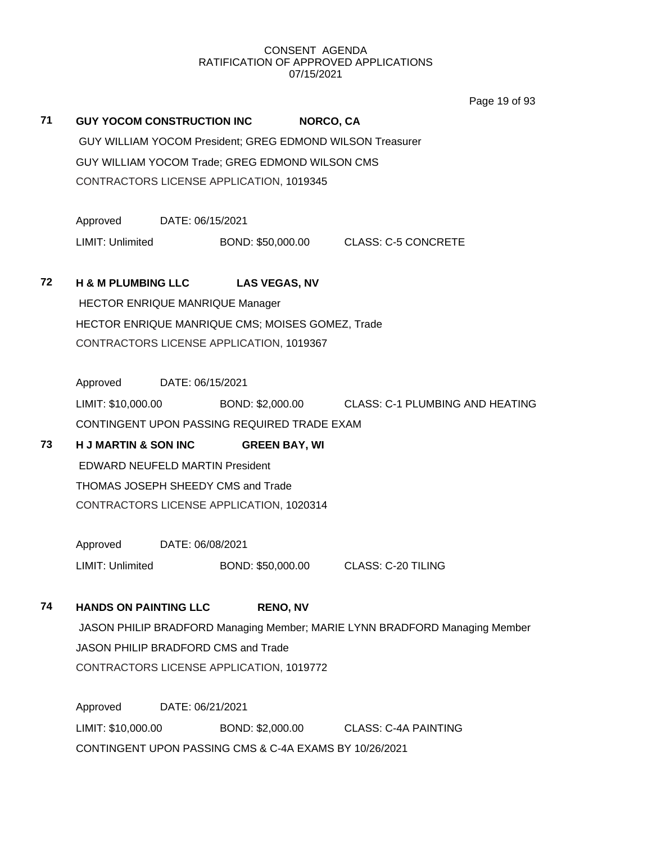Page 19 of 93

|    |                                                  |                  |                      | טכוט כו סעסו                                                               |
|----|--------------------------------------------------|------------------|----------------------|----------------------------------------------------------------------------|
| 71 | <b>GUY YOCOM CONSTRUCTION INC</b>                |                  | <b>NORCO, CA</b>     |                                                                            |
|    |                                                  |                  |                      | GUY WILLIAM YOCOM President; GREG EDMOND WILSON Treasurer                  |
|    | GUY WILLIAM YOCOM Trade; GREG EDMOND WILSON CMS  |                  |                      |                                                                            |
|    | CONTRACTORS LICENSE APPLICATION, 1019345         |                  |                      |                                                                            |
|    | Approved                                         | DATE: 06/15/2021 |                      |                                                                            |
|    | <b>LIMIT: Unlimited</b>                          |                  |                      | BOND: \$50,000.00 CLASS: C-5 CONCRETE                                      |
| 72 | <b>H &amp; M PLUMBING LLC</b>                    |                  | <b>LAS VEGAS, NV</b> |                                                                            |
|    | HECTOR ENRIQUE MANRIQUE Manager                  |                  |                      |                                                                            |
|    | HECTOR ENRIQUE MANRIQUE CMS; MOISES GOMEZ, Trade |                  |                      |                                                                            |
|    | CONTRACTORS LICENSE APPLICATION, 1019367         |                  |                      |                                                                            |
|    | Approved                                         | DATE: 06/15/2021 |                      |                                                                            |
|    | LIMIT: \$10,000.00                               |                  |                      | BOND: \$2,000.00 CLASS: C-1 PLUMBING AND HEATING                           |
|    | CONTINGENT UPON PASSING REQUIRED TRADE EXAM      |                  |                      |                                                                            |
| 73 | <b>H J MARTIN &amp; SON INC</b>                  |                  | <b>GREEN BAY, WI</b> |                                                                            |
|    | <b>EDWARD NEUFELD MARTIN President</b>           |                  |                      |                                                                            |
|    | THOMAS JOSEPH SHEEDY CMS and Trade               |                  |                      |                                                                            |
|    | CONTRACTORS LICENSE APPLICATION, 1020314         |                  |                      |                                                                            |
|    | Approved                                         | DATE: 06/08/2021 |                      |                                                                            |
|    | LIMIT: Unlimited                                 |                  | BOND: \$50,000.00    | CLASS: C-20 TILING                                                         |
| 74 | <b>HANDS ON PAINTING LLC</b>                     |                  | <b>RENO, NV</b>      |                                                                            |
|    |                                                  |                  |                      | JASON PHILIP BRADFORD Managing Member; MARIE LYNN BRADFORD Managing Member |
|    | JASON PHILIP BRADFORD CMS and Trade              |                  |                      |                                                                            |

CONTRACTORS LICENSE APPLICATION, 1019772

Approved DATE: 06/21/2021 LIMIT: \$10,000.00 BOND: \$2,000.00 CLASS: C-4A PAINTING CONTINGENT UPON PASSING CMS & C-4A EXAMS BY 10/26/2021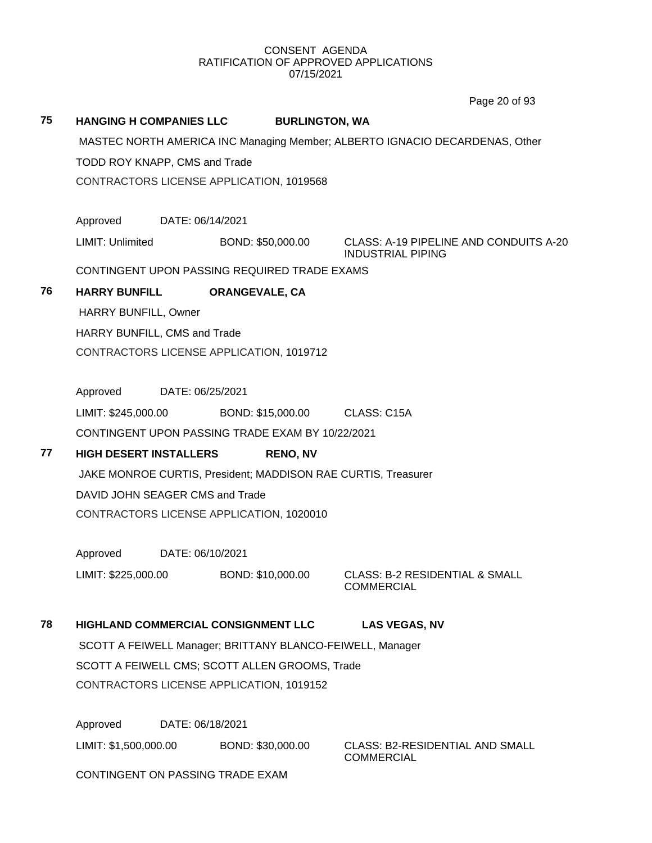Page 20 of 93

## **75 HANGING H COMPANIES LLC BURLINGTON, WA**

MASTEC NORTH AMERICA INC Managing Member; ALBERTO IGNACIO DECARDENAS, Other

TODD ROY KNAPP, CMS and Trade

CONTRACTORS LICENSE APPLICATION, 1019568

Approved DATE: 06/14/2021

LIMIT: Unlimited BOND: \$50,000.00 CLASS: A-19 PIPELINE AND CONDUITS A-20

INDUSTRIAL PIPING

CONTINGENT UPON PASSING REQUIRED TRADE EXAMS

## **76 HARRY BUNFILL ORANGEVALE, CA**

HARRY BUNFILL, Owner

HARRY BUNFILL, CMS and Trade

CONTRACTORS LICENSE APPLICATION, 1019712

Approved DATE: 06/25/2021

LIMIT: \$245,000.00 BOND: \$15,000.00 CLASS: C15A CONTINGENT UPON PASSING TRADE EXAM BY 10/22/2021

## **77 HIGH DESERT INSTALLERS RENO, NV**

JAKE MONROE CURTIS, President; MADDISON RAE CURTIS, Treasurer DAVID JOHN SEAGER CMS and Trade CONTRACTORS LICENSE APPLICATION, 1020010

Approved DATE: 06/10/2021

LIMIT: \$225,000.00 BOND: \$10,000.00 CLASS: B-2 RESIDENTIAL & SMALL COMMERCIAL

## **78 HIGHLAND COMMERCIAL CONSIGNMENT LLC LAS VEGAS, NV**

SCOTT A FEIWELL Manager; BRITTANY BLANCO-FEIWELL, Manager SCOTT A FEIWELL CMS; SCOTT ALLEN GROOMS, Trade CONTRACTORS LICENSE APPLICATION, 1019152

Approved DATE: 06/18/2021

LIMIT: \$1,500,000.00 BOND: \$30,000.00 CLASS: B2-RESIDENTIAL AND SMALL

COMMERCIAL

CONTINGENT ON PASSING TRADE EXAM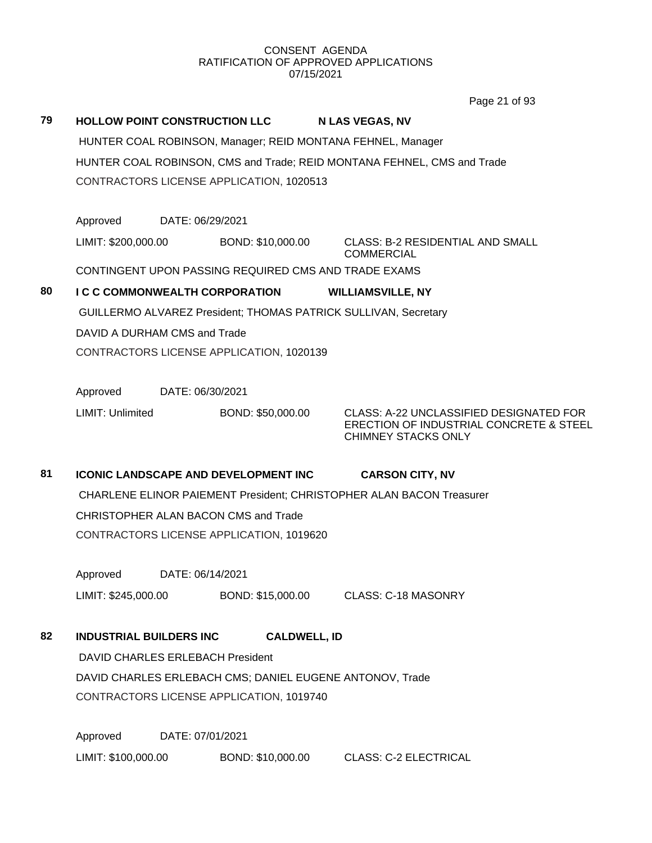Page 21 of 93

| 79 | <b>HOLLOW POINT CONSTRUCTION LLC</b>                                    |                                                             | <b>N LAS VEGAS, NV</b>                                                                                           |  |  |  |  |
|----|-------------------------------------------------------------------------|-------------------------------------------------------------|------------------------------------------------------------------------------------------------------------------|--|--|--|--|
|    |                                                                         | HUNTER COAL ROBINSON, Manager; REID MONTANA FEHNEL, Manager |                                                                                                                  |  |  |  |  |
|    | HUNTER COAL ROBINSON, CMS and Trade; REID MONTANA FEHNEL, CMS and Trade |                                                             |                                                                                                                  |  |  |  |  |
|    | CONTRACTORS LICENSE APPLICATION, 1020513                                |                                                             |                                                                                                                  |  |  |  |  |
|    |                                                                         |                                                             |                                                                                                                  |  |  |  |  |
|    | Approved                                                                | DATE: 06/29/2021                                            |                                                                                                                  |  |  |  |  |
|    | LIMIT: \$200,000.00                                                     | BOND: \$10,000.00                                           | <b>CLASS: B-2 RESIDENTIAL AND SMALL</b><br><b>COMMERCIAL</b>                                                     |  |  |  |  |
|    |                                                                         | CONTINGENT UPON PASSING REQUIRED CMS AND TRADE EXAMS        |                                                                                                                  |  |  |  |  |
| 80 | <b>I C C COMMONWEALTH CORPORATION</b>                                   |                                                             | <b>WILLIAMSVILLE, NY</b>                                                                                         |  |  |  |  |
|    |                                                                         |                                                             | <b>GUILLERMO ALVAREZ President; THOMAS PATRICK SULLIVAN, Secretary</b>                                           |  |  |  |  |
|    | DAVID A DURHAM CMS and Trade                                            |                                                             |                                                                                                                  |  |  |  |  |
|    |                                                                         | CONTRACTORS LICENSE APPLICATION, 1020139                    |                                                                                                                  |  |  |  |  |
|    |                                                                         |                                                             |                                                                                                                  |  |  |  |  |
|    | Approved                                                                | DATE: 06/30/2021                                            |                                                                                                                  |  |  |  |  |
|    | LIMIT: Unlimited                                                        | BOND: \$50,000.00                                           | CLASS: A-22 UNCLASSIFIED DESIGNATED FOR<br>ERECTION OF INDUSTRIAL CONCRETE & STEEL<br><b>CHIMNEY STACKS ONLY</b> |  |  |  |  |
|    |                                                                         |                                                             |                                                                                                                  |  |  |  |  |
|    |                                                                         |                                                             |                                                                                                                  |  |  |  |  |
| 81 | <b>ICONIC LANDSCAPE AND DEVELOPMENT INC</b>                             |                                                             | <b>CARSON CITY, NV</b>                                                                                           |  |  |  |  |
|    |                                                                         |                                                             | CHARLENE ELINOR PAIEMENT President; CHRISTOPHER ALAN BACON Treasurer                                             |  |  |  |  |
|    | CHRISTOPHER ALAN BACON CMS and Trade                                    |                                                             |                                                                                                                  |  |  |  |  |
|    |                                                                         | CONTRACTORS LICENSE APPLICATION, 1019620                    |                                                                                                                  |  |  |  |  |
|    | Approved                                                                | DATE: 06/14/2021                                            |                                                                                                                  |  |  |  |  |
|    | LIMIT: \$245,000.00                                                     | BOND: \$15,000.00                                           | <b>CLASS: C-18 MASONRY</b>                                                                                       |  |  |  |  |
| 82 | <b>INDUSTRIAL BUILDERS INC</b>                                          | <b>CALDWELL, ID</b>                                         |                                                                                                                  |  |  |  |  |
|    | DAVID CHARLES ERLEBACH President                                        |                                                             |                                                                                                                  |  |  |  |  |
|    |                                                                         | DAVID CHARLES ERLEBACH CMS; DANIEL EUGENE ANTONOV, Trade    |                                                                                                                  |  |  |  |  |
|    |                                                                         | CONTRACTORS LICENSE APPLICATION, 1019740                    |                                                                                                                  |  |  |  |  |
|    | Approved                                                                | DATE: 07/01/2021                                            |                                                                                                                  |  |  |  |  |
|    | LIMIT: \$100,000.00                                                     | BOND: \$10,000.00                                           | <b>CLASS: C-2 ELECTRICAL</b>                                                                                     |  |  |  |  |
|    |                                                                         |                                                             |                                                                                                                  |  |  |  |  |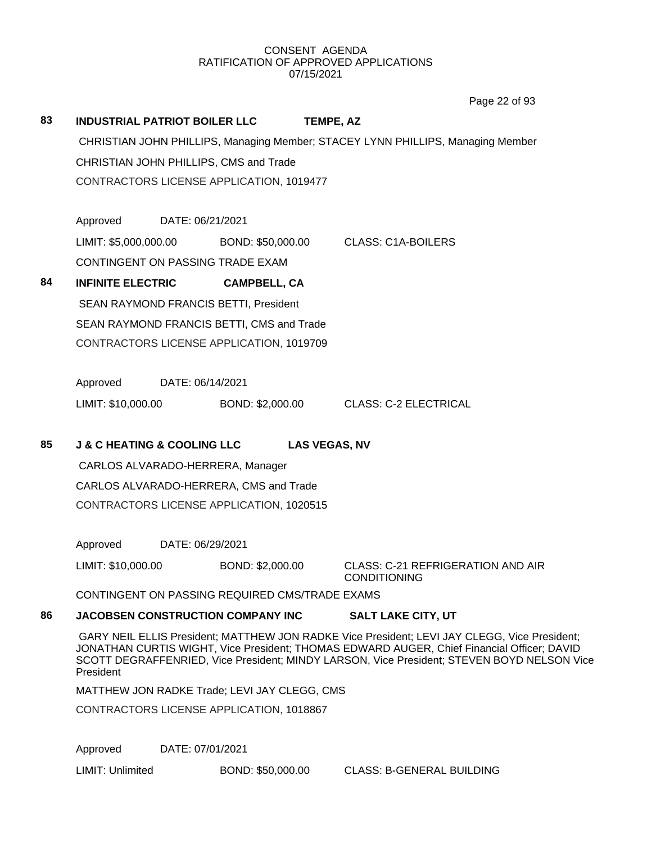Page 22 of 93

|    |                                            |                                                |                      | Page 22 of 93                                                                                                                                                                                                                                                                            |  |
|----|--------------------------------------------|------------------------------------------------|----------------------|------------------------------------------------------------------------------------------------------------------------------------------------------------------------------------------------------------------------------------------------------------------------------------------|--|
| 83 |                                            | <b>INDUSTRIAL PATRIOT BOILER LLC</b>           | TEMPE, AZ            |                                                                                                                                                                                                                                                                                          |  |
|    |                                            |                                                |                      | CHRISTIAN JOHN PHILLIPS, Managing Member; STACEY LYNN PHILLIPS, Managing Member                                                                                                                                                                                                          |  |
|    |                                            | CHRISTIAN JOHN PHILLIPS, CMS and Trade         |                      |                                                                                                                                                                                                                                                                                          |  |
|    |                                            | CONTRACTORS LICENSE APPLICATION, 1019477       |                      |                                                                                                                                                                                                                                                                                          |  |
|    |                                            |                                                |                      |                                                                                                                                                                                                                                                                                          |  |
|    | Approved                                   | DATE: 06/21/2021                               |                      |                                                                                                                                                                                                                                                                                          |  |
|    | LIMIT: \$5,000,000.00                      |                                                | BOND: \$50,000.00    | <b>CLASS: C1A-BOILERS</b>                                                                                                                                                                                                                                                                |  |
|    |                                            | CONTINGENT ON PASSING TRADE EXAM               |                      |                                                                                                                                                                                                                                                                                          |  |
| 84 | <b>INFINITE ELECTRIC</b>                   | <b>CAMPBELL, CA</b>                            |                      |                                                                                                                                                                                                                                                                                          |  |
|    |                                            | SEAN RAYMOND FRANCIS BETTI, President          |                      |                                                                                                                                                                                                                                                                                          |  |
|    |                                            | SEAN RAYMOND FRANCIS BETTI, CMS and Trade      |                      |                                                                                                                                                                                                                                                                                          |  |
|    |                                            | CONTRACTORS LICENSE APPLICATION, 1019709       |                      |                                                                                                                                                                                                                                                                                          |  |
|    |                                            |                                                |                      |                                                                                                                                                                                                                                                                                          |  |
|    | Approved                                   | DATE: 06/14/2021                               |                      |                                                                                                                                                                                                                                                                                          |  |
|    | LIMIT: \$10,000.00                         | BOND: \$2,000.00                               |                      | <b>CLASS: C-2 ELECTRICAL</b>                                                                                                                                                                                                                                                             |  |
|    |                                            |                                                |                      |                                                                                                                                                                                                                                                                                          |  |
| 85 | <b>J &amp; C HEATING &amp; COOLING LLC</b> |                                                | <b>LAS VEGAS, NV</b> |                                                                                                                                                                                                                                                                                          |  |
|    |                                            | CARLOS ALVARADO-HERRERA, Manager               |                      |                                                                                                                                                                                                                                                                                          |  |
|    |                                            | CARLOS ALVARADO-HERRERA, CMS and Trade         |                      |                                                                                                                                                                                                                                                                                          |  |
|    |                                            | CONTRACTORS LICENSE APPLICATION, 1020515       |                      |                                                                                                                                                                                                                                                                                          |  |
|    | Approved                                   | DATE: 06/29/2021                               |                      |                                                                                                                                                                                                                                                                                          |  |
|    | LIMIT: \$10,000.00                         | BOND: \$2,000.00                               |                      | <b>CLASS: C-21 REFRIGERATION AND AIR</b>                                                                                                                                                                                                                                                 |  |
|    |                                            |                                                |                      | <b>CONDITIONING</b>                                                                                                                                                                                                                                                                      |  |
|    |                                            | CONTINGENT ON PASSING REQUIRED CMS/TRADE EXAMS |                      |                                                                                                                                                                                                                                                                                          |  |
| 86 |                                            | <b>JACOBSEN CONSTRUCTION COMPANY INC</b>       |                      | <b>SALT LAKE CITY, UT</b>                                                                                                                                                                                                                                                                |  |
|    | President                                  |                                                |                      | GARY NEIL ELLIS President; MATTHEW JON RADKE Vice President; LEVI JAY CLEGG, Vice President;<br>JONATHAN CURTIS WIGHT, Vice President; THOMAS EDWARD AUGER, Chief Financial Officer; DAVID<br>SCOTT DEGRAFFENRIED, Vice President; MINDY LARSON, Vice President; STEVEN BOYD NELSON Vice |  |
|    |                                            | MATTHEW JON RADKE Trade; LEVI JAY CLEGG, CMS   |                      |                                                                                                                                                                                                                                                                                          |  |
|    |                                            |                                                |                      |                                                                                                                                                                                                                                                                                          |  |

CONTRACTORS LICENSE APPLICATION, 1018867

Approved DATE: 07/01/2021

LIMIT: Unlimited BOND: \$50,000.00 CLASS: B-GENERAL BUILDING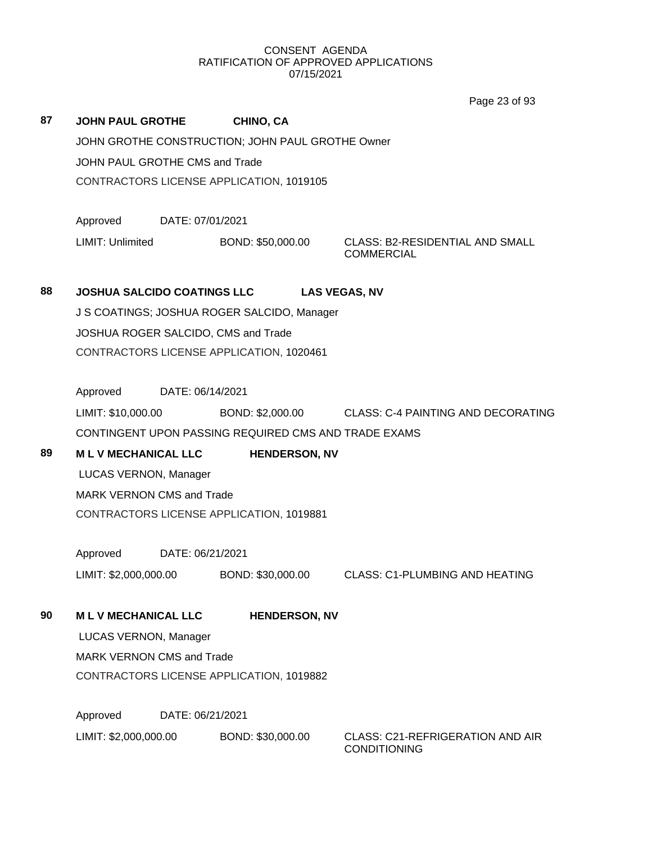Page 23 of 93

| 87 | <b>JOHN PAUL GROTHE</b>                              | CHINO, CA            |                                                                |  |  |  |
|----|------------------------------------------------------|----------------------|----------------------------------------------------------------|--|--|--|
|    | JOHN GROTHE CONSTRUCTION; JOHN PAUL GROTHE Owner     |                      |                                                                |  |  |  |
|    | JOHN PAUL GROTHE CMS and Trade                       |                      |                                                                |  |  |  |
|    | CONTRACTORS LICENSE APPLICATION, 1019105             |                      |                                                                |  |  |  |
|    |                                                      |                      |                                                                |  |  |  |
|    | Approved<br>DATE: 07/01/2021                         |                      |                                                                |  |  |  |
|    | LIMIT: Unlimited                                     | BOND: \$50,000.00    | <b>CLASS: B2-RESIDENTIAL AND SMALL</b><br><b>COMMERCIAL</b>    |  |  |  |
| 88 | <b>JOSHUA SALCIDO COATINGS LLC</b>                   |                      | <b>LAS VEGAS, NV</b>                                           |  |  |  |
|    | J S COATINGS; JOSHUA ROGER SALCIDO, Manager          |                      |                                                                |  |  |  |
|    | JOSHUA ROGER SALCIDO, CMS and Trade                  |                      |                                                                |  |  |  |
|    | CONTRACTORS LICENSE APPLICATION, 1020461             |                      |                                                                |  |  |  |
|    |                                                      |                      |                                                                |  |  |  |
|    | Approved<br>DATE: 06/14/2021                         |                      |                                                                |  |  |  |
|    | LIMIT: \$10,000.00                                   |                      | BOND: \$2,000.00 CLASS: C-4 PAINTING AND DECORATING            |  |  |  |
|    | CONTINGENT UPON PASSING REQUIRED CMS AND TRADE EXAMS |                      |                                                                |  |  |  |
| 89 | <b>MLV MECHANICAL LLC</b>                            | <b>HENDERSON, NV</b> |                                                                |  |  |  |
|    | LUCAS VERNON, Manager                                |                      |                                                                |  |  |  |
|    | <b>MARK VERNON CMS and Trade</b>                     |                      |                                                                |  |  |  |
|    | CONTRACTORS LICENSE APPLICATION, 1019881             |                      |                                                                |  |  |  |
|    | Approved<br>DATE: 06/21/2021                         |                      |                                                                |  |  |  |
|    | LIMIT: \$2,000,000.00                                | BOND: \$30,000.00    | <b>CLASS: C1-PLUMBING AND HEATING</b>                          |  |  |  |
|    |                                                      |                      |                                                                |  |  |  |
| 90 | <b>MLV MECHANICAL LLC</b>                            | <b>HENDERSON, NV</b> |                                                                |  |  |  |
|    | LUCAS VERNON, Manager                                |                      |                                                                |  |  |  |
|    | <b>MARK VERNON CMS and Trade</b>                     |                      |                                                                |  |  |  |
|    | CONTRACTORS LICENSE APPLICATION, 1019882             |                      |                                                                |  |  |  |
|    |                                                      |                      |                                                                |  |  |  |
|    | Approved<br>DATE: 06/21/2021                         |                      |                                                                |  |  |  |
|    | LIMIT: \$2,000,000.00                                | BOND: \$30,000.00    | <b>CLASS: C21-REFRIGERATION AND AIR</b><br><b>CONDITIONING</b> |  |  |  |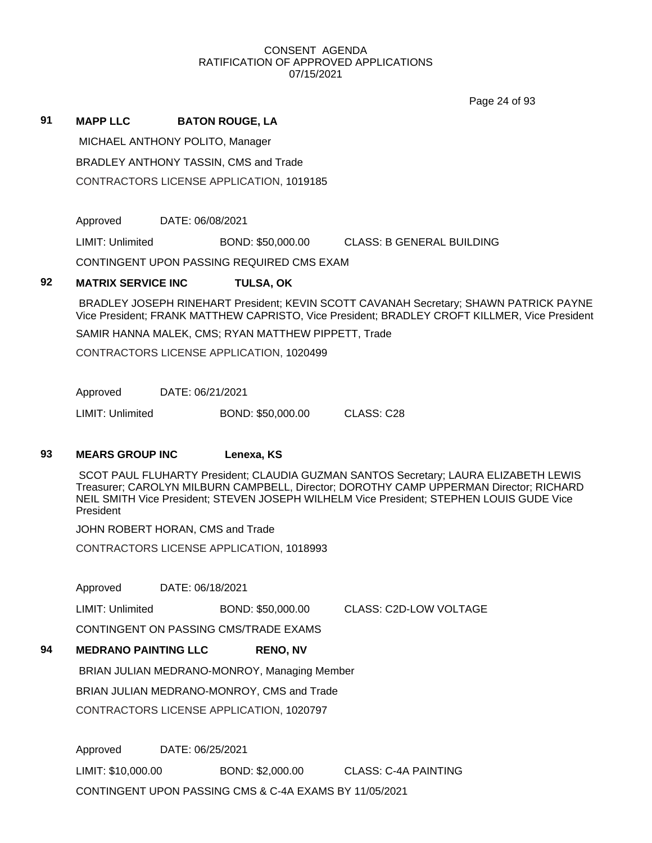Page 24 of 93

## **91 MAPP LLC BATON ROUGE, LA**

MICHAEL ANTHONY POLITO, Manager

BRADLEY ANTHONY TASSIN, CMS and Trade

CONTRACTORS LICENSE APPLICATION, 1019185

Approved DATE: 06/08/2021

LIMIT: Unlimited BOND: \$50,000.00 CLASS: B GENERAL BUILDING

CONTINGENT UPON PASSING REQUIRED CMS EXAM

## **92 MATRIX SERVICE INC TULSA, OK**

BRADLEY JOSEPH RINEHART President; KEVIN SCOTT CAVANAH Secretary; SHAWN PATRICK PAYNE Vice President; FRANK MATTHEW CAPRISTO, Vice President; BRADLEY CROFT KILLMER, Vice President

SAMIR HANNA MALEK, CMS; RYAN MATTHEW PIPPETT, Trade

CONTRACTORS LICENSE APPLICATION, 1020499

Approved DATE: 06/21/2021

LIMIT: Unlimited BOND: \$50,000.00 CLASS: C28

## **93 MEARS GROUP INC Lenexa, KS**

SCOT PAUL FLUHARTY President; CLAUDIA GUZMAN SANTOS Secretary; LAURA ELIZABETH LEWIS Treasurer; CAROLYN MILBURN CAMPBELL, Director; DOROTHY CAMP UPPERMAN Director; RICHARD NEIL SMITH Vice President; STEVEN JOSEPH WILHELM Vice President; STEPHEN LOUIS GUDE Vice President

JOHN ROBERT HORAN, CMS and Trade

CONTRACTORS LICENSE APPLICATION, 1018993

Approved DATE: 06/18/2021

LIMIT: Unlimited BOND: \$50,000.00 CLASS: C2D-LOW VOLTAGE

CONTINGENT ON PASSING CMS/TRADE EXAMS

### **94 MEDRANO PAINTING LLC RENO, NV**

BRIAN JULIAN MEDRANO-MONROY, Managing Member

BRIAN JULIAN MEDRANO-MONROY, CMS and Trade

CONTRACTORS LICENSE APPLICATION, 1020797

Approved DATE: 06/25/2021 LIMIT: \$10,000.00 BOND: \$2,000.00 CLASS: C-4A PAINTING CONTINGENT UPON PASSING CMS & C-4A EXAMS BY 11/05/2021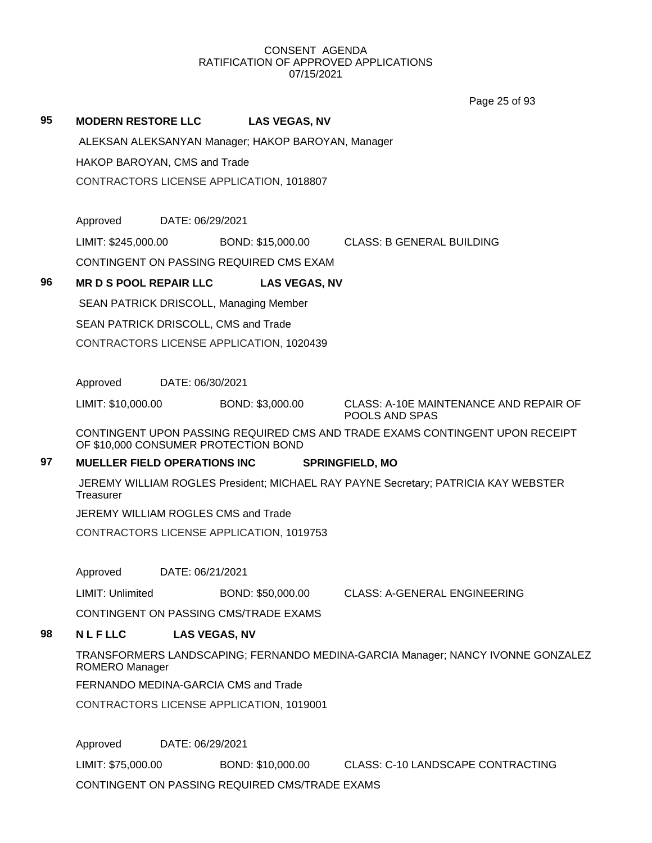Page 25 of 93

## **95 MODERN RESTORE LLC LAS VEGAS, NV**

ALEKSAN ALEKSANYAN Manager; HAKOP BAROYAN, Manager

HAKOP BAROYAN, CMS and Trade

CONTRACTORS LICENSE APPLICATION, 1018807

Approved DATE: 06/29/2021

LIMIT: \$245,000.00 BOND: \$15,000.00 CLASS: B GENERAL BUILDING

CONTINGENT ON PASSING REQUIRED CMS EXAM

## **96 MR D S POOL REPAIR LLC LAS VEGAS, NV**

SEAN PATRICK DRISCOLL, Managing Member SEAN PATRICK DRISCOLL, CMS and Trade CONTRACTORS LICENSE APPLICATION, 1020439

Approved DATE: 06/30/2021

LIMIT: \$10,000.00 BOND: \$3,000.00 CLASS: A-10E MAINTENANCE AND REPAIR OF POOLS AND SPAS

CONTINGENT UPON PASSING REQUIRED CMS AND TRADE EXAMS CONTINGENT UPON RECEIPT OF \$10,000 CONSUMER PROTECTION BOND

## **97 MUELLER FIELD OPERATIONS INC SPRINGFIELD, MO**

JEREMY WILLIAM ROGLES President; MICHAEL RAY PAYNE Secretary; PATRICIA KAY WEBSTER **Treasurer** 

JEREMY WILLIAM ROGLES CMS and Trade

CONTRACTORS LICENSE APPLICATION, 1019753

Approved DATE: 06/21/2021

LIMIT: Unlimited BOND: \$50,000.00 CLASS: A-GENERAL ENGINEERING

CONTINGENT ON PASSING CMS/TRADE EXAMS

## **98 N L F LLC LAS VEGAS, NV**

TRANSFORMERS LANDSCAPING; FERNANDO MEDINA-GARCIA Manager; NANCY IVONNE GONZALEZ ROMERO Manager

FERNANDO MEDINA-GARCIA CMS and Trade

CONTRACTORS LICENSE APPLICATION, 1019001

Approved DATE: 06/29/2021 LIMIT: \$75,000.00 BOND: \$10,000.00 CLASS: C-10 LANDSCAPE CONTRACTING

CONTINGENT ON PASSING REQUIRED CMS/TRADE EXAMS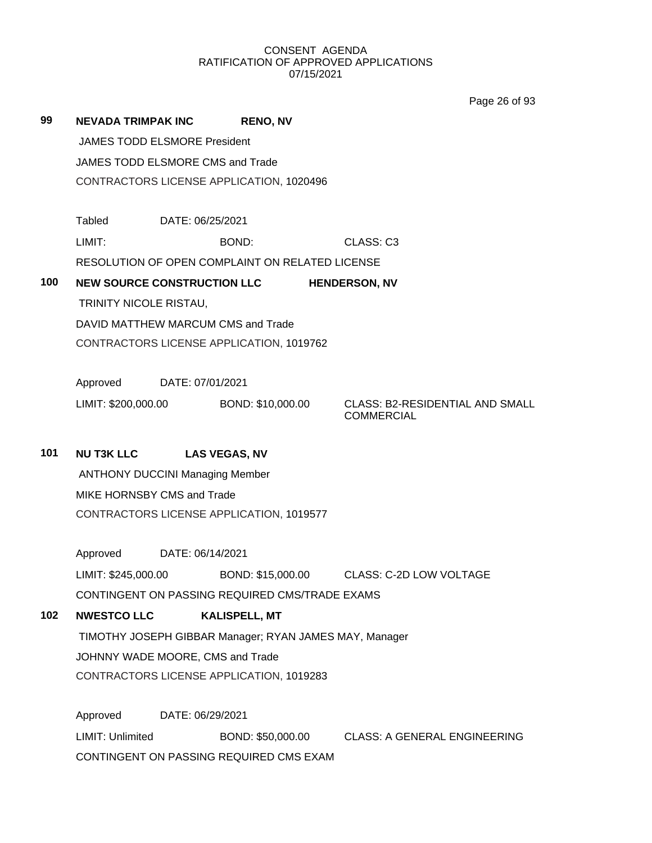Page 26 of 93

| 99  | <b>NEVADA TRIMPAK INC</b>                                              |                  | <b>RENO, NV</b>                                        |  |                                                             |  |  |
|-----|------------------------------------------------------------------------|------------------|--------------------------------------------------------|--|-------------------------------------------------------------|--|--|
|     | <b>JAMES TODD ELSMORE President</b>                                    |                  |                                                        |  |                                                             |  |  |
|     | JAMES TODD ELSMORE CMS and Trade                                       |                  |                                                        |  |                                                             |  |  |
|     | CONTRACTORS LICENSE APPLICATION, 1020496                               |                  |                                                        |  |                                                             |  |  |
|     |                                                                        |                  |                                                        |  |                                                             |  |  |
|     | Tabled                                                                 | DATE: 06/25/2021 |                                                        |  |                                                             |  |  |
|     | LIMIT:                                                                 |                  | BOND:                                                  |  | CLASS: C3                                                   |  |  |
|     |                                                                        |                  | RESOLUTION OF OPEN COMPLAINT ON RELATED LICENSE        |  |                                                             |  |  |
|     | 100<br><b>NEW SOURCE CONSTRUCTION LLC</b><br><b>HENDERSON, NV</b>      |                  |                                                        |  |                                                             |  |  |
|     | TRINITY NICOLE RISTAU,                                                 |                  |                                                        |  |                                                             |  |  |
|     |                                                                        |                  | DAVID MATTHEW MARCUM CMS and Trade                     |  |                                                             |  |  |
|     |                                                                        |                  | CONTRACTORS LICENSE APPLICATION, 1019762               |  |                                                             |  |  |
|     | Approved                                                               | DATE: 07/01/2021 |                                                        |  |                                                             |  |  |
|     | LIMIT: \$200,000.00                                                    |                  | BOND: \$10,000.00                                      |  | <b>CLASS: B2-RESIDENTIAL AND SMALL</b><br><b>COMMERCIAL</b> |  |  |
| 101 | <b>NU T3K LLC</b>                                                      |                  | <b>LAS VEGAS, NV</b>                                   |  |                                                             |  |  |
|     |                                                                        |                  |                                                        |  |                                                             |  |  |
|     | <b>ANTHONY DUCCINI Managing Member</b>                                 |                  |                                                        |  |                                                             |  |  |
|     | MIKE HORNSBY CMS and Trade<br>CONTRACTORS LICENSE APPLICATION, 1019577 |                  |                                                        |  |                                                             |  |  |
|     |                                                                        |                  |                                                        |  |                                                             |  |  |
|     | Approved                                                               | DATE: 06/14/2021 |                                                        |  |                                                             |  |  |
|     | LIMIT: \$245,000.00                                                    |                  | BOND: \$15,000.00                                      |  | <b>CLASS: C-2D LOW VOLTAGE</b>                              |  |  |
|     |                                                                        |                  | CONTINGENT ON PASSING REQUIRED CMS/TRADE EXAMS         |  |                                                             |  |  |
| 102 | <b>NWESTCO LLC</b>                                                     |                  | <b>KALISPELL, MT</b>                                   |  |                                                             |  |  |
|     |                                                                        |                  | TIMOTHY JOSEPH GIBBAR Manager; RYAN JAMES MAY, Manager |  |                                                             |  |  |
|     | JOHNNY WADE MOORE, CMS and Trade                                       |                  |                                                        |  |                                                             |  |  |
|     | CONTRACTORS LICENSE APPLICATION, 1019283                               |                  |                                                        |  |                                                             |  |  |
|     |                                                                        |                  |                                                        |  |                                                             |  |  |
|     | Approved                                                               | DATE: 06/29/2021 |                                                        |  |                                                             |  |  |
|     | LIMIT: Unlimited                                                       |                  | BOND: \$50,000.00                                      |  | <b>CLASS: A GENERAL ENGINEERING</b>                         |  |  |
|     | CONTINGENT ON PASSING REQUIRED CMS EXAM                                |                  |                                                        |  |                                                             |  |  |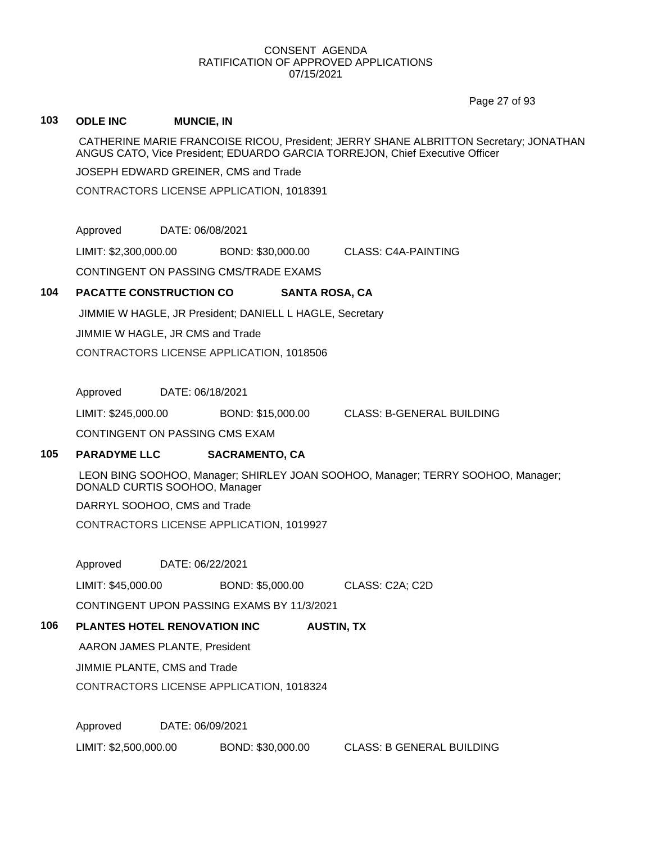Page 27 of 93

## **103 ODLE INC MUNCIE, IN**

CATHERINE MARIE FRANCOISE RICOU, President; JERRY SHANE ALBRITTON Secretary; JONATHAN ANGUS CATO, Vice President; EDUARDO GARCIA TORREJON, Chief Executive Officer

JOSEPH EDWARD GREINER, CMS and Trade

CONTRACTORS LICENSE APPLICATION, 1018391

Approved DATE: 06/08/2021

LIMIT: \$2,300,000.00 BOND: \$30,000.00 CLASS: C4A-PAINTING

CONTINGENT ON PASSING CMS/TRADE EXAMS

## **104 PACATTE CONSTRUCTION CO SANTA ROSA, CA**

JIMMIE W HAGLE, JR President; DANIELL L HAGLE, Secretary

JIMMIE W HAGLE, JR CMS and Trade

CONTRACTORS LICENSE APPLICATION, 1018506

Approved DATE: 06/18/2021

LIMIT: \$245,000.00 BOND: \$15,000.00 CLASS: B-GENERAL BUILDING

CONTINGENT ON PASSING CMS EXAM

## **105 PARADYME LLC SACRAMENTO, CA**

LEON BING SOOHOO, Manager; SHIRLEY JOAN SOOHOO, Manager; TERRY SOOHOO, Manager; DONALD CURTIS SOOHOO, Manager

DARRYL SOOHOO, CMS and Trade

CONTRACTORS LICENSE APPLICATION, 1019927

Approved DATE: 06/22/2021

LIMIT: \$45,000.00 BOND: \$5,000.00 CLASS: C2A; C2D

CONTINGENT UPON PASSING EXAMS BY 11/3/2021

## **106 PLANTES HOTEL RENOVATION INC AUSTIN, TX**

AARON JAMES PLANTE, President

JIMMIE PLANTE, CMS and Trade

CONTRACTORS LICENSE APPLICATION, 1018324

Approved DATE: 06/09/2021

LIMIT: \$2,500,000.00 BOND: \$30,000.00 CLASS: B GENERAL BUILDING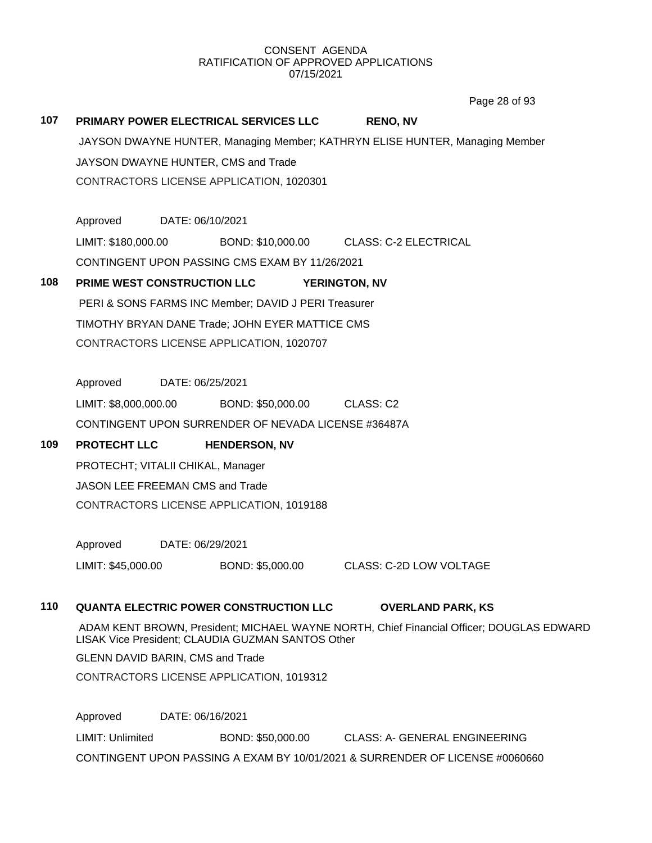Page 28 of 93

| 107 | PRIMARY POWER ELECTRICAL SERVICES LLC<br><b>RENO, NV</b>                                                                                      |                  |                                                             |                      |                                |  |
|-----|-----------------------------------------------------------------------------------------------------------------------------------------------|------------------|-------------------------------------------------------------|----------------------|--------------------------------|--|
|     | JAYSON DWAYNE HUNTER, Managing Member; KATHRYN ELISE HUNTER, Managing Member                                                                  |                  |                                                             |                      |                                |  |
|     | JAYSON DWAYNE HUNTER, CMS and Trade                                                                                                           |                  |                                                             |                      |                                |  |
|     |                                                                                                                                               |                  | CONTRACTORS LICENSE APPLICATION, 1020301                    |                      |                                |  |
|     |                                                                                                                                               |                  |                                                             |                      |                                |  |
|     | Approved                                                                                                                                      | DATE: 06/10/2021 |                                                             |                      |                                |  |
|     |                                                                                                                                               |                  | LIMIT: \$180,000.00 BOND: \$10,000.00 CLASS: C-2 ELECTRICAL |                      |                                |  |
|     |                                                                                                                                               |                  | CONTINGENT UPON PASSING CMS EXAM BY 11/26/2021              |                      |                                |  |
| 108 |                                                                                                                                               |                  | PRIME WEST CONSTRUCTION LLC                                 | <b>YERINGTON, NV</b> |                                |  |
|     |                                                                                                                                               |                  | PERI & SONS FARMS INC Member; DAVID J PERI Treasurer        |                      |                                |  |
|     |                                                                                                                                               |                  | TIMOTHY BRYAN DANE Trade; JOHN EYER MATTICE CMS             |                      |                                |  |
|     |                                                                                                                                               |                  | CONTRACTORS LICENSE APPLICATION, 1020707                    |                      |                                |  |
|     |                                                                                                                                               |                  |                                                             |                      |                                |  |
|     | Approved DATE: 06/25/2021                                                                                                                     |                  |                                                             |                      |                                |  |
|     |                                                                                                                                               |                  | LIMIT: \$8,000,000.00 BOND: \$50,000.00                     | CLASS: C2            |                                |  |
|     |                                                                                                                                               |                  | CONTINGENT UPON SURRENDER OF NEVADA LICENSE #36487A         |                      |                                |  |
| 109 | <b>PROTECHT LLC</b>                                                                                                                           |                  | <b>HENDERSON, NV</b>                                        |                      |                                |  |
|     | PROTECHT; VITALII CHIKAL, Manager                                                                                                             |                  |                                                             |                      |                                |  |
|     | <b>JASON LEE FREEMAN CMS and Trade</b>                                                                                                        |                  |                                                             |                      |                                |  |
|     |                                                                                                                                               |                  | CONTRACTORS LICENSE APPLICATION, 1019188                    |                      |                                |  |
|     |                                                                                                                                               |                  |                                                             |                      |                                |  |
|     | Approved DATE: 06/29/2021                                                                                                                     |                  |                                                             |                      |                                |  |
|     | LIMIT: \$45,000.00                                                                                                                            |                  | BOND: \$5,000.00                                            |                      | <b>CLASS: C-2D LOW VOLTAGE</b> |  |
| 110 |                                                                                                                                               |                  | <b>QUANTA ELECTRIC POWER CONSTRUCTION LLC</b>               |                      | <b>OVERLAND PARK, KS</b>       |  |
|     |                                                                                                                                               |                  |                                                             |                      |                                |  |
|     | ADAM KENT BROWN, President; MICHAEL WAYNE NORTH, Chief Financial Officer; DOUGLAS EDWARD<br>LISAK Vice President; CLAUDIA GUZMAN SANTOS Other |                  |                                                             |                      |                                |  |
|     | <b>GLENN DAVID BARIN, CMS and Trade</b>                                                                                                       |                  |                                                             |                      |                                |  |
|     |                                                                                                                                               |                  | CONTRACTORS LICENSE APPLICATION, 1019312                    |                      |                                |  |
|     |                                                                                                                                               |                  |                                                             |                      |                                |  |
|     | Approved                                                                                                                                      | DATE: 06/16/2021 |                                                             |                      |                                |  |

LIMIT: Unlimited BOND: \$50,000.00 CLASS: A- GENERAL ENGINEERING CONTINGENT UPON PASSING A EXAM BY 10/01/2021 & SURRENDER OF LICENSE #0060660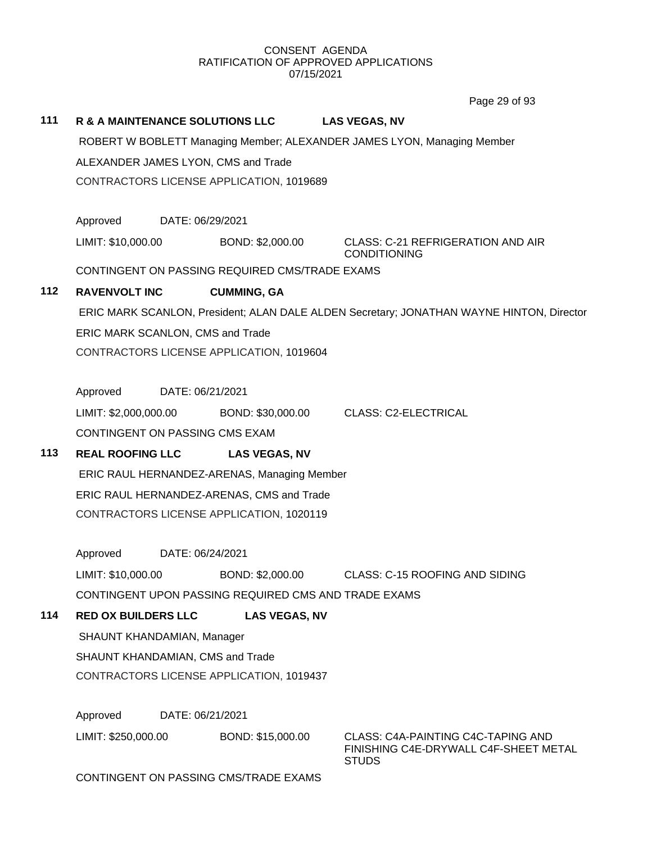Page 29 of 93

|     |                                             |                                                      | Layo za ni an                                                                            |  |  |  |  |  |
|-----|---------------------------------------------|------------------------------------------------------|------------------------------------------------------------------------------------------|--|--|--|--|--|
| 111 |                                             | R & A MAINTENANCE SOLUTIONS LLC                      | <b>LAS VEGAS, NV</b>                                                                     |  |  |  |  |  |
|     |                                             |                                                      | ROBERT W BOBLETT Managing Member; ALEXANDER JAMES LYON, Managing Member                  |  |  |  |  |  |
|     | ALEXANDER JAMES LYON, CMS and Trade         |                                                      |                                                                                          |  |  |  |  |  |
|     |                                             | CONTRACTORS LICENSE APPLICATION, 1019689             |                                                                                          |  |  |  |  |  |
|     |                                             |                                                      |                                                                                          |  |  |  |  |  |
|     | Approved                                    | DATE: 06/29/2021                                     |                                                                                          |  |  |  |  |  |
|     | LIMIT: \$10,000.00                          | BOND: \$2,000.00                                     | <b>CLASS: C-21 REFRIGERATION AND AIR</b><br><b>CONDITIONING</b>                          |  |  |  |  |  |
|     |                                             | CONTINGENT ON PASSING REQUIRED CMS/TRADE EXAMS       |                                                                                          |  |  |  |  |  |
| 112 | <b>RAVENVOLT INC</b>                        | <b>CUMMING, GA</b>                                   |                                                                                          |  |  |  |  |  |
|     |                                             |                                                      | ERIC MARK SCANLON, President; ALAN DALE ALDEN Secretary; JONATHAN WAYNE HINTON, Director |  |  |  |  |  |
|     |                                             | ERIC MARK SCANLON, CMS and Trade                     |                                                                                          |  |  |  |  |  |
|     |                                             | CONTRACTORS LICENSE APPLICATION, 1019604             |                                                                                          |  |  |  |  |  |
|     |                                             |                                                      |                                                                                          |  |  |  |  |  |
|     | Approved                                    | DATE: 06/21/2021                                     |                                                                                          |  |  |  |  |  |
|     | LIMIT: \$2,000,000.00                       | BOND: \$30,000.00                                    | <b>CLASS: C2-ELECTRICAL</b>                                                              |  |  |  |  |  |
|     |                                             | CONTINGENT ON PASSING CMS EXAM                       |                                                                                          |  |  |  |  |  |
| 113 | <b>REAL ROOFING LLC</b>                     | <b>LAS VEGAS, NV</b>                                 |                                                                                          |  |  |  |  |  |
|     | ERIC RAUL HERNANDEZ-ARENAS, Managing Member |                                                      |                                                                                          |  |  |  |  |  |
|     |                                             | ERIC RAUL HERNANDEZ-ARENAS, CMS and Trade            |                                                                                          |  |  |  |  |  |
|     |                                             | CONTRACTORS LICENSE APPLICATION, 1020119             |                                                                                          |  |  |  |  |  |
|     |                                             |                                                      |                                                                                          |  |  |  |  |  |
|     | Approved                                    | DATE: 06/24/2021                                     |                                                                                          |  |  |  |  |  |
|     | LIMIT: \$10,000.00                          | BOND: \$2,000.00                                     | CLASS: C-15 ROOFING AND SIDING                                                           |  |  |  |  |  |
|     |                                             | CONTINGENT UPON PASSING REQUIRED CMS AND TRADE EXAMS |                                                                                          |  |  |  |  |  |
| 114 | <b>RED OX BUILDERS LLC</b>                  | <b>LAS VEGAS, NV</b>                                 |                                                                                          |  |  |  |  |  |
|     | SHAUNT KHANDAMIAN, Manager                  |                                                      |                                                                                          |  |  |  |  |  |
|     | SHAUNT KHANDAMIAN, CMS and Trade            |                                                      |                                                                                          |  |  |  |  |  |
|     | CONTRACTORS LICENSE APPLICATION, 1019437    |                                                      |                                                                                          |  |  |  |  |  |
|     | Approved                                    | DATE: 06/21/2021                                     |                                                                                          |  |  |  |  |  |
|     |                                             |                                                      |                                                                                          |  |  |  |  |  |
|     | LIMIT: \$250,000.00                         | BOND: \$15,000.00                                    | CLASS: C4A-PAINTING C4C-TAPING AND<br>FINISHING C4E-DRYWALL C4F-SHEET METAL              |  |  |  |  |  |

STUDS

CONTINGENT ON PASSING CMS/TRADE EXAMS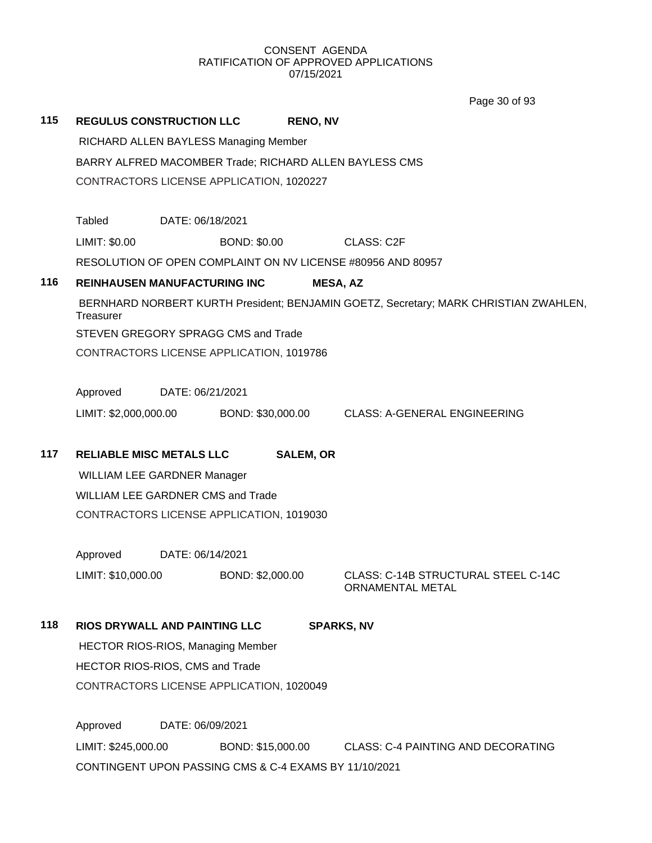Page 30 of 93

| 115 |                                                        | <b>REGULUS CONSTRUCTION LLC</b>          | <b>RENO, NV</b>     |                                                                                      |  |  |
|-----|--------------------------------------------------------|------------------------------------------|---------------------|--------------------------------------------------------------------------------------|--|--|
|     | RICHARD ALLEN BAYLESS Managing Member                  |                                          |                     |                                                                                      |  |  |
|     | BARRY ALFRED MACOMBER Trade; RICHARD ALLEN BAYLESS CMS |                                          |                     |                                                                                      |  |  |
|     | CONTRACTORS LICENSE APPLICATION, 1020227               |                                          |                     |                                                                                      |  |  |
|     |                                                        |                                          |                     |                                                                                      |  |  |
|     | Tabled                                                 | DATE: 06/18/2021                         |                     |                                                                                      |  |  |
|     | LIMIT: \$0.00                                          |                                          | <b>BOND: \$0.00</b> | <b>CLASS: C2F</b>                                                                    |  |  |
|     |                                                        |                                          |                     | RESOLUTION OF OPEN COMPLAINT ON NV LICENSE #80956 AND 80957                          |  |  |
| 116 |                                                        | <b>REINHAUSEN MANUFACTURING INC</b>      |                     | <b>MESA, AZ</b>                                                                      |  |  |
|     | Treasurer                                              |                                          |                     | BERNHARD NORBERT KURTH President; BENJAMIN GOETZ, Secretary; MARK CHRISTIAN ZWAHLEN, |  |  |
|     |                                                        | STEVEN GREGORY SPRAGG CMS and Trade      |                     |                                                                                      |  |  |
|     |                                                        | CONTRACTORS LICENSE APPLICATION, 1019786 |                     |                                                                                      |  |  |
|     |                                                        |                                          |                     |                                                                                      |  |  |
|     | Approved                                               | DATE: 06/21/2021                         |                     |                                                                                      |  |  |
|     | LIMIT: \$2,000,000.00                                  |                                          | BOND: \$30,000.00   | <b>CLASS: A-GENERAL ENGINEERING</b>                                                  |  |  |
|     |                                                        |                                          |                     |                                                                                      |  |  |
| 117 | <b>RELIABLE MISC METALS LLC</b>                        |                                          | <b>SALEM, OR</b>    |                                                                                      |  |  |
|     |                                                        | <b>WILLIAM LEE GARDNER Manager</b>       |                     |                                                                                      |  |  |
|     |                                                        | <b>WILLIAM LEE GARDNER CMS and Trade</b> |                     |                                                                                      |  |  |
|     |                                                        | CONTRACTORS LICENSE APPLICATION, 1019030 |                     |                                                                                      |  |  |
|     |                                                        |                                          |                     |                                                                                      |  |  |
|     | Approved                                               | DATE: 06/14/2021                         |                     |                                                                                      |  |  |
|     | LIMIT: \$10,000.00                                     |                                          | BOND: \$2,000.00    | CLASS: C-14B STRUCTURAL STEEL C-14C<br>ORNAMENTAL METAL                              |  |  |
| 118 |                                                        | RIOS DRYWALL AND PAINTING LLC            |                     | <b>SPARKS, NV</b>                                                                    |  |  |
|     |                                                        | <b>HECTOR RIOS-RIOS, Managing Member</b> |                     |                                                                                      |  |  |
|     |                                                        | HECTOR RIOS-RIOS, CMS and Trade          |                     |                                                                                      |  |  |
|     |                                                        | CONTRACTORS LICENSE APPLICATION, 1020049 |                     |                                                                                      |  |  |
|     |                                                        |                                          |                     |                                                                                      |  |  |
|     | Approved                                               | DATE: 06/09/2021                         |                     |                                                                                      |  |  |

LIMIT: \$245,000.00 BOND: \$15,000.00 CLASS: C-4 PAINTING AND DECORATING CONTINGENT UPON PASSING CMS & C-4 EXAMS BY 11/10/2021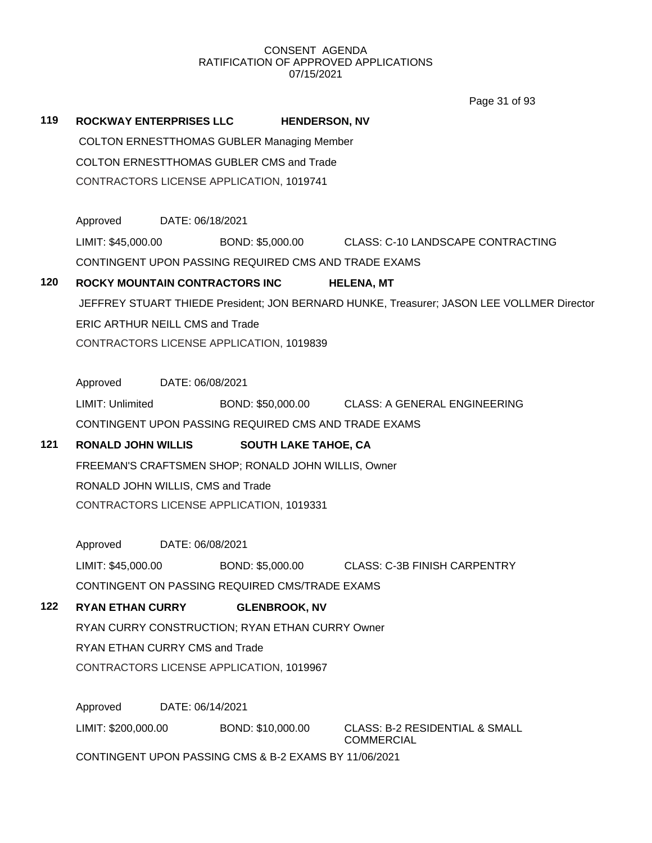Page 31 of 93

| 119 | <b>ROCKWAY ENTERPRISES LLC</b>                        |                  | <b>HENDERSON, NV</b>                                 |                                                                                           |  |  |  |  |  |
|-----|-------------------------------------------------------|------------------|------------------------------------------------------|-------------------------------------------------------------------------------------------|--|--|--|--|--|
|     | <b>COLTON ERNESTTHOMAS GUBLER Managing Member</b>     |                  |                                                      |                                                                                           |  |  |  |  |  |
|     | <b>COLTON ERNESTTHOMAS GUBLER CMS and Trade</b>       |                  |                                                      |                                                                                           |  |  |  |  |  |
|     |                                                       |                  | CONTRACTORS LICENSE APPLICATION, 1019741             |                                                                                           |  |  |  |  |  |
|     |                                                       |                  |                                                      |                                                                                           |  |  |  |  |  |
|     | Approved DATE: 06/18/2021                             |                  |                                                      |                                                                                           |  |  |  |  |  |
|     | LIMIT: \$45,000.00                                    |                  |                                                      | BOND: \$5,000.00 CLASS: C-10 LANDSCAPE CONTRACTING                                        |  |  |  |  |  |
|     | CONTINGENT UPON PASSING REQUIRED CMS AND TRADE EXAMS  |                  |                                                      |                                                                                           |  |  |  |  |  |
| 120 | ROCKY MOUNTAIN CONTRACTORS INC                        |                  |                                                      | <b>HELENA, MT</b>                                                                         |  |  |  |  |  |
|     |                                                       |                  |                                                      | JEFFREY STUART THIEDE President; JON BERNARD HUNKE, Treasurer; JASON LEE VOLLMER Director |  |  |  |  |  |
|     | <b>ERIC ARTHUR NEILL CMS and Trade</b>                |                  |                                                      |                                                                                           |  |  |  |  |  |
|     |                                                       |                  | CONTRACTORS LICENSE APPLICATION, 1019839             |                                                                                           |  |  |  |  |  |
|     | Approved                                              | DATE: 06/08/2021 |                                                      |                                                                                           |  |  |  |  |  |
|     | LIMIT: Unlimited                                      |                  |                                                      | BOND: \$50,000.00 CLASS: A GENERAL ENGINEERING                                            |  |  |  |  |  |
|     |                                                       |                  | CONTINGENT UPON PASSING REQUIRED CMS AND TRADE EXAMS |                                                                                           |  |  |  |  |  |
| 121 | RONALD JOHN WILLIS                                    |                  | <b>SOUTH LAKE TAHOE, CA</b>                          |                                                                                           |  |  |  |  |  |
|     | FREEMAN'S CRAFTSMEN SHOP; RONALD JOHN WILLIS, Owner   |                  |                                                      |                                                                                           |  |  |  |  |  |
|     | RONALD JOHN WILLIS, CMS and Trade                     |                  |                                                      |                                                                                           |  |  |  |  |  |
|     | CONTRACTORS LICENSE APPLICATION, 1019331              |                  |                                                      |                                                                                           |  |  |  |  |  |
|     | Approved                                              | DATE: 06/08/2021 |                                                      |                                                                                           |  |  |  |  |  |
|     | LIMIT: \$45,000.00                                    |                  |                                                      | BOND: \$5,000.00 CLASS: C-3B FINISH CARPENTRY                                             |  |  |  |  |  |
|     |                                                       |                  | CONTINGENT ON PASSING REQUIRED CMS/TRADE EXAMS       |                                                                                           |  |  |  |  |  |
| 122 | <b>RYAN ETHAN CURRY</b>                               |                  | <b>GLENBROOK, NV</b>                                 |                                                                                           |  |  |  |  |  |
|     |                                                       |                  | RYAN CURRY CONSTRUCTION; RYAN ETHAN CURRY Owner      |                                                                                           |  |  |  |  |  |
|     | RYAN ETHAN CURRY CMS and Trade                        |                  |                                                      |                                                                                           |  |  |  |  |  |
|     | CONTRACTORS LICENSE APPLICATION, 1019967              |                  |                                                      |                                                                                           |  |  |  |  |  |
|     | Approved                                              | DATE: 06/14/2021 |                                                      |                                                                                           |  |  |  |  |  |
|     | LIMIT: \$200,000.00                                   |                  | BOND: \$10,000.00                                    | <b>CLASS: B-2 RESIDENTIAL &amp; SMALL</b><br><b>COMMERCIAL</b>                            |  |  |  |  |  |
|     | CONTINGENT UPON PASSING CMS & B-2 EXAMS BY 11/06/2021 |                  |                                                      |                                                                                           |  |  |  |  |  |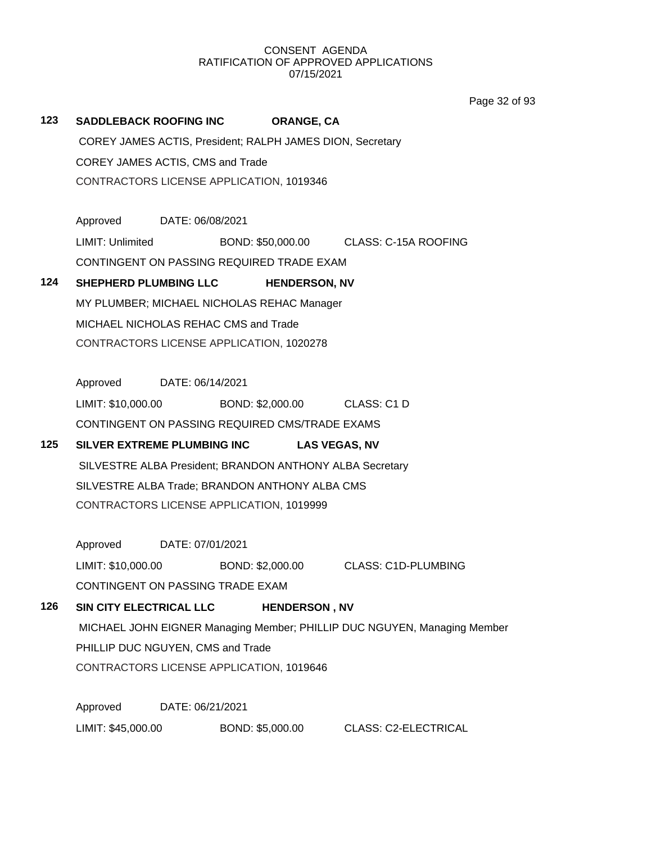Page 32 of 93

## **123 SADDLEBACK ROOFING INC ORANGE, CA** COREY JAMES ACTIS, President; RALPH JAMES DION, Secretary COREY JAMES ACTIS, CMS and Trade CONTRACTORS LICENSE APPLICATION, 1019346 Approved DATE: 06/08/2021 LIMIT: Unlimited BOND: \$50,000.00 CLASS: C-15A ROOFING CONTINGENT ON PASSING REQUIRED TRADE EXAM **124 SHEPHERD PLUMBING LLC HENDERSON, NV** MY PLUMBER; MICHAEL NICHOLAS REHAC Manager MICHAEL NICHOLAS REHAC CMS and Trade CONTRACTORS LICENSE APPLICATION, 1020278 Approved DATE: 06/14/2021 LIMIT: \$10,000.00 BOND: \$2,000.00 CLASS: C1 D CONTINGENT ON PASSING REQUIRED CMS/TRADE EXAMS **125 SILVER EXTREME PLUMBING INC LAS VEGAS, NV** SILVESTRE ALBA President; BRANDON ANTHONY ALBA Secretary SILVESTRE ALBA Trade; BRANDON ANTHONY ALBA CMS CONTRACTORS LICENSE APPLICATION, 1019999 Approved DATE: 07/01/2021 LIMIT: \$10,000.00 BOND: \$2,000.00 CLASS: C1D-PLUMBING CONTINGENT ON PASSING TRADE EXAM **126 SIN CITY ELECTRICAL LLC HENDERSON , NV** MICHAEL JOHN EIGNER Managing Member; PHILLIP DUC NGUYEN, Managing Member PHILLIP DUC NGUYEN, CMS and Trade CONTRACTORS LICENSE APPLICATION, 1019646 Approved DATE: 06/21/2021

LIMIT: \$45,000.00 BOND: \$5,000.00 CLASS: C2-ELECTRICAL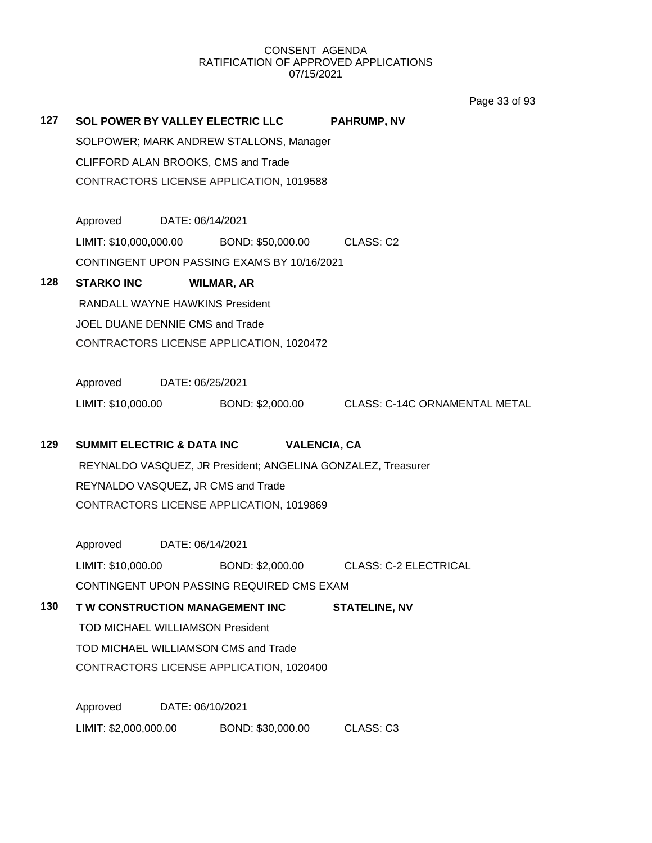Page 33 of 93

| 127                              |                                                              |                  | SOL POWER BY VALLEY ELECTRIC LLC<br>SOLPOWER; MARK ANDREW STALLONS, Manager<br>CLIFFORD ALAN BROOKS, CMS and Trade<br>CONTRACTORS LICENSE APPLICATION, 1019588 | <b>PAHRUMP, NV</b>                                                |  |  |
|----------------------------------|--------------------------------------------------------------|------------------|----------------------------------------------------------------------------------------------------------------------------------------------------------------|-------------------------------------------------------------------|--|--|
|                                  | Approved DATE: 06/14/2021                                    |                  |                                                                                                                                                                |                                                                   |  |  |
|                                  |                                                              |                  | LIMIT: \$10,000,000.00 BOND: \$50,000.00 CLASS: C2                                                                                                             |                                                                   |  |  |
|                                  |                                                              |                  | CONTINGENT UPON PASSING EXAMS BY 10/16/2021                                                                                                                    |                                                                   |  |  |
| 128                              | <b>STARKO INC</b>                                            |                  | <b>WILMAR, AR</b>                                                                                                                                              |                                                                   |  |  |
|                                  | RANDALL WAYNE HAWKINS President                              |                  |                                                                                                                                                                |                                                                   |  |  |
|                                  | JOEL DUANE DENNIE CMS and Trade                              |                  |                                                                                                                                                                |                                                                   |  |  |
|                                  |                                                              |                  | CONTRACTORS LICENSE APPLICATION, 1020472                                                                                                                       |                                                                   |  |  |
|                                  |                                                              |                  |                                                                                                                                                                |                                                                   |  |  |
|                                  | Approved DATE: 06/25/2021                                    |                  |                                                                                                                                                                |                                                                   |  |  |
|                                  |                                                              |                  |                                                                                                                                                                | LIMIT: \$10,000.00 BOND: \$2,000.00 CLASS: C-14C ORNAMENTAL METAL |  |  |
| 129                              | <b>SUMMIT ELECTRIC &amp; DATA INC</b>                        |                  |                                                                                                                                                                | <b>VALENCIA, CA</b>                                               |  |  |
|                                  | REYNALDO VASQUEZ, JR President; ANGELINA GONZALEZ, Treasurer |                  |                                                                                                                                                                |                                                                   |  |  |
|                                  | REYNALDO VASQUEZ, JR CMS and Trade                           |                  |                                                                                                                                                                |                                                                   |  |  |
|                                  | CONTRACTORS LICENSE APPLICATION, 1019869                     |                  |                                                                                                                                                                |                                                                   |  |  |
|                                  |                                                              |                  |                                                                                                                                                                |                                                                   |  |  |
|                                  | Approved DATE: 06/14/2021                                    |                  |                                                                                                                                                                |                                                                   |  |  |
|                                  | LIMIT: \$10,000.00                                           |                  |                                                                                                                                                                | BOND: \$2,000.00 CLASS: C-2 ELECTRICAL                            |  |  |
|                                  | CONTINGENT UPON PASSING REQUIRED CMS EXAM                    |                  |                                                                                                                                                                |                                                                   |  |  |
| 130                              | T W CONSTRUCTION MANAGEMENT INC                              |                  |                                                                                                                                                                | <b>STATELINE, NV</b>                                              |  |  |
| TOD MICHAEL WILLIAMSON President |                                                              |                  |                                                                                                                                                                |                                                                   |  |  |
|                                  | TOD MICHAEL WILLIAMSON CMS and Trade                         |                  |                                                                                                                                                                |                                                                   |  |  |
|                                  | CONTRACTORS LICENSE APPLICATION, 1020400                     |                  |                                                                                                                                                                |                                                                   |  |  |
|                                  |                                                              | DATE: 06/10/2021 |                                                                                                                                                                |                                                                   |  |  |
|                                  | Approved                                                     |                  |                                                                                                                                                                |                                                                   |  |  |
|                                  | LIMIT: \$2,000,000.00                                        |                  | BOND: \$30,000.00                                                                                                                                              | CLASS: C3                                                         |  |  |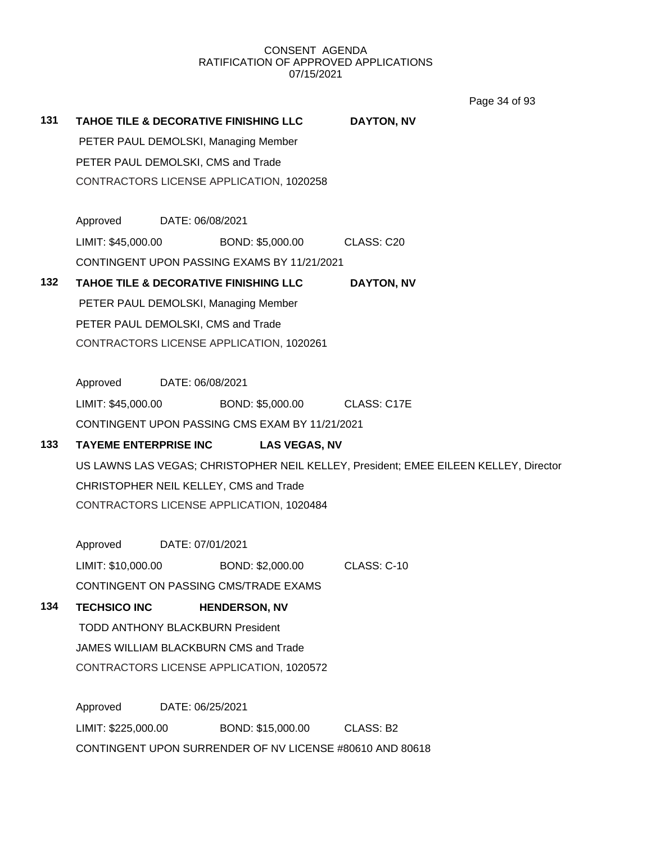Page 34 of 93

| 131 |                                                                                      |                                                          | TAHOE TILE & DECORATIVE FINISHING LLC          | <b>DAYTON, NV</b> |  |  |  |
|-----|--------------------------------------------------------------------------------------|----------------------------------------------------------|------------------------------------------------|-------------------|--|--|--|
|     | PETER PAUL DEMOLSKI, Managing Member                                                 |                                                          |                                                |                   |  |  |  |
|     | PETER PAUL DEMOLSKI, CMS and Trade                                                   |                                                          |                                                |                   |  |  |  |
|     | CONTRACTORS LICENSE APPLICATION, 1020258                                             |                                                          |                                                |                   |  |  |  |
|     | Approved DATE: 06/08/2021                                                            |                                                          |                                                |                   |  |  |  |
|     | LIMIT: \$45,000.00                                                                   |                                                          | BOND: \$5,000.00 CLASS: C20                    |                   |  |  |  |
|     |                                                                                      |                                                          | CONTINGENT UPON PASSING EXAMS BY 11/21/2021    |                   |  |  |  |
| 132 | TAHOE TILE & DECORATIVE FINISHING LLC<br>DAYTON, NV                                  |                                                          |                                                |                   |  |  |  |
|     | PETER PAUL DEMOLSKI, Managing Member                                                 |                                                          |                                                |                   |  |  |  |
|     | PETER PAUL DEMOLSKI, CMS and Trade                                                   |                                                          |                                                |                   |  |  |  |
|     |                                                                                      | CONTRACTORS LICENSE APPLICATION, 1020261                 |                                                |                   |  |  |  |
|     | Approved DATE: 06/08/2021                                                            |                                                          |                                                |                   |  |  |  |
|     | LIMIT: \$45,000.00                                                                   |                                                          | BOND: \$5,000.00 CLASS: C17E                   |                   |  |  |  |
|     |                                                                                      |                                                          | CONTINGENT UPON PASSING CMS EXAM BY 11/21/2021 |                   |  |  |  |
| 133 | <b>TAYEME ENTERPRISE INC</b><br><b>LAS VEGAS, NV</b>                                 |                                                          |                                                |                   |  |  |  |
|     | US LAWNS LAS VEGAS; CHRISTOPHER NEIL KELLEY, President; EMEE EILEEN KELLEY, Director |                                                          |                                                |                   |  |  |  |
|     | CHRISTOPHER NEIL KELLEY, CMS and Trade                                               |                                                          |                                                |                   |  |  |  |
|     | CONTRACTORS LICENSE APPLICATION, 1020484                                             |                                                          |                                                |                   |  |  |  |
|     | Approved DATE: 07/01/2021                                                            |                                                          |                                                |                   |  |  |  |
|     | LIMIT: \$10,000.00                                                                   |                                                          | BOND: \$2,000.00 CLASS: C-10                   |                   |  |  |  |
|     | CONTINGENT ON PASSING CMS/TRADE EXAMS                                                |                                                          |                                                |                   |  |  |  |
| 134 | <b>TECHSICO INC</b><br><b>HENDERSON, NV</b>                                          |                                                          |                                                |                   |  |  |  |
|     | <b>TODD ANTHONY BLACKBURN President</b>                                              |                                                          |                                                |                   |  |  |  |
|     | JAMES WILLIAM BLACKBURN CMS and Trade                                                |                                                          |                                                |                   |  |  |  |
|     | CONTRACTORS LICENSE APPLICATION, 1020572                                             |                                                          |                                                |                   |  |  |  |
|     | Approved                                                                             | DATE: 06/25/2021                                         |                                                |                   |  |  |  |
|     | LIMIT: \$225,000.00                                                                  |                                                          | BOND: \$15,000.00                              | CLASS: B2         |  |  |  |
|     |                                                                                      | CONTINGENT UPON SURRENDER OF NV LICENSE #80610 AND 80618 |                                                |                   |  |  |  |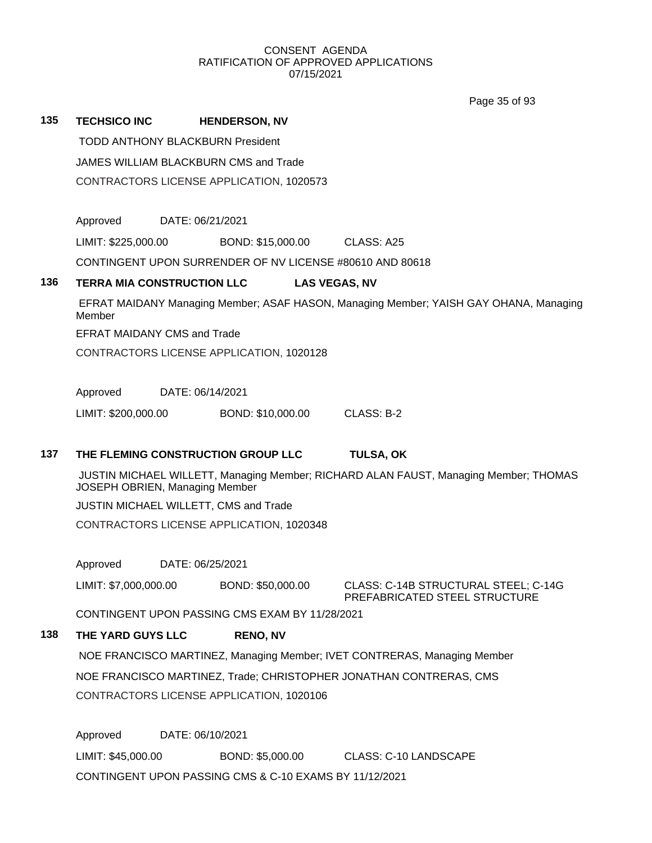Page 35 of 93

| 135 | <b>TECHSICO INC</b>                                                                                                        |                                    | <b>HENDERSON, NV</b>                                     |                                                                       |  |  |  |  |  |
|-----|----------------------------------------------------------------------------------------------------------------------------|------------------------------------|----------------------------------------------------------|-----------------------------------------------------------------------|--|--|--|--|--|
|     | <b>TODD ANTHONY BLACKBURN President</b>                                                                                    |                                    |                                                          |                                                                       |  |  |  |  |  |
|     | JAMES WILLIAM BLACKBURN CMS and Trade                                                                                      |                                    |                                                          |                                                                       |  |  |  |  |  |
|     |                                                                                                                            |                                    | CONTRACTORS LICENSE APPLICATION, 1020573                 |                                                                       |  |  |  |  |  |
|     | Approved                                                                                                                   | DATE: 06/21/2021                   |                                                          |                                                                       |  |  |  |  |  |
|     | LIMIT: \$225,000.00                                                                                                        |                                    | BOND: \$15,000.00                                        | CLASS: A25                                                            |  |  |  |  |  |
|     |                                                                                                                            |                                    | CONTINGENT UPON SURRENDER OF NV LICENSE #80610 AND 80618 |                                                                       |  |  |  |  |  |
|     |                                                                                                                            |                                    |                                                          |                                                                       |  |  |  |  |  |
| 136 | <b>TERRA MIA CONSTRUCTION LLC</b><br><b>LAS VEGAS, NV</b>                                                                  |                                    |                                                          |                                                                       |  |  |  |  |  |
|     | EFRAT MAIDANY Managing Member; ASAF HASON, Managing Member; YAISH GAY OHANA, Managing<br>Member                            |                                    |                                                          |                                                                       |  |  |  |  |  |
|     |                                                                                                                            | <b>EFRAT MAIDANY CMS and Trade</b> |                                                          |                                                                       |  |  |  |  |  |
|     | CONTRACTORS LICENSE APPLICATION, 1020128                                                                                   |                                    |                                                          |                                                                       |  |  |  |  |  |
|     | Approved                                                                                                                   | DATE: 06/14/2021                   |                                                          |                                                                       |  |  |  |  |  |
|     | LIMIT: \$200,000.00                                                                                                        |                                    | BOND: \$10,000.00                                        | CLASS: B-2                                                            |  |  |  |  |  |
| 137 |                                                                                                                            |                                    |                                                          | <b>TULSA, OK</b>                                                      |  |  |  |  |  |
|     | THE FLEMING CONSTRUCTION GROUP LLC<br>JUSTIN MICHAEL WILLETT, Managing Member; RICHARD ALAN FAUST, Managing Member; THOMAS |                                    |                                                          |                                                                       |  |  |  |  |  |
|     | JOSEPH OBRIEN, Managing Member                                                                                             |                                    |                                                          |                                                                       |  |  |  |  |  |
|     | JUSTIN MICHAEL WILLETT, CMS and Trade                                                                                      |                                    |                                                          |                                                                       |  |  |  |  |  |
|     |                                                                                                                            |                                    | CONTRACTORS LICENSE APPLICATION, 1020348                 |                                                                       |  |  |  |  |  |
|     | Approved                                                                                                                   | DATE: 06/25/2021                   |                                                          |                                                                       |  |  |  |  |  |
|     | LIMIT: \$7,000,000.00                                                                                                      |                                    | BOND: \$50,000.00                                        | CLASS: C-14B STRUCTURAL STEEL; C-14G<br>PREFABRICATED STEEL STRUCTURE |  |  |  |  |  |
|     | CONTINGENT UPON PASSING CMS EXAM BY 11/28/2021                                                                             |                                    |                                                          |                                                                       |  |  |  |  |  |
| 138 | THE YARD GUYS LLC                                                                                                          |                                    | <b>RENO, NV</b>                                          |                                                                       |  |  |  |  |  |
|     | NOE FRANCISCO MARTINEZ, Managing Member; IVET CONTRERAS, Managing Member                                                   |                                    |                                                          |                                                                       |  |  |  |  |  |
|     | NOE FRANCISCO MARTINEZ, Trade; CHRISTOPHER JONATHAN CONTRERAS, CMS                                                         |                                    |                                                          |                                                                       |  |  |  |  |  |
|     | CONTRACTORS LICENSE APPLICATION, 1020106                                                                                   |                                    |                                                          |                                                                       |  |  |  |  |  |
|     | Approved                                                                                                                   | DATE: 06/10/2021                   |                                                          |                                                                       |  |  |  |  |  |
|     |                                                                                                                            |                                    |                                                          |                                                                       |  |  |  |  |  |

LIMIT: \$45,000.00 BOND: \$5,000.00 CLASS: C-10 LANDSCAPE CONTINGENT UPON PASSING CMS & C-10 EXAMS BY 11/12/2021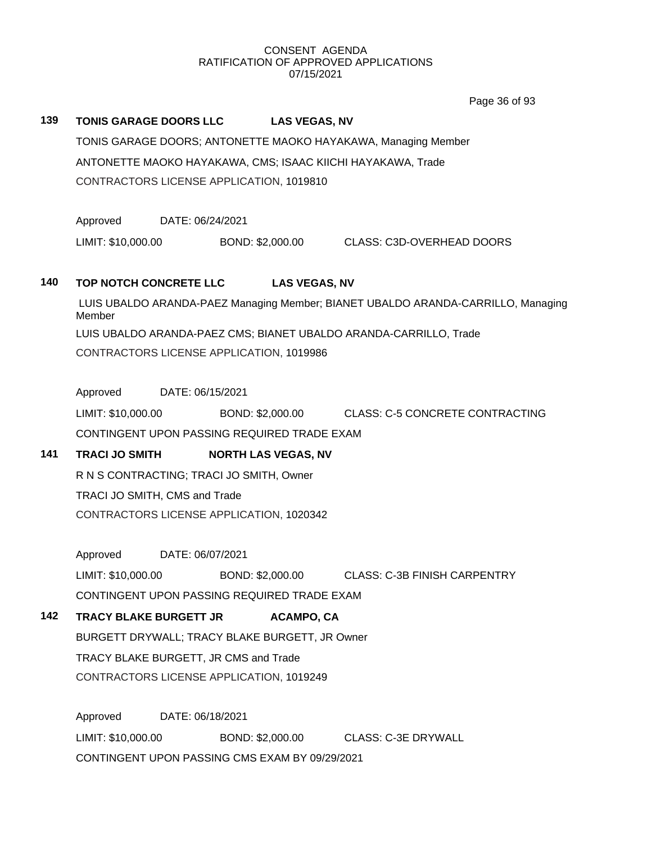Page 36 of 93

# **139 TONIS GARAGE DOORS LLC LAS VEGAS, NV**

TONIS GARAGE DOORS; ANTONETTE MAOKO HAYAKAWA, Managing Member ANTONETTE MAOKO HAYAKAWA, CMS; ISAAC KIICHI HAYAKAWA, Trade CONTRACTORS LICENSE APPLICATION, 1019810

Approved DATE: 06/24/2021

LIMIT: \$10,000.00 BOND: \$2,000.00 CLASS: C3D-OVERHEAD DOORS

# **140 TOP NOTCH CONCRETE LLC LAS VEGAS, NV**

LUIS UBALDO ARANDA-PAEZ Managing Member; BIANET UBALDO ARANDA-CARRILLO, Managing Member LUIS UBALDO ARANDA-PAEZ CMS; BIANET UBALDO ARANDA-CARRILLO, Trade CONTRACTORS LICENSE APPLICATION, 1019986

Approved DATE: 06/15/2021

LIMIT: \$10,000.00 BOND: \$2,000.00 CLASS: C-5 CONCRETE CONTRACTING CONTINGENT UPON PASSING REQUIRED TRADE EXAM

# 141 **TRACI JO SMITH NORTH LAS VEGAS, NV**

R N S CONTRACTING; TRACI JO SMITH, Owner TRACI JO SMITH, CMS and Trade CONTRACTORS LICENSE APPLICATION, 1020342

Approved DATE: 06/07/2021

LIMIT: \$10,000.00 BOND: \$2,000.00 CLASS: C-3B FINISH CARPENTRY

CONTINGENT UPON PASSING REQUIRED TRADE EXAM

# **142 TRACY BLAKE BURGETT JR ACAMPO, CA**

BURGETT DRYWALL; TRACY BLAKE BURGETT, JR Owner TRACY BLAKE BURGETT, JR CMS and Trade CONTRACTORS LICENSE APPLICATION, 1019249

Approved DATE: 06/18/2021 LIMIT: \$10,000.00 BOND: \$2,000.00 CLASS: C-3E DRYWALL CONTINGENT UPON PASSING CMS EXAM BY 09/29/2021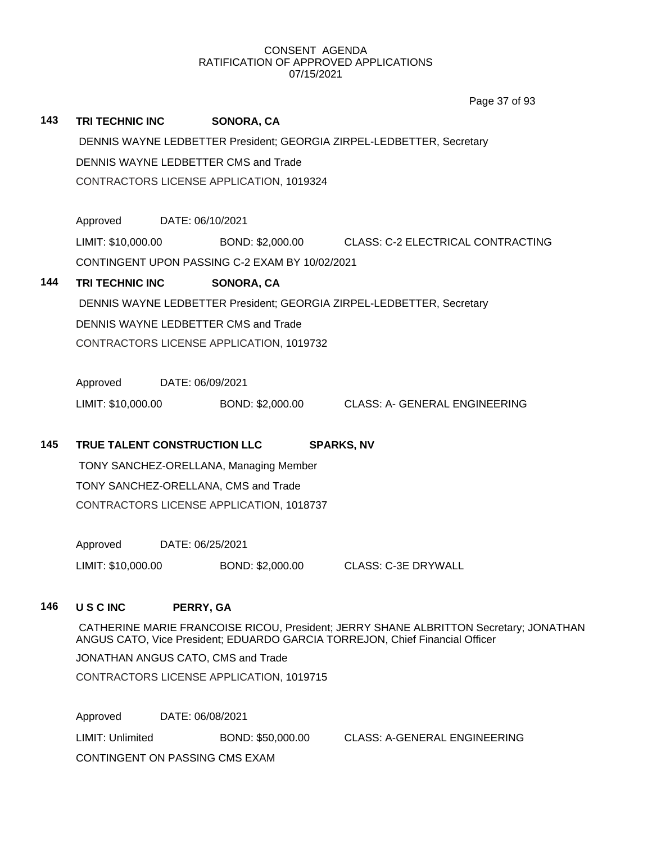|     |                                                                                                                                                                       |                                                                       |                                          | Page 37 of 93                                      |  |  |  |  |  |
|-----|-----------------------------------------------------------------------------------------------------------------------------------------------------------------------|-----------------------------------------------------------------------|------------------------------------------|----------------------------------------------------|--|--|--|--|--|
| 143 | <b>TRI TECHNIC INC</b>                                                                                                                                                |                                                                       | <b>SONORA, CA</b>                        |                                                    |  |  |  |  |  |
|     | DENNIS WAYNE LEDBETTER President; GEORGIA ZIRPEL-LEDBETTER, Secretary                                                                                                 |                                                                       |                                          |                                                    |  |  |  |  |  |
|     | DENNIS WAYNE LEDBETTER CMS and Trade                                                                                                                                  |                                                                       |                                          |                                                    |  |  |  |  |  |
|     |                                                                                                                                                                       |                                                                       | CONTRACTORS LICENSE APPLICATION, 1019324 |                                                    |  |  |  |  |  |
|     | Approved                                                                                                                                                              |                                                                       | DATE: 06/10/2021                         |                                                    |  |  |  |  |  |
|     | LIMIT: \$10,000.00                                                                                                                                                    |                                                                       |                                          | BOND: \$2,000.00 CLASS: C-2 ELECTRICAL CONTRACTING |  |  |  |  |  |
|     | CONTINGENT UPON PASSING C-2 EXAM BY 10/02/2021                                                                                                                        |                                                                       |                                          |                                                    |  |  |  |  |  |
| 144 | <b>TRI TECHNIC INC</b>                                                                                                                                                |                                                                       | SONORA, CA                               |                                                    |  |  |  |  |  |
|     |                                                                                                                                                                       | DENNIS WAYNE LEDBETTER President; GEORGIA ZIRPEL-LEDBETTER, Secretary |                                          |                                                    |  |  |  |  |  |
|     |                                                                                                                                                                       | DENNIS WAYNE LEDBETTER CMS and Trade                                  |                                          |                                                    |  |  |  |  |  |
|     |                                                                                                                                                                       |                                                                       | CONTRACTORS LICENSE APPLICATION, 1019732 |                                                    |  |  |  |  |  |
|     | Approved                                                                                                                                                              |                                                                       | DATE: 06/09/2021                         |                                                    |  |  |  |  |  |
|     | LIMIT: \$10,000.00                                                                                                                                                    |                                                                       | BOND: \$2,000.00                         | <b>CLASS: A- GENERAL ENGINEERING</b>               |  |  |  |  |  |
| 145 | TRUE TALENT CONSTRUCTION LLC<br><b>SPARKS, NV</b>                                                                                                                     |                                                                       |                                          |                                                    |  |  |  |  |  |
|     | TONY SANCHEZ-ORELLANA, Managing Member                                                                                                                                |                                                                       |                                          |                                                    |  |  |  |  |  |
|     | TONY SANCHEZ-ORELLANA, CMS and Trade                                                                                                                                  |                                                                       |                                          |                                                    |  |  |  |  |  |
|     | CONTRACTORS LICENSE APPLICATION, 1018737                                                                                                                              |                                                                       |                                          |                                                    |  |  |  |  |  |
|     | Approved                                                                                                                                                              |                                                                       | DATE: 06/25/2021                         |                                                    |  |  |  |  |  |
|     | LIMIT: \$10,000.00                                                                                                                                                    |                                                                       | BOND: \$2,000.00                         | <b>CLASS: C-3E DRYWALL</b>                         |  |  |  |  |  |
| 146 | <b>USCINC</b>                                                                                                                                                         |                                                                       | PERRY, GA                                |                                                    |  |  |  |  |  |
|     | CATHERINE MARIE FRANCOISE RICOU, President; JERRY SHANE ALBRITTON Secretary; JONATHAN<br>ANGUS CATO, Vice President; EDUARDO GARCIA TORREJON, Chief Financial Officer |                                                                       |                                          |                                                    |  |  |  |  |  |
|     | JONATHAN ANGUS CATO, CMS and Trade                                                                                                                                    |                                                                       |                                          |                                                    |  |  |  |  |  |
|     | CONTRACTORS LICENSE APPLICATION, 1019715                                                                                                                              |                                                                       |                                          |                                                    |  |  |  |  |  |
|     | Approved                                                                                                                                                              |                                                                       | DATE: 06/08/2021                         |                                                    |  |  |  |  |  |
|     | LIMIT: Unlimited                                                                                                                                                      |                                                                       | BOND: \$50,000.00                        | <b>CLASS: A-GENERAL ENGINEERING</b>                |  |  |  |  |  |
|     | CONTINGENT ON PASSING CMS EXAM                                                                                                                                        |                                                                       |                                          |                                                    |  |  |  |  |  |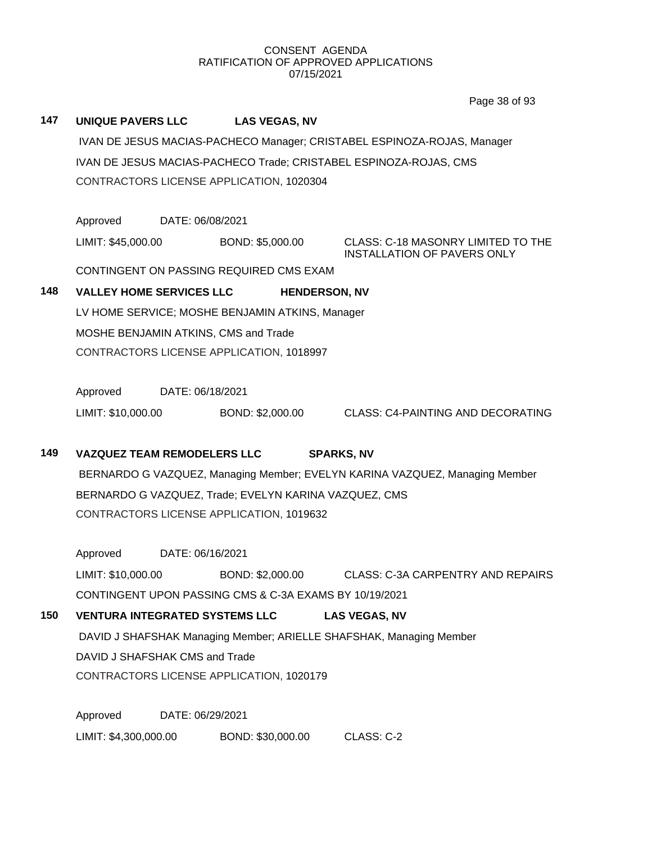# **147 UNIQUE PAVERS LLC LAS VEGAS, NV** IVAN DE JESUS MACIAS-PACHECO Manager; CRISTABEL ESPINOZA-ROJAS, Manager IVAN DE JESUS MACIAS-PACHECO Trade; CRISTABEL ESPINOZA-ROJAS, CMS CONTRACTORS LICENSE APPLICATION, 1020304 Approved DATE: 06/08/2021 LIMIT: \$45,000.00 BOND: \$5,000.00 CLASS: C-18 MASONRY LIMITED TO THE INSTALLATION OF PAVERS ONLY CONTINGENT ON PASSING REQUIRED CMS EXAM **148 VALLEY HOME SERVICES LLC HENDERSON, NV** LV HOME SERVICE; MOSHE BENJAMIN ATKINS, Manager MOSHE BENJAMIN ATKINS, CMS and Trade CONTRACTORS LICENSE APPLICATION, 1018997 Approved DATE: 06/18/2021 LIMIT: \$10,000.00 BOND: \$2,000.00 CLASS: C4-PAINTING AND DECORATING **149 VAZQUEZ TEAM REMODELERS LLC SPARKS, NV** BERNARDO G VAZQUEZ, Managing Member; EVELYN KARINA VAZQUEZ, Managing Member BERNARDO G VAZQUEZ, Trade; EVELYN KARINA VAZQUEZ, CMS CONTRACTORS LICENSE APPLICATION, 1019632 Approved DATE: 06/16/2021 LIMIT: \$10,000.00 BOND: \$2,000.00 CLASS: C-3A CARPENTRY AND REPAIRS CONTINGENT UPON PASSING CMS & C-3A EXAMS BY 10/19/2021 **150 VENTURA INTEGRATED SYSTEMS LLC LAS VEGAS, NV** DAVID J SHAFSHAK Managing Member; ARIELLE SHAFSHAK, Managing Member DAVID J SHAFSHAK CMS and Trade CONTRACTORS LICENSE APPLICATION, 1020179 Approved DATE: 06/29/2021 LIMIT: \$4,300,000.00 BOND: \$30,000.00 CLASS: C-2 Page 38 of 93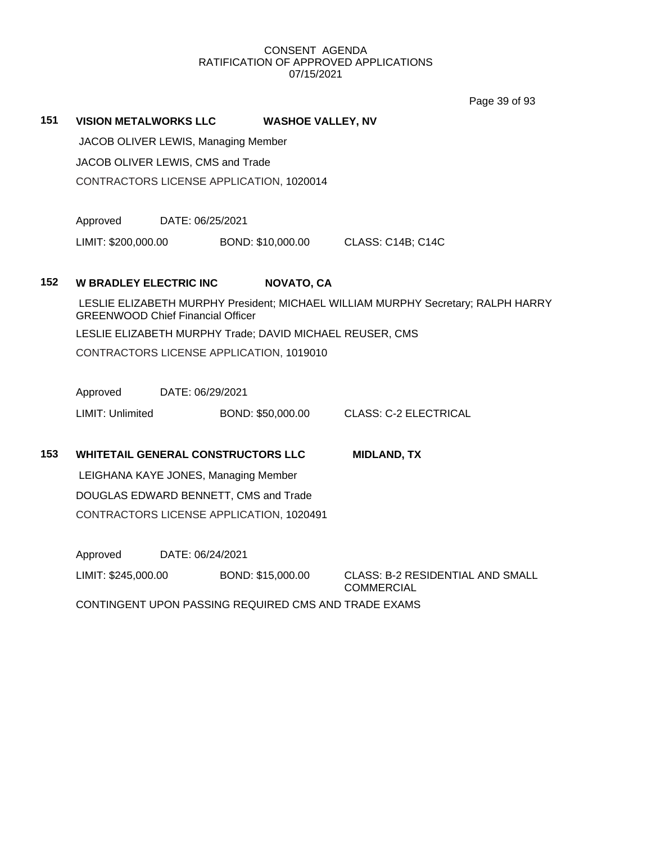Page 39 of 93

# **151 VISION METALWORKS LLC WASHOE VALLEY, NV**

JACOB OLIVER LEWIS, Managing Member

JACOB OLIVER LEWIS, CMS and Trade

CONTRACTORS LICENSE APPLICATION, 1020014

Approved DATE: 06/25/2021

LIMIT: \$200,000.00 BOND: \$10,000.00 CLASS: C14B; C14C

# **152 W BRADLEY ELECTRIC INC NOVATO, CA**

LESLIE ELIZABETH MURPHY President; MICHAEL WILLIAM MURPHY Secretary; RALPH HARRY GREENWOOD Chief Financial Officer LESLIE ELIZABETH MURPHY Trade; DAVID MICHAEL REUSER, CMS CONTRACTORS LICENSE APPLICATION, 1019010

Approved DATE: 06/29/2021

LIMIT: Unlimited BOND: \$50,000.00 CLASS: C-2 ELECTRICAL

# **153 WHITETAIL GENERAL CONSTRUCTORS LLC MIDLAND, TX**

LEIGHANA KAYE JONES, Managing Member DOUGLAS EDWARD BENNETT, CMS and Trade CONTRACTORS LICENSE APPLICATION, 1020491

Approved DATE: 06/24/2021

LIMIT: \$245,000.00 BOND: \$15,000.00 CLASS: B-2 RESIDENTIAL AND SMALL

**COMMERCIAL** 

CONTINGENT UPON PASSING REQUIRED CMS AND TRADE EXAMS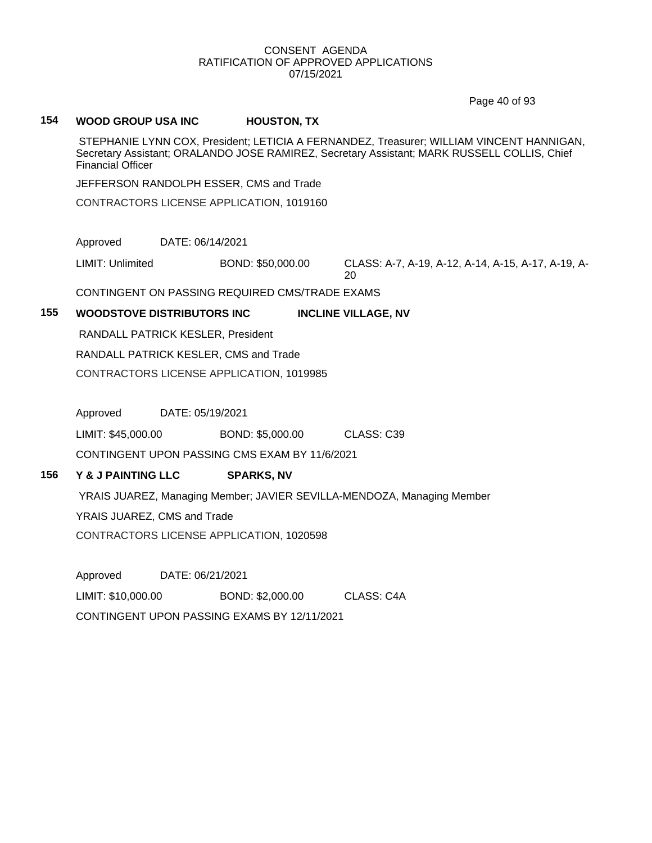Page 40 of 93

# **154 WOOD GROUP USA INC HOUSTON, TX**

STEPHANIE LYNN COX, President; LETICIA A FERNANDEZ, Treasurer; WILLIAM VINCENT HANNIGAN, Secretary Assistant; ORALANDO JOSE RAMIREZ, Secretary Assistant; MARK RUSSELL COLLIS, Chief Financial Officer

JEFFERSON RANDOLPH ESSER, CMS and Trade

CONTRACTORS LICENSE APPLICATION, 1019160

Approved DATE: 06/14/2021

LIMIT: Unlimited BOND: \$50,000.00 CLASS: A-7, A-19, A-12, A-14, A-15, A-17, A-19, A-20

CONTINGENT ON PASSING REQUIRED CMS/TRADE EXAMS

# **155 WOODSTOVE DISTRIBUTORS INC INCLINE VILLAGE, NV**

RANDALL PATRICK KESLER, President

RANDALL PATRICK KESLER, CMS and Trade

CONTRACTORS LICENSE APPLICATION, 1019985

Approved DATE: 05/19/2021

LIMIT: \$45,000.00 BOND: \$5,000.00 CLASS: C39

CONTINGENT UPON PASSING CMS EXAM BY 11/6/2021

# **156 Y & J PAINTING LLC SPARKS, NV**

YRAIS JUAREZ, Managing Member; JAVIER SEVILLA-MENDOZA, Managing Member

YRAIS JUAREZ, CMS and Trade

CONTRACTORS LICENSE APPLICATION, 1020598

Approved DATE: 06/21/2021 LIMIT: \$10,000.00 BOND: \$2,000.00 CLASS: C4A CONTINGENT UPON PASSING EXAMS BY 12/11/2021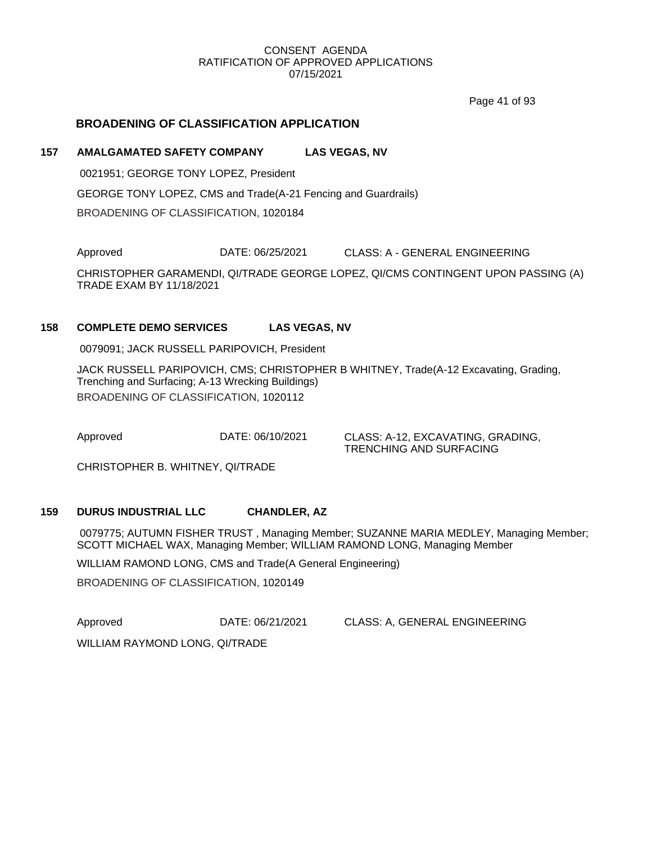Page 41 of 93

# **BROADENING OF CLASSIFICATION APPLICATION**

# **157 AMALGAMATED SAFETY COMPANY LAS VEGAS, NV**

0021951; GEORGE TONY LOPEZ, President GEORGE TONY LOPEZ, CMS and Trade(A-21 Fencing and Guardrails) BROADENING OF CLASSIFICATION, 1020184

Approved DATE: 06/25/2021 CLASS: A - GENERAL ENGINEERING

CHRISTOPHER GARAMENDI, QI/TRADE GEORGE LOPEZ, QI/CMS CONTINGENT UPON PASSING (A) TRADE EXAM BY 11/18/2021

# **158 COMPLETE DEMO SERVICES LAS VEGAS, NV**

0079091; JACK RUSSELL PARIPOVICH, President

JACK RUSSELL PARIPOVICH, CMS; CHRISTOPHER B WHITNEY, Trade(A-12 Excavating, Grading, Trenching and Surfacing; A-13 Wrecking Buildings) BROADENING OF CLASSIFICATION, 1020112

Approved DATE: 06/10/2021 CLASS: A-12, EXCAVATING, GRADING, TRENCHING AND SURFACING

CHRISTOPHER B. WHITNEY, QI/TRADE

#### **159 DURUS INDUSTRIAL LLC CHANDLER, AZ**

0079775; AUTUMN FISHER TRUST , Managing Member; SUZANNE MARIA MEDLEY, Managing Member; SCOTT MICHAEL WAX, Managing Member; WILLIAM RAMOND LONG, Managing Member

WILLIAM RAMOND LONG, CMS and Trade(A General Engineering)

BROADENING OF CLASSIFICATION, 1020149

Approved **DATE: 06/21/2021** CLASS: A, GENERAL ENGINEERING

WILLIAM RAYMOND LONG, QI/TRADE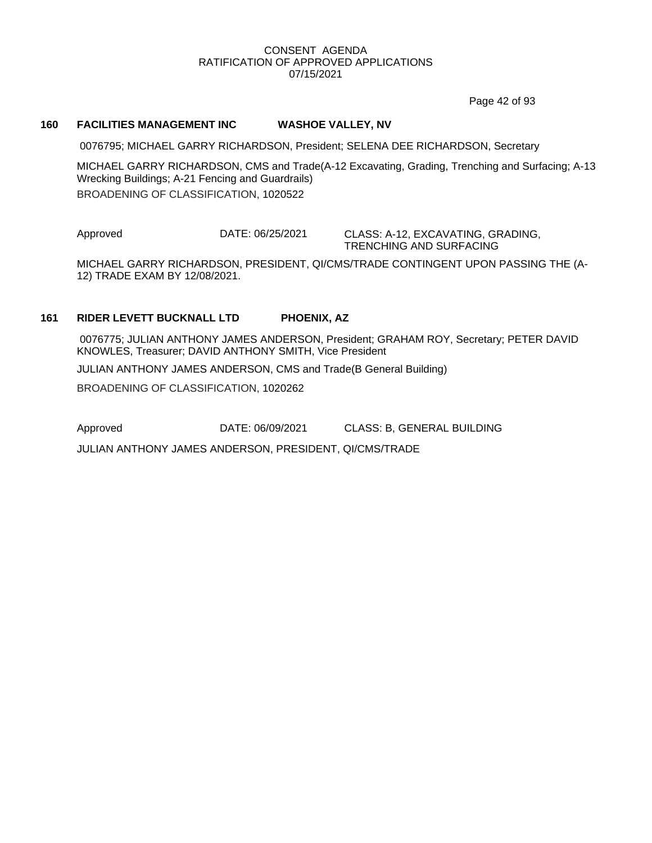Page 42 of 93

#### **160 FACILITIES MANAGEMENT INC WASHOE VALLEY, NV**

0076795; MICHAEL GARRY RICHARDSON, President; SELENA DEE RICHARDSON, Secretary

MICHAEL GARRY RICHARDSON, CMS and Trade(A-12 Excavating, Grading, Trenching and Surfacing; A-13 Wrecking Buildings; A-21 Fencing and Guardrails) BROADENING OF CLASSIFICATION, 1020522

Approved DATE: 06/25/2021 CLASS: A-12, EXCAVATING, GRADING,

TRENCHING AND SURFACING

MICHAEL GARRY RICHARDSON, PRESIDENT, QI/CMS/TRADE CONTINGENT UPON PASSING THE (A-12) TRADE EXAM BY 12/08/2021.

#### **161 RIDER LEVETT BUCKNALL LTD PHOENIX, AZ**

0076775; JULIAN ANTHONY JAMES ANDERSON, President; GRAHAM ROY, Secretary; PETER DAVID KNOWLES, Treasurer; DAVID ANTHONY SMITH, Vice President JULIAN ANTHONY JAMES ANDERSON, CMS and Trade(B General Building) BROADENING OF CLASSIFICATION, 1020262

Approved DATE: 06/09/2021 CLASS: B, GENERAL BUILDING

JULIAN ANTHONY JAMES ANDERSON, PRESIDENT, QI/CMS/TRADE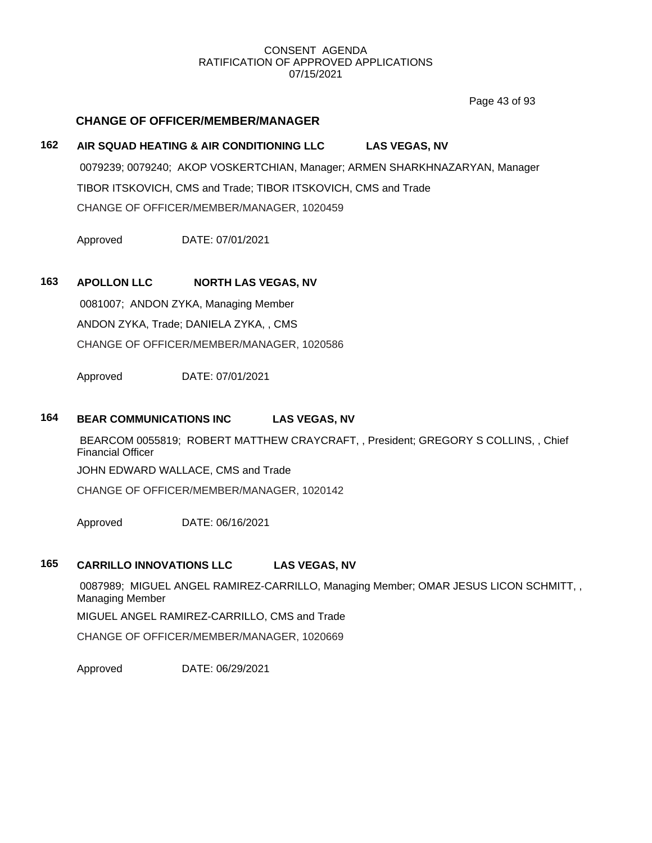Page 43 of 93

# **CHANGE OF OFFICER/MEMBER/MANAGER**

# **162 AIR SQUAD HEATING & AIR CONDITIONING LLC LAS VEGAS, NV** 0079239; 0079240; AKOP VOSKERTCHIAN, Manager; ARMEN SHARKHNAZARYAN, Manager TIBOR ITSKOVICH, CMS and Trade; TIBOR ITSKOVICH, CMS and Trade CHANGE OF OFFICER/MEMBER/MANAGER, 1020459

Approved DATE: 07/01/2021

# **163 APOLLON LLC NORTH LAS VEGAS, NV**

0081007; ANDON ZYKA, Managing Member ANDON ZYKA, Trade; DANIELA ZYKA, , CMS CHANGE OF OFFICER/MEMBER/MANAGER, 1020586

Approved DATE: 07/01/2021

# **164 BEAR COMMUNICATIONS INC LAS VEGAS, NV**

BEARCOM 0055819; ROBERT MATTHEW CRAYCRAFT, , President; GREGORY S COLLINS, , Chief Financial Officer

JOHN EDWARD WALLACE, CMS and Trade

CHANGE OF OFFICER/MEMBER/MANAGER, 1020142

Approved DATE: 06/16/2021

# **165 CARRILLO INNOVATIONS LLC LAS VEGAS, NV**

0087989; MIGUEL ANGEL RAMIREZ-CARRILLO, Managing Member; OMAR JESUS LICON SCHMITT, , Managing Member

MIGUEL ANGEL RAMIREZ-CARRILLO, CMS and Trade

CHANGE OF OFFICER/MEMBER/MANAGER, 1020669

Approved DATE: 06/29/2021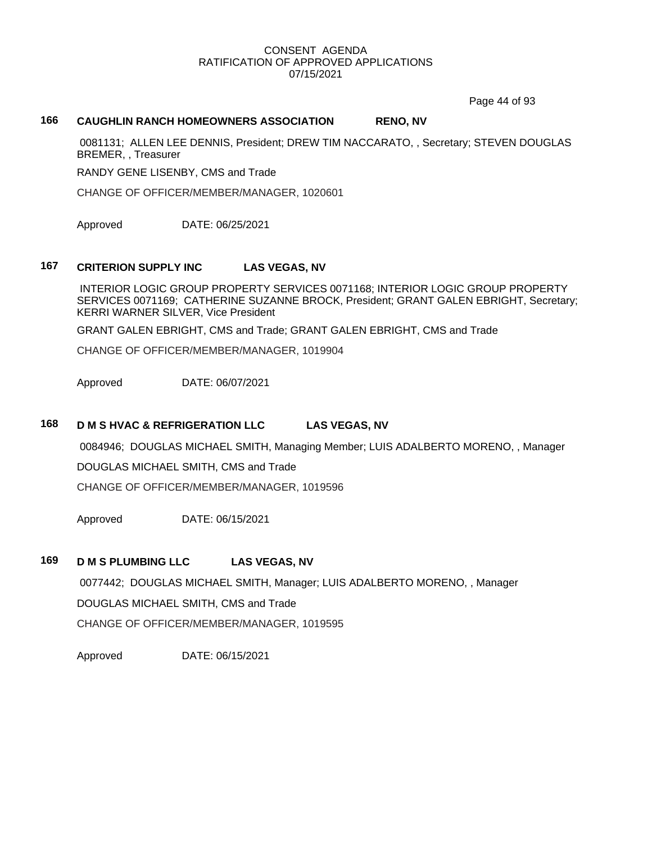Page 44 of 93

# **166 CAUGHLIN RANCH HOMEOWNERS ASSOCIATION RENO, NV**

0081131; ALLEN LEE DENNIS, President; DREW TIM NACCARATO, , Secretary; STEVEN DOUGLAS BREMER, , Treasurer

RANDY GENE LISENBY, CMS and Trade

CHANGE OF OFFICER/MEMBER/MANAGER, 1020601

Approved DATE: 06/25/2021

# **167 CRITERION SUPPLY INC LAS VEGAS, NV**

INTERIOR LOGIC GROUP PROPERTY SERVICES 0071168; INTERIOR LOGIC GROUP PROPERTY SERVICES 0071169; CATHERINE SUZANNE BROCK, President; GRANT GALEN EBRIGHT, Secretary; KERRI WARNER SILVER, Vice President

GRANT GALEN EBRIGHT, CMS and Trade; GRANT GALEN EBRIGHT, CMS and Trade

CHANGE OF OFFICER/MEMBER/MANAGER, 1019904

Approved DATE: 06/07/2021

## **168 D M S HVAC & REFRIGERATION LLC LAS VEGAS, NV**

0084946; DOUGLAS MICHAEL SMITH, Managing Member; LUIS ADALBERTO MORENO, , Manager

DOUGLAS MICHAEL SMITH, CMS and Trade

CHANGE OF OFFICER/MEMBER/MANAGER, 1019596

Approved DATE: 06/15/2021

#### **169 D M S PLUMBING LLC LAS VEGAS, NV**

0077442; DOUGLAS MICHAEL SMITH, Manager; LUIS ADALBERTO MORENO, , Manager DOUGLAS MICHAEL SMITH, CMS and Trade CHANGE OF OFFICER/MEMBER/MANAGER, 1019595

Approved DATE: 06/15/2021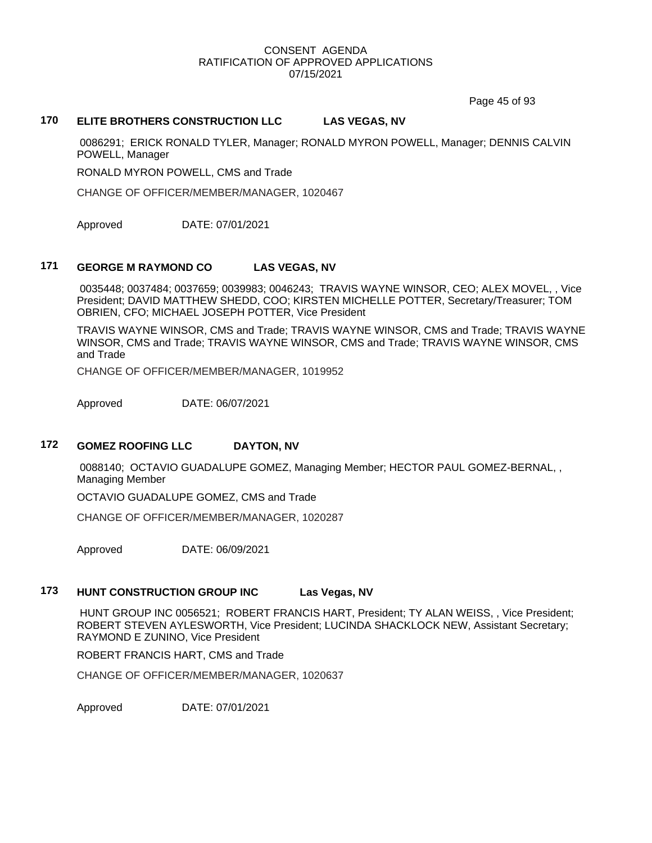Page 45 of 93

# **170 ELITE BROTHERS CONSTRUCTION LLC LAS VEGAS, NV**

0086291; ERICK RONALD TYLER, Manager; RONALD MYRON POWELL, Manager; DENNIS CALVIN POWELL, Manager

RONALD MYRON POWELL, CMS and Trade

CHANGE OF OFFICER/MEMBER/MANAGER, 1020467

Approved DATE: 07/01/2021

# **171 GEORGE M RAYMOND CO LAS VEGAS, NV**

0035448; 0037484; 0037659; 0039983; 0046243; TRAVIS WAYNE WINSOR, CEO; ALEX MOVEL, , Vice President; DAVID MATTHEW SHEDD, COO; KIRSTEN MICHELLE POTTER, Secretary/Treasurer; TOM OBRIEN, CFO; MICHAEL JOSEPH POTTER, Vice President

TRAVIS WAYNE WINSOR, CMS and Trade; TRAVIS WAYNE WINSOR, CMS and Trade; TRAVIS WAYNE WINSOR, CMS and Trade; TRAVIS WAYNE WINSOR, CMS and Trade; TRAVIS WAYNE WINSOR, CMS and Trade

CHANGE OF OFFICER/MEMBER/MANAGER, 1019952

Approved DATE: 06/07/2021

#### **172 GOMEZ ROOFING LLC DAYTON, NV**

0088140; OCTAVIO GUADALUPE GOMEZ, Managing Member; HECTOR PAUL GOMEZ-BERNAL, , Managing Member

OCTAVIO GUADALUPE GOMEZ, CMS and Trade

CHANGE OF OFFICER/MEMBER/MANAGER, 1020287

Approved DATE: 06/09/2021

# **173 HUNT CONSTRUCTION GROUP INC Las Vegas, NV**

HUNT GROUP INC 0056521; ROBERT FRANCIS HART, President; TY ALAN WEISS, , Vice President; ROBERT STEVEN AYLESWORTH, Vice President; LUCINDA SHACKLOCK NEW, Assistant Secretary; RAYMOND E ZUNINO, Vice President

ROBERT FRANCIS HART, CMS and Trade

CHANGE OF OFFICER/MEMBER/MANAGER, 1020637

Approved DATE: 07/01/2021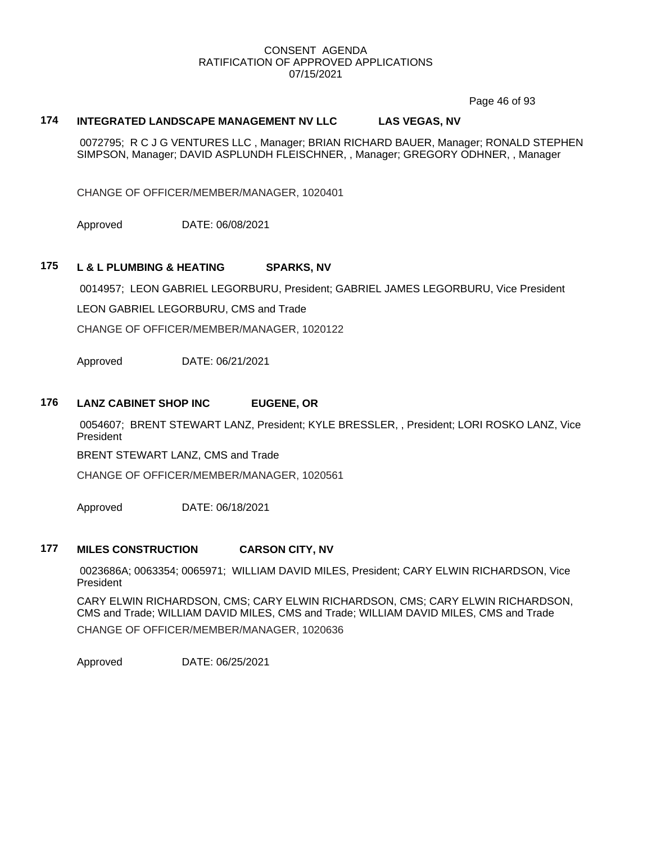Page 46 of 93

# **174 INTEGRATED LANDSCAPE MANAGEMENT NV LLC LAS VEGAS, NV**

0072795; R C J G VENTURES LLC , Manager; BRIAN RICHARD BAUER, Manager; RONALD STEPHEN SIMPSON, Manager; DAVID ASPLUNDH FLEISCHNER, , Manager; GREGORY ODHNER, , Manager

CHANGE OF OFFICER/MEMBER/MANAGER, 1020401

Approved DATE: 06/08/2021

# **175 L & L PLUMBING & HEATING SPARKS, NV**

0014957; LEON GABRIEL LEGORBURU, President; GABRIEL JAMES LEGORBURU, Vice President

LEON GABRIEL LEGORBURU, CMS and Trade

CHANGE OF OFFICER/MEMBER/MANAGER, 1020122

Approved DATE: 06/21/2021

# **176 LANZ CABINET SHOP INC EUGENE, OR**

0054607; BRENT STEWART LANZ, President; KYLE BRESSLER, , President; LORI ROSKO LANZ, Vice President

BRENT STEWART LANZ, CMS and Trade

CHANGE OF OFFICER/MEMBER/MANAGER, 1020561

Approved DATE: 06/18/2021

#### **177 MILES CONSTRUCTION CARSON CITY, NV**

0023686A; 0063354; 0065971; WILLIAM DAVID MILES, President; CARY ELWIN RICHARDSON, Vice President

CARY ELWIN RICHARDSON, CMS; CARY ELWIN RICHARDSON, CMS; CARY ELWIN RICHARDSON, CMS and Trade; WILLIAM DAVID MILES, CMS and Trade; WILLIAM DAVID MILES, CMS and Trade CHANGE OF OFFICER/MEMBER/MANAGER, 1020636

Approved DATE: 06/25/2021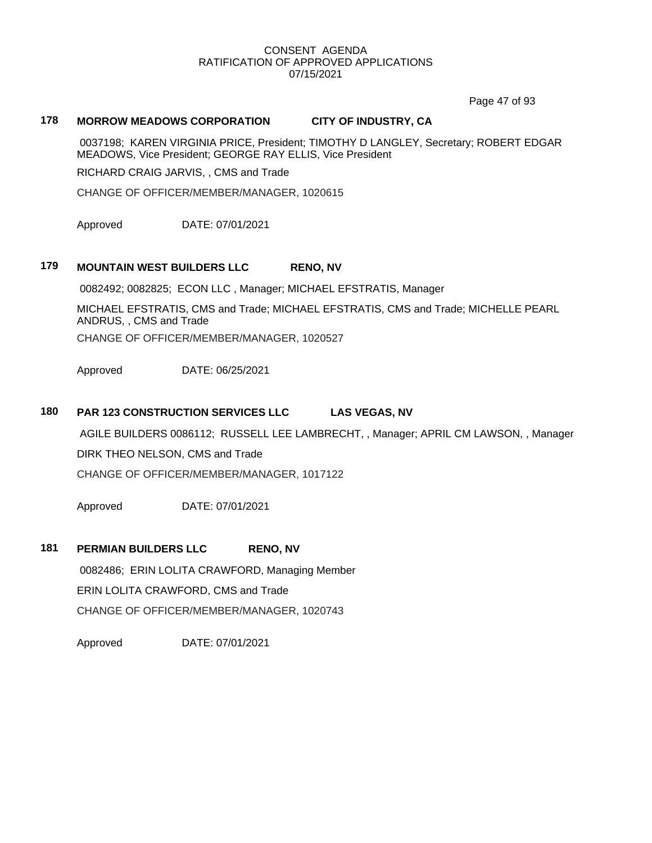Page 47 of 93

# **178 MORROW MEADOWS CORPORATION CITY OF INDUSTRY, CA**

0037198; KAREN VIRGINIA PRICE, President; TIMOTHY D LANGLEY, Secretary; ROBERT EDGAR MEADOWS, Vice President; GEORGE RAY ELLIS, Vice President

RICHARD CRAIG JARVIS, , CMS and Trade

CHANGE OF OFFICER/MEMBER/MANAGER, 1020615

Approved DATE: 07/01/2021

# **179 MOUNTAIN WEST BUILDERS LLC RENO, NV**

0082492; 0082825; ECON LLC , Manager; MICHAEL EFSTRATIS, Manager

MICHAEL EFSTRATIS, CMS and Trade; MICHAEL EFSTRATIS, CMS and Trade; MICHELLE PEARL ANDRUS, , CMS and Trade CHANGE OF OFFICER/MEMBER/MANAGER, 1020527

Approved DATE: 06/25/2021

# **180 PAR 123 CONSTRUCTION SERVICES LLC LAS VEGAS, NV**

AGILE BUILDERS 0086112; RUSSELL LEE LAMBRECHT, , Manager; APRIL CM LAWSON, , Manager

DIRK THEO NELSON, CMS and Trade

CHANGE OF OFFICER/MEMBER/MANAGER, 1017122

Approved DATE: 07/01/2021

#### **181 PERMIAN BUILDERS LLC RENO, NV**

0082486; ERIN LOLITA CRAWFORD, Managing Member ERIN LOLITA CRAWFORD, CMS and Trade CHANGE OF OFFICER/MEMBER/MANAGER, 1020743

Approved DATE: 07/01/2021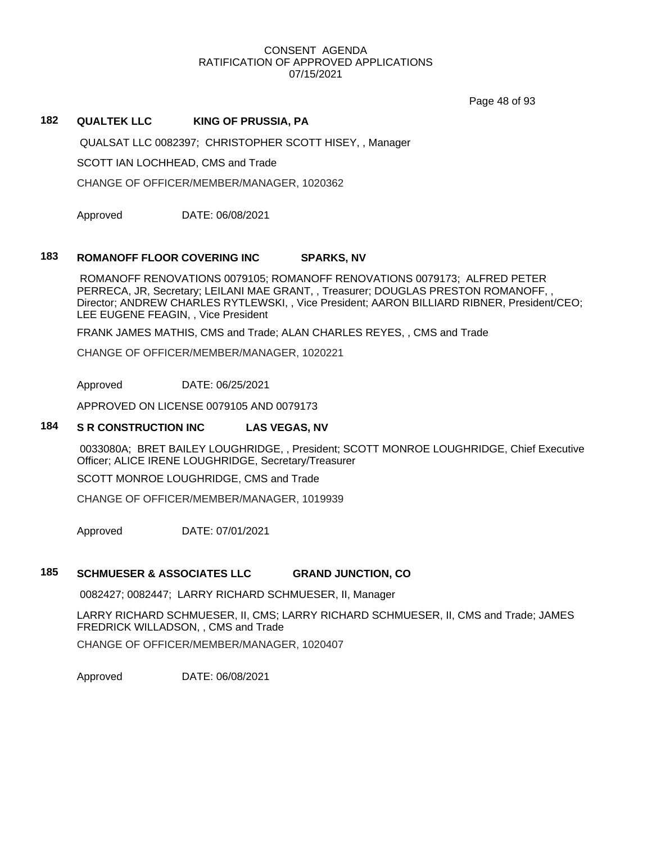Page 48 of 93

# **182 QUALTEK LLC KING OF PRUSSIA, PA**

QUALSAT LLC 0082397; CHRISTOPHER SCOTT HISEY, , Manager

SCOTT IAN LOCHHEAD, CMS and Trade

CHANGE OF OFFICER/MEMBER/MANAGER, 1020362

Approved DATE: 06/08/2021

#### **183 ROMANOFF FLOOR COVERING INC SPARKS, NV**

ROMANOFF RENOVATIONS 0079105; ROMANOFF RENOVATIONS 0079173; ALFRED PETER PERRECA, JR, Secretary; LEILANI MAE GRANT, , Treasurer; DOUGLAS PRESTON ROMANOFF, , Director; ANDREW CHARLES RYTLEWSKI, , Vice President; AARON BILLIARD RIBNER, President/CEO; LEE EUGENE FEAGIN, , Vice President

FRANK JAMES MATHIS, CMS and Trade; ALAN CHARLES REYES, , CMS and Trade

CHANGE OF OFFICER/MEMBER/MANAGER, 1020221

Approved DATE: 06/25/2021

APPROVED ON LICENSE 0079105 AND 0079173

# **184 S R CONSTRUCTION INC LAS VEGAS, NV**

0033080A; BRET BAILEY LOUGHRIDGE, , President; SCOTT MONROE LOUGHRIDGE, Chief Executive Officer; ALICE IRENE LOUGHRIDGE, Secretary/Treasurer

SCOTT MONROE LOUGHRIDGE, CMS and Trade

CHANGE OF OFFICER/MEMBER/MANAGER, 1019939

Approved DATE: 07/01/2021

# **185 SCHMUESER & ASSOCIATES LLC GRAND JUNCTION, CO**

0082427; 0082447; LARRY RICHARD SCHMUESER, II, Manager

LARRY RICHARD SCHMUESER, II, CMS; LARRY RICHARD SCHMUESER, II, CMS and Trade; JAMES FREDRICK WILLADSON, , CMS and Trade CHANGE OF OFFICER/MEMBER/MANAGER, 1020407

Approved DATE: 06/08/2021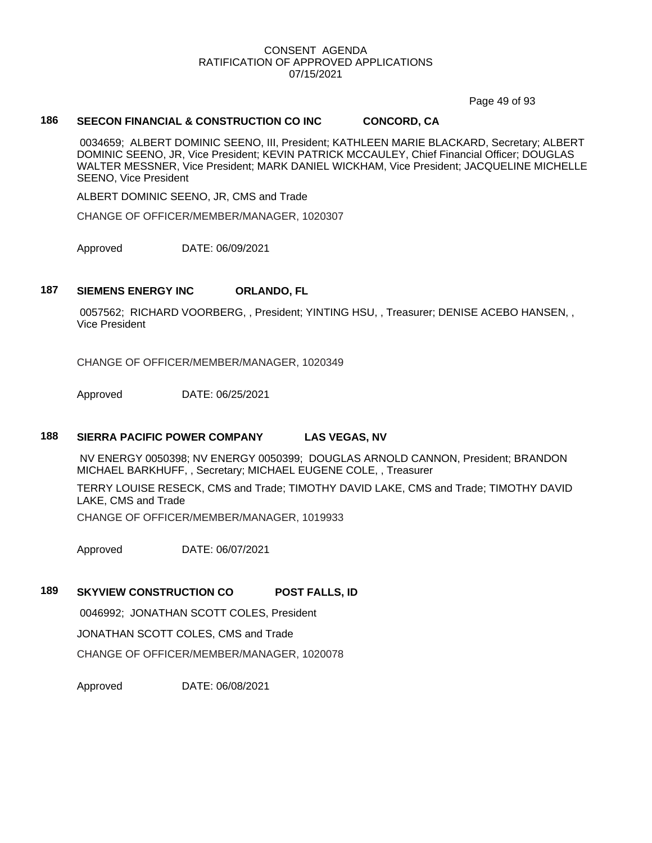Page 49 of 93

# **186 SEECON FINANCIAL & CONSTRUCTION CO INC CONCORD, CA**

0034659; ALBERT DOMINIC SEENO, III, President; KATHLEEN MARIE BLACKARD, Secretary; ALBERT DOMINIC SEENO, JR, Vice President; KEVIN PATRICK MCCAULEY, Chief Financial Officer; DOUGLAS WALTER MESSNER, Vice President; MARK DANIEL WICKHAM, Vice President; JACQUELINE MICHELLE SEENO, Vice President

ALBERT DOMINIC SEENO, JR, CMS and Trade

CHANGE OF OFFICER/MEMBER/MANAGER, 1020307

Approved DATE: 06/09/2021

#### **187 SIEMENS ENERGY INC ORLANDO, FL**

0057562; RICHARD VOORBERG, , President; YINTING HSU, , Treasurer; DENISE ACEBO HANSEN, , Vice President

CHANGE OF OFFICER/MEMBER/MANAGER, 1020349

Approved DATE: 06/25/2021

### **188 SIERRA PACIFIC POWER COMPANY LAS VEGAS, NV**

NV ENERGY 0050398; NV ENERGY 0050399; DOUGLAS ARNOLD CANNON, President; BRANDON MICHAEL BARKHUFF, , Secretary; MICHAEL EUGENE COLE, , Treasurer

TERRY LOUISE RESECK, CMS and Trade; TIMOTHY DAVID LAKE, CMS and Trade; TIMOTHY DAVID LAKE, CMS and Trade

CHANGE OF OFFICER/MEMBER/MANAGER, 1019933

Approved DATE: 06/07/2021

# **189 SKYVIEW CONSTRUCTION CO POST FALLS, ID**

0046992; JONATHAN SCOTT COLES, President

JONATHAN SCOTT COLES, CMS and Trade

CHANGE OF OFFICER/MEMBER/MANAGER, 1020078

Approved DATE: 06/08/2021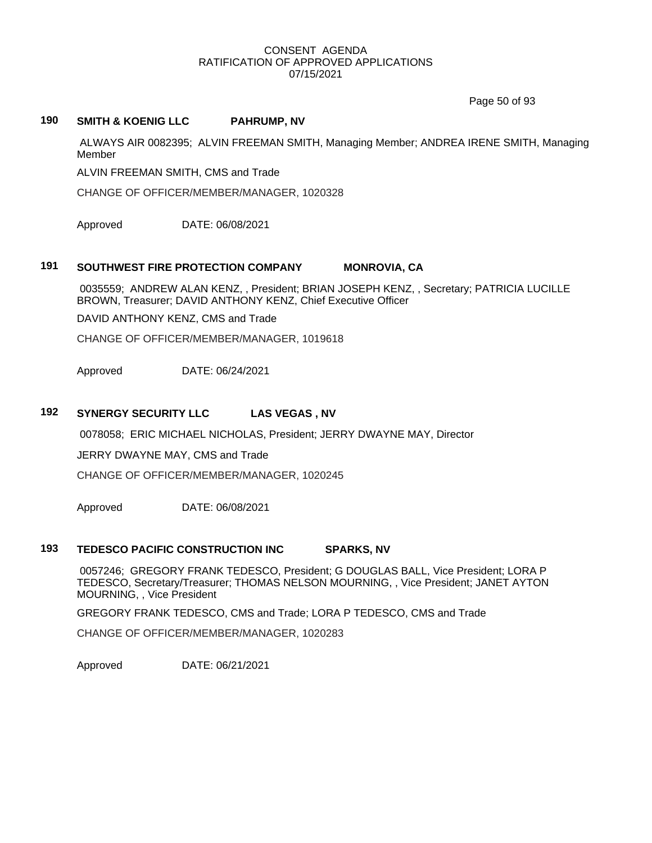Page 50 of 93

# **190 SMITH & KOENIG LLC PAHRUMP, NV**

ALWAYS AIR 0082395; ALVIN FREEMAN SMITH, Managing Member; ANDREA IRENE SMITH, Managing Member

ALVIN FREEMAN SMITH, CMS and Trade

CHANGE OF OFFICER/MEMBER/MANAGER, 1020328

Approved DATE: 06/08/2021

# **191 SOUTHWEST FIRE PROTECTION COMPANY MONROVIA, CA**

0035559; ANDREW ALAN KENZ, , President; BRIAN JOSEPH KENZ, , Secretary; PATRICIA LUCILLE BROWN, Treasurer; DAVID ANTHONY KENZ, Chief Executive Officer

DAVID ANTHONY KENZ, CMS and Trade

CHANGE OF OFFICER/MEMBER/MANAGER, 1019618

Approved DATE: 06/24/2021

# **192 SYNERGY SECURITY LLC LAS VEGAS , NV**

0078058; ERIC MICHAEL NICHOLAS, President; JERRY DWAYNE MAY, Director

JERRY DWAYNE MAY, CMS and Trade

CHANGE OF OFFICER/MEMBER/MANAGER, 1020245

Approved DATE: 06/08/2021

#### **193 TEDESCO PACIFIC CONSTRUCTION INC SPARKS, NV**

0057246; GREGORY FRANK TEDESCO, President; G DOUGLAS BALL, Vice President; LORA P TEDESCO, Secretary/Treasurer; THOMAS NELSON MOURNING, , Vice President; JANET AYTON MOURNING, , Vice President

GREGORY FRANK TEDESCO, CMS and Trade; LORA P TEDESCO, CMS and Trade

CHANGE OF OFFICER/MEMBER/MANAGER, 1020283

Approved DATE: 06/21/2021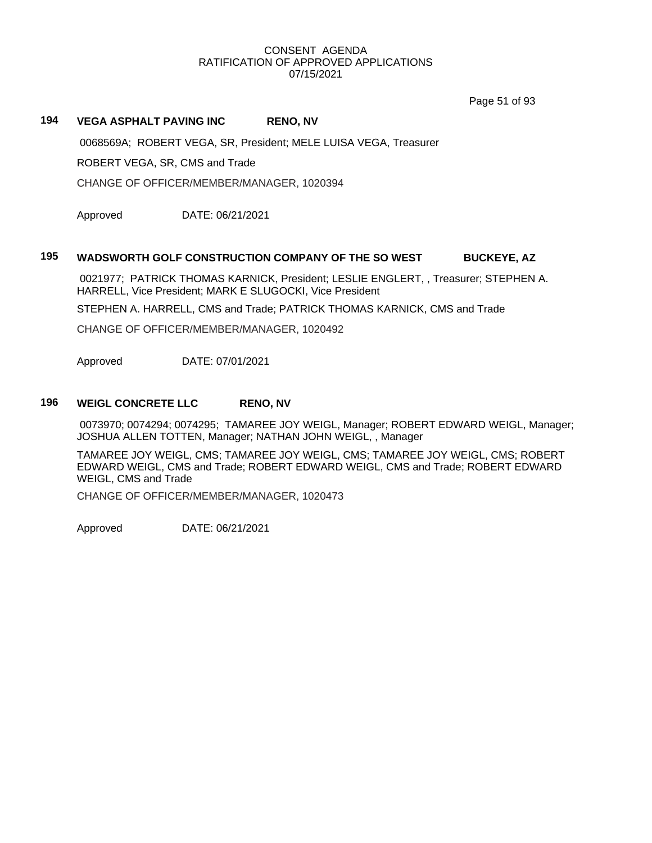Page 51 of 93

# **194 VEGA ASPHALT PAVING INC RENO, NV**

0068569A; ROBERT VEGA, SR, President; MELE LUISA VEGA, Treasurer

ROBERT VEGA, SR, CMS and Trade

CHANGE OF OFFICER/MEMBER/MANAGER, 1020394

Approved DATE: 06/21/2021

#### **195 WADSWORTH GOLF CONSTRUCTION COMPANY OF THE SO WEST BUCKEYE, AZ**

0021977; PATRICK THOMAS KARNICK, President; LESLIE ENGLERT, , Treasurer; STEPHEN A. HARRELL, Vice President; MARK E SLUGOCKI, Vice President

STEPHEN A. HARRELL, CMS and Trade; PATRICK THOMAS KARNICK, CMS and Trade

CHANGE OF OFFICER/MEMBER/MANAGER, 1020492

Approved DATE: 07/01/2021

# **196 WEIGL CONCRETE LLC RENO, NV**

0073970; 0074294; 0074295; TAMAREE JOY WEIGL, Manager; ROBERT EDWARD WEIGL, Manager; JOSHUA ALLEN TOTTEN, Manager; NATHAN JOHN WEIGL, , Manager

TAMAREE JOY WEIGL, CMS; TAMAREE JOY WEIGL, CMS; TAMAREE JOY WEIGL, CMS; ROBERT EDWARD WEIGL, CMS and Trade; ROBERT EDWARD WEIGL, CMS and Trade; ROBERT EDWARD WEIGL, CMS and Trade

CHANGE OF OFFICER/MEMBER/MANAGER, 1020473

Approved DATE: 06/21/2021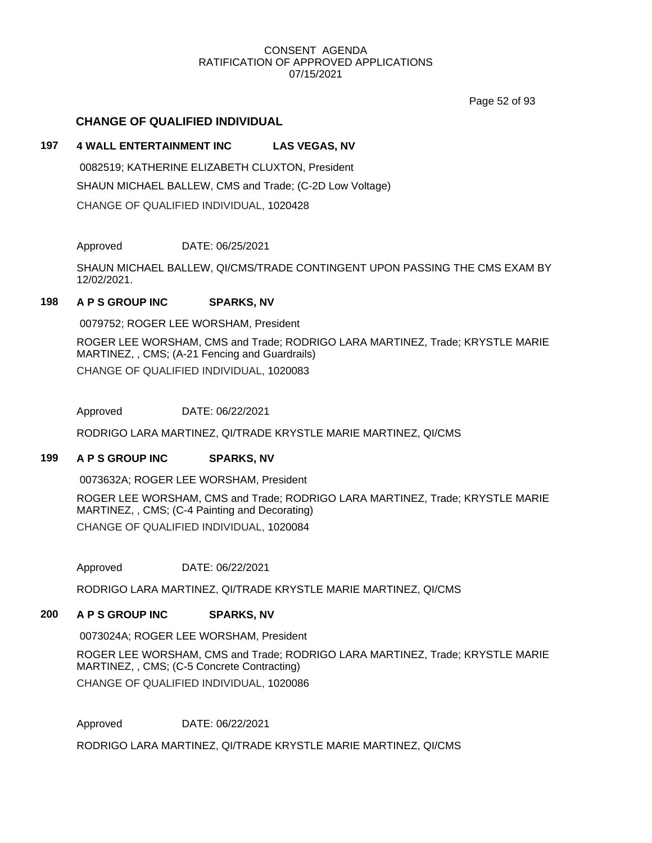Page 52 of 93

# **CHANGE OF QUALIFIED INDIVIDUAL**

# **197 4 WALL ENTERTAINMENT INC LAS VEGAS, NV**

0082519; KATHERINE ELIZABETH CLUXTON, President SHAUN MICHAEL BALLEW, CMS and Trade; (C-2D Low Voltage) CHANGE OF QUALIFIED INDIVIDUAL, 1020428

Approved DATE: 06/25/2021

SHAUN MICHAEL BALLEW, QI/CMS/TRADE CONTINGENT UPON PASSING THE CMS EXAM BY 12/02/2021.

# **198 A P S GROUP INC SPARKS, NV**

0079752; ROGER LEE WORSHAM, President

ROGER LEE WORSHAM, CMS and Trade; RODRIGO LARA MARTINEZ, Trade; KRYSTLE MARIE MARTINEZ, , CMS; (A-21 Fencing and Guardrails) CHANGE OF QUALIFIED INDIVIDUAL, 1020083

Approved DATE: 06/22/2021

RODRIGO LARA MARTINEZ, QI/TRADE KRYSTLE MARIE MARTINEZ, QI/CMS

#### **199 A P S GROUP INC SPARKS, NV**

0073632A; ROGER LEE WORSHAM, President

ROGER LEE WORSHAM, CMS and Trade; RODRIGO LARA MARTINEZ, Trade; KRYSTLE MARIE MARTINEZ, , CMS; (C-4 Painting and Decorating) CHANGE OF QUALIFIED INDIVIDUAL, 1020084

Approved DATE: 06/22/2021

RODRIGO LARA MARTINEZ, QI/TRADE KRYSTLE MARIE MARTINEZ, QI/CMS

# **200 A P S GROUP INC SPARKS, NV**

0073024A; ROGER LEE WORSHAM, President

ROGER LEE WORSHAM, CMS and Trade; RODRIGO LARA MARTINEZ, Trade; KRYSTLE MARIE MARTINEZ, , CMS; (C-5 Concrete Contracting)

CHANGE OF QUALIFIED INDIVIDUAL, 1020086

Approved DATE: 06/22/2021

RODRIGO LARA MARTINEZ, QI/TRADE KRYSTLE MARIE MARTINEZ, QI/CMS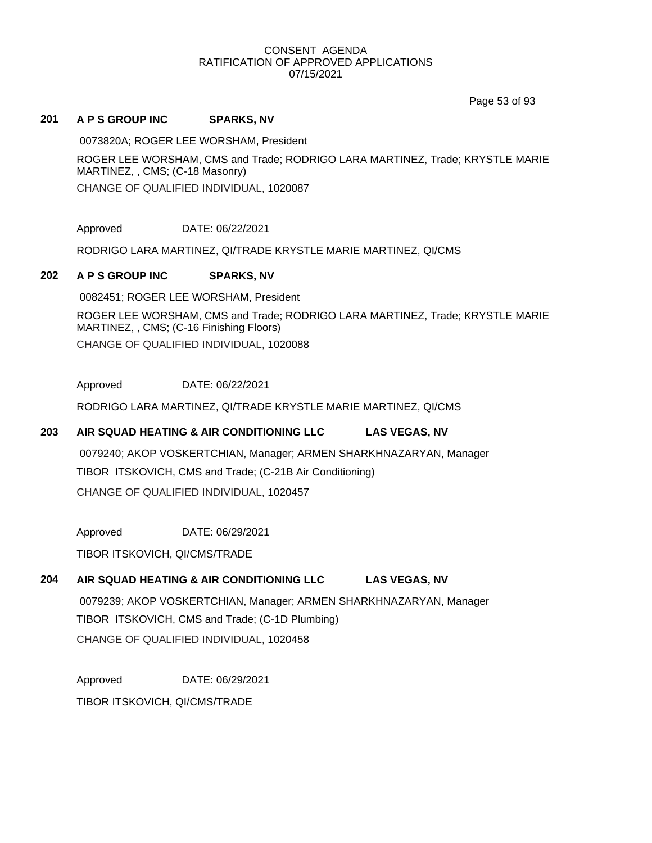Page 53 of 93

#### **201 A P S GROUP INC SPARKS, NV**

0073820A; ROGER LEE WORSHAM, President

ROGER LEE WORSHAM, CMS and Trade; RODRIGO LARA MARTINEZ, Trade; KRYSTLE MARIE MARTINEZ, , CMS; (C-18 Masonry)

CHANGE OF QUALIFIED INDIVIDUAL, 1020087

Approved DATE: 06/22/2021

RODRIGO LARA MARTINEZ, QI/TRADE KRYSTLE MARIE MARTINEZ, QI/CMS

# **202 A P S GROUP INC SPARKS, NV**

0082451; ROGER LEE WORSHAM, President

ROGER LEE WORSHAM, CMS and Trade; RODRIGO LARA MARTINEZ, Trade; KRYSTLE MARIE MARTINEZ, , CMS; (C-16 Finishing Floors) CHANGE OF QUALIFIED INDIVIDUAL, 1020088

Approved DATE: 06/22/2021

RODRIGO LARA MARTINEZ, QI/TRADE KRYSTLE MARIE MARTINEZ, QI/CMS

# **203 AIR SQUAD HEATING & AIR CONDITIONING LLC LAS VEGAS, NV**

0079240; AKOP VOSKERTCHIAN, Manager; ARMEN SHARKHNAZARYAN, Manager TIBOR ITSKOVICH, CMS and Trade; (C-21B Air Conditioning) CHANGE OF QUALIFIED INDIVIDUAL, 1020457

Approved DATE: 06/29/2021

TIBOR ITSKOVICH, QI/CMS/TRADE

# **204 AIR SQUAD HEATING & AIR CONDITIONING LLC LAS VEGAS, NV**

0079239; AKOP VOSKERTCHIAN, Manager; ARMEN SHARKHNAZARYAN, Manager TIBOR ITSKOVICH, CMS and Trade; (C-1D Plumbing) CHANGE OF QUALIFIED INDIVIDUAL, 1020458

Approved DATE: 06/29/2021

TIBOR ITSKOVICH, QI/CMS/TRADE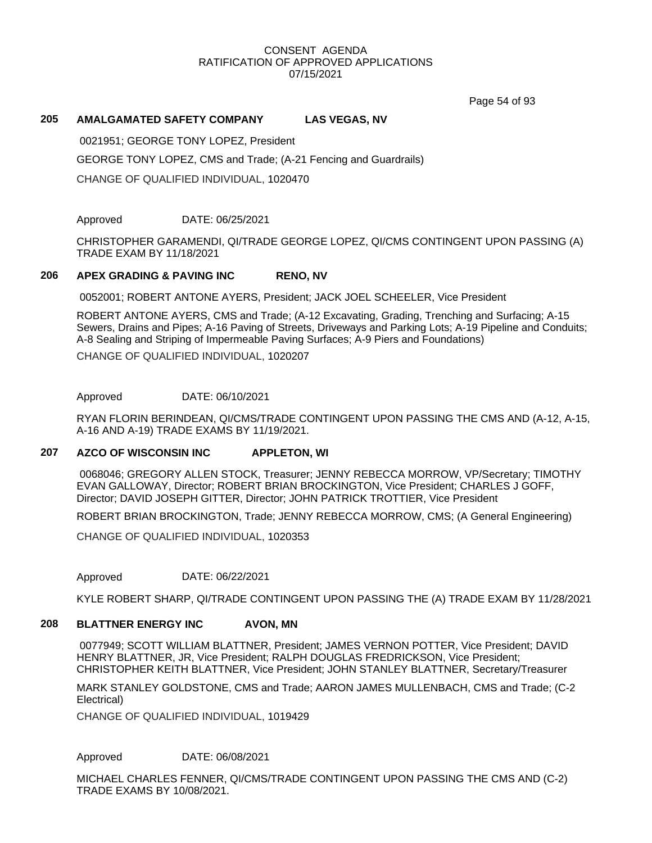Page 54 of 93

# **205 AMALGAMATED SAFETY COMPANY LAS VEGAS, NV**

0021951; GEORGE TONY LOPEZ, President

GEORGE TONY LOPEZ, CMS and Trade; (A-21 Fencing and Guardrails)

CHANGE OF QUALIFIED INDIVIDUAL, 1020470

Approved DATE: 06/25/2021

CHRISTOPHER GARAMENDI, QI/TRADE GEORGE LOPEZ, QI/CMS CONTINGENT UPON PASSING (A) TRADE EXAM BY 11/18/2021

# **206 APEX GRADING & PAVING INC RENO, NV**

0052001; ROBERT ANTONE AYERS, President; JACK JOEL SCHEELER, Vice President

ROBERT ANTONE AYERS, CMS and Trade; (A-12 Excavating, Grading, Trenching and Surfacing; A-15 Sewers, Drains and Pipes; A-16 Paving of Streets, Driveways and Parking Lots; A-19 Pipeline and Conduits; A-8 Sealing and Striping of Impermeable Paving Surfaces; A-9 Piers and Foundations)

CHANGE OF QUALIFIED INDIVIDUAL, 1020207

Approved DATE: 06/10/2021

RYAN FLORIN BERINDEAN, QI/CMS/TRADE CONTINGENT UPON PASSING THE CMS AND (A-12, A-15, A-16 AND A-19) TRADE EXAMS BY 11/19/2021.

#### **207 AZCO OF WISCONSIN INC APPLETON, WI**

0068046; GREGORY ALLEN STOCK, Treasurer; JENNY REBECCA MORROW, VP/Secretary; TIMOTHY EVAN GALLOWAY, Director; ROBERT BRIAN BROCKINGTON, Vice President; CHARLES J GOFF, Director; DAVID JOSEPH GITTER, Director; JOHN PATRICK TROTTIER, Vice President

ROBERT BRIAN BROCKINGTON, Trade; JENNY REBECCA MORROW, CMS; (A General Engineering)

CHANGE OF QUALIFIED INDIVIDUAL, 1020353

Approved DATE: 06/22/2021

KYLE ROBERT SHARP, QI/TRADE CONTINGENT UPON PASSING THE (A) TRADE EXAM BY 11/28/2021

# **208 BLATTNER ENERGY INC AVON, MN**

0077949; SCOTT WILLIAM BLATTNER, President; JAMES VERNON POTTER, Vice President; DAVID HENRY BLATTNER, JR, Vice President; RALPH DOUGLAS FREDRICKSON, Vice President; CHRISTOPHER KEITH BLATTNER, Vice President; JOHN STANLEY BLATTNER, Secretary/Treasurer

MARK STANLEY GOLDSTONE, CMS and Trade; AARON JAMES MULLENBACH, CMS and Trade; (C-2 Electrical)

CHANGE OF QUALIFIED INDIVIDUAL, 1019429

Approved DATE: 06/08/2021

MICHAEL CHARLES FENNER, QI/CMS/TRADE CONTINGENT UPON PASSING THE CMS AND (C-2) TRADE EXAMS BY 10/08/2021.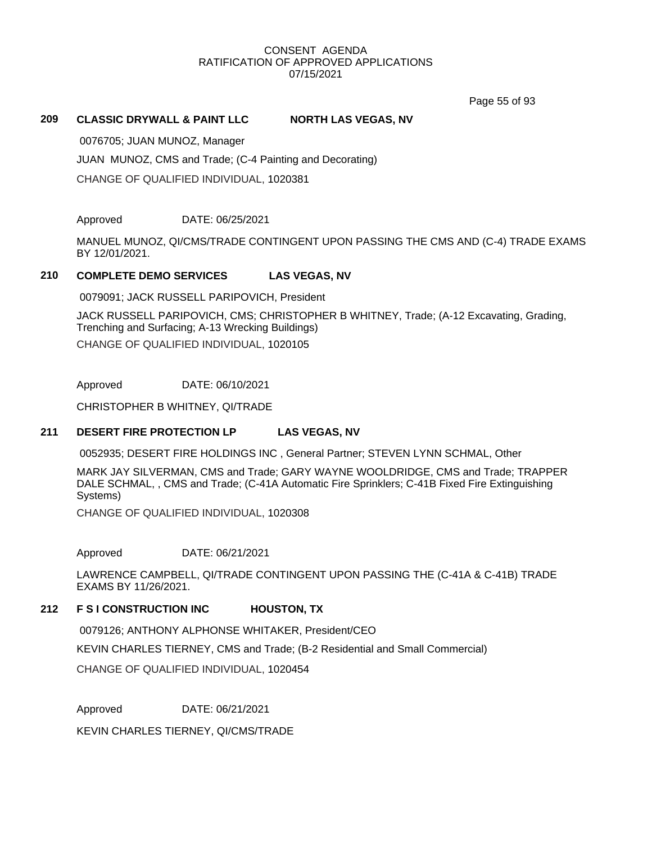Page 55 of 93

### **209 CLASSIC DRYWALL & PAINT LLC NORTH LAS VEGAS, NV**

0076705; JUAN MUNOZ, Manager

JUAN MUNOZ, CMS and Trade; (C-4 Painting and Decorating)

CHANGE OF QUALIFIED INDIVIDUAL, 1020381

Approved DATE: 06/25/2021

MANUEL MUNOZ, QI/CMS/TRADE CONTINGENT UPON PASSING THE CMS AND (C-4) TRADE EXAMS BY 12/01/2021.

# **210 COMPLETE DEMO SERVICES LAS VEGAS, NV**

0079091; JACK RUSSELL PARIPOVICH, President

JACK RUSSELL PARIPOVICH, CMS; CHRISTOPHER B WHITNEY, Trade; (A-12 Excavating, Grading, Trenching and Surfacing; A-13 Wrecking Buildings) CHANGE OF QUALIFIED INDIVIDUAL, 1020105

Approved DATE: 06/10/2021

CHRISTOPHER B WHITNEY, QI/TRADE

#### **211 DESERT FIRE PROTECTION LP LAS VEGAS, NV**

0052935; DESERT FIRE HOLDINGS INC , General Partner; STEVEN LYNN SCHMAL, Other

MARK JAY SILVERMAN, CMS and Trade; GARY WAYNE WOOLDRIDGE, CMS and Trade; TRAPPER DALE SCHMAL, , CMS and Trade; (C-41A Automatic Fire Sprinklers; C-41B Fixed Fire Extinguishing Systems)

CHANGE OF QUALIFIED INDIVIDUAL, 1020308

Approved DATE: 06/21/2021

LAWRENCE CAMPBELL, QI/TRADE CONTINGENT UPON PASSING THE (C-41A & C-41B) TRADE EXAMS BY 11/26/2021.

# **212 F S I CONSTRUCTION INC HOUSTON, TX**

0079126; ANTHONY ALPHONSE WHITAKER, President/CEO KEVIN CHARLES TIERNEY, CMS and Trade; (B-2 Residential and Small Commercial)

CHANGE OF QUALIFIED INDIVIDUAL, 1020454

Approved DATE: 06/21/2021

KEVIN CHARLES TIERNEY, QI/CMS/TRADE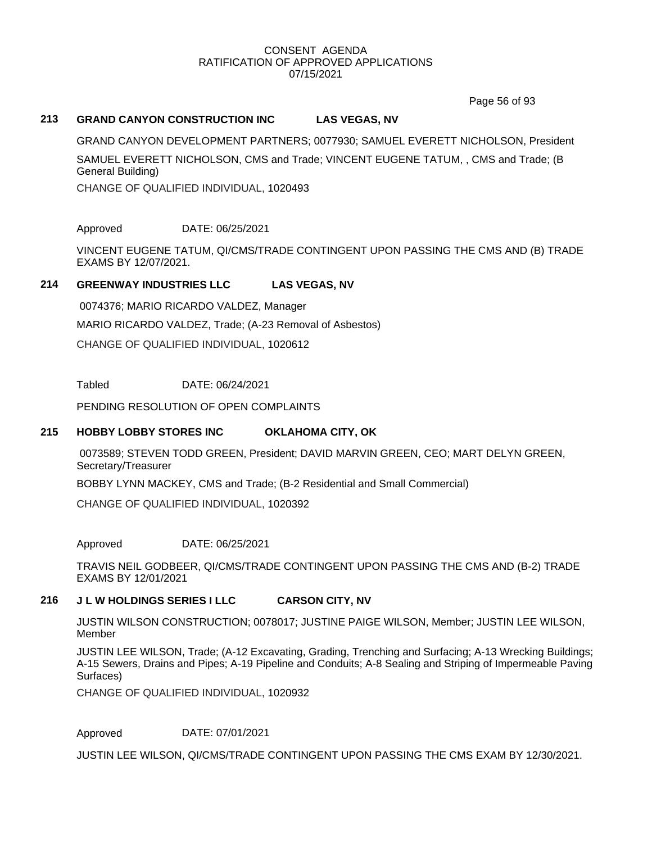Page 56 of 93

# **213 GRAND CANYON CONSTRUCTION INC LAS VEGAS, NV**

GRAND CANYON DEVELOPMENT PARTNERS; 0077930; SAMUEL EVERETT NICHOLSON, President SAMUEL EVERETT NICHOLSON, CMS and Trade; VINCENT EUGENE TATUM, , CMS and Trade; (B General Building)

CHANGE OF QUALIFIED INDIVIDUAL, 1020493

Approved DATE: 06/25/2021

VINCENT EUGENE TATUM, QI/CMS/TRADE CONTINGENT UPON PASSING THE CMS AND (B) TRADE EXAMS BY 12/07/2021.

### **214 GREENWAY INDUSTRIES LLC LAS VEGAS, NV**

0074376; MARIO RICARDO VALDEZ, Manager MARIO RICARDO VALDEZ, Trade; (A-23 Removal of Asbestos) CHANGE OF QUALIFIED INDIVIDUAL, 1020612

Tabled DATE: 06/24/2021

PENDING RESOLUTION OF OPEN COMPLAINTS

#### **215 HOBBY LOBBY STORES INC OKLAHOMA CITY, OK**

0073589; STEVEN TODD GREEN, President; DAVID MARVIN GREEN, CEO; MART DELYN GREEN, Secretary/Treasurer

BOBBY LYNN MACKEY, CMS and Trade; (B-2 Residential and Small Commercial)

CHANGE OF QUALIFIED INDIVIDUAL, 1020392

Approved DATE: 06/25/2021

TRAVIS NEIL GODBEER, QI/CMS/TRADE CONTINGENT UPON PASSING THE CMS AND (B-2) TRADE EXAMS BY 12/01/2021

#### **216 J L W HOLDINGS SERIES I LLC CARSON CITY, NV**

JUSTIN WILSON CONSTRUCTION; 0078017; JUSTINE PAIGE WILSON, Member; JUSTIN LEE WILSON, Member

JUSTIN LEE WILSON, Trade; (A-12 Excavating, Grading, Trenching and Surfacing; A-13 Wrecking Buildings; A-15 Sewers, Drains and Pipes; A-19 Pipeline and Conduits; A-8 Sealing and Striping of Impermeable Paving Surfaces)

CHANGE OF QUALIFIED INDIVIDUAL, 1020932

Approved DATE: 07/01/2021

JUSTIN LEE WILSON, QI/CMS/TRADE CONTINGENT UPON PASSING THE CMS EXAM BY 12/30/2021.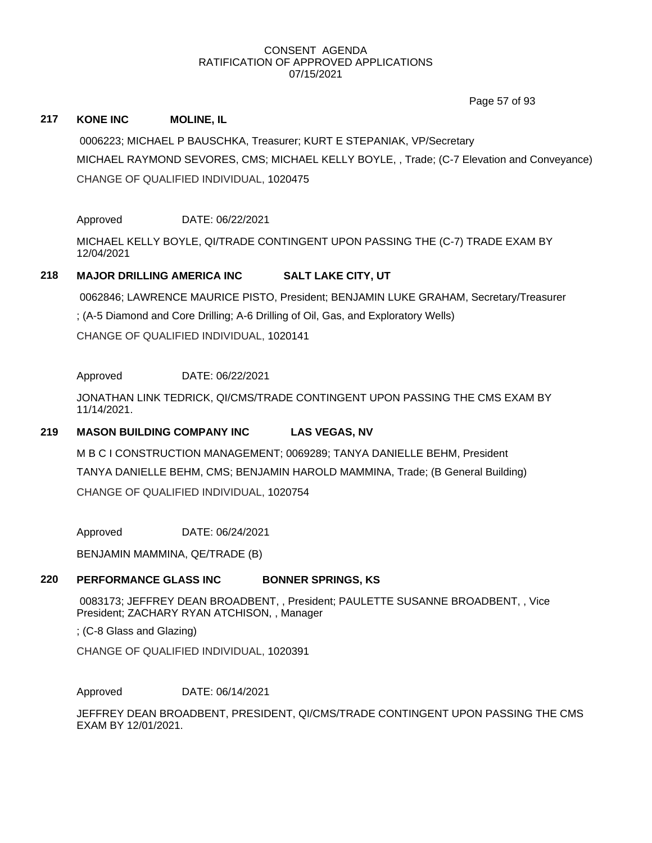Page 57 of 93

# **217 KONE INC MOLINE, IL**

0006223; MICHAEL P BAUSCHKA, Treasurer; KURT E STEPANIAK, VP/Secretary MICHAEL RAYMOND SEVORES, CMS; MICHAEL KELLY BOYLE, , Trade; (C-7 Elevation and Conveyance) CHANGE OF QUALIFIED INDIVIDUAL, 1020475

Approved DATE: 06/22/2021

MICHAEL KELLY BOYLE, QI/TRADE CONTINGENT UPON PASSING THE (C-7) TRADE EXAM BY 12/04/2021

# **218 MAJOR DRILLING AMERICA INC SALT LAKE CITY, UT**

0062846; LAWRENCE MAURICE PISTO, President; BENJAMIN LUKE GRAHAM, Secretary/Treasurer

; (A-5 Diamond and Core Drilling; A-6 Drilling of Oil, Gas, and Exploratory Wells)

CHANGE OF QUALIFIED INDIVIDUAL, 1020141

# Approved DATE: 06/22/2021

JONATHAN LINK TEDRICK, QI/CMS/TRADE CONTINGENT UPON PASSING THE CMS EXAM BY 11/14/2021.

# **219 MASON BUILDING COMPANY INC LAS VEGAS, NV**

M B C I CONSTRUCTION MANAGEMENT; 0069289; TANYA DANIELLE BEHM, President TANYA DANIELLE BEHM, CMS; BENJAMIN HAROLD MAMMINA, Trade; (B General Building) CHANGE OF QUALIFIED INDIVIDUAL, 1020754

Approved DATE: 06/24/2021

BENJAMIN MAMMINA, QE/TRADE (B)

# **220 PERFORMANCE GLASS INC BONNER SPRINGS, KS**

0083173; JEFFREY DEAN BROADBENT, , President; PAULETTE SUSANNE BROADBENT, , Vice President; ZACHARY RYAN ATCHISON, , Manager

; (C-8 Glass and Glazing)

CHANGE OF QUALIFIED INDIVIDUAL, 1020391

Approved DATE: 06/14/2021

JEFFREY DEAN BROADBENT, PRESIDENT, QI/CMS/TRADE CONTINGENT UPON PASSING THE CMS EXAM BY 12/01/2021.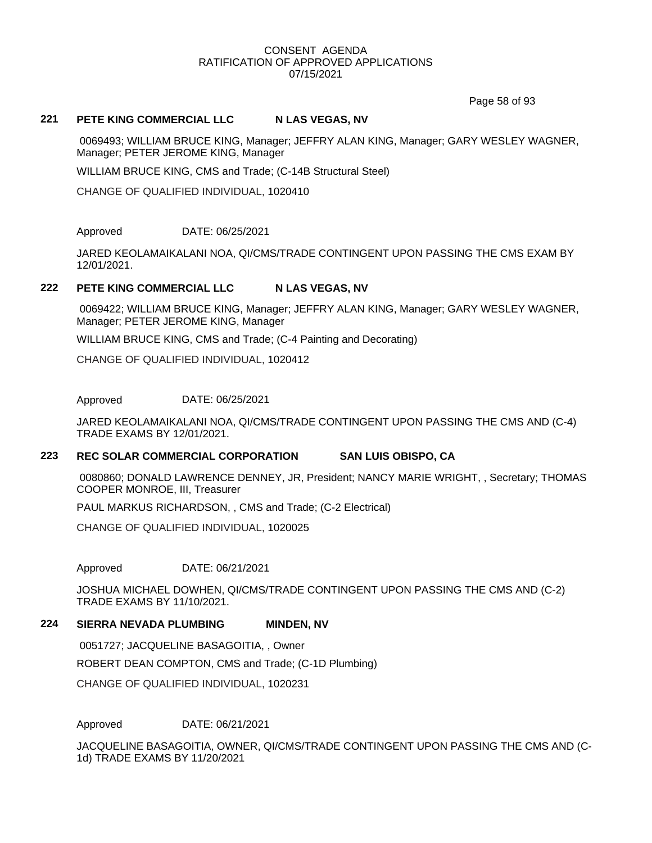Page 58 of 93

### **221 PETE KING COMMERCIAL LLC N LAS VEGAS, NV**

0069493; WILLIAM BRUCE KING, Manager; JEFFRY ALAN KING, Manager; GARY WESLEY WAGNER, Manager; PETER JEROME KING, Manager

WILLIAM BRUCE KING, CMS and Trade; (C-14B Structural Steel)

CHANGE OF QUALIFIED INDIVIDUAL, 1020410

Approved DATE: 06/25/2021

JARED KEOLAMAIKALANI NOA, QI/CMS/TRADE CONTINGENT UPON PASSING THE CMS EXAM BY 12/01/2021.

# 222 **PETE KING COMMERCIAL LLC N LAS VEGAS, NV**

0069422; WILLIAM BRUCE KING, Manager; JEFFRY ALAN KING, Manager; GARY WESLEY WAGNER, Manager; PETER JEROME KING, Manager

WILLIAM BRUCE KING, CMS and Trade; (C-4 Painting and Decorating)

CHANGE OF QUALIFIED INDIVIDUAL, 1020412

Approved DATE: 06/25/2021

JARED KEOLAMAIKALANI NOA, QI/CMS/TRADE CONTINGENT UPON PASSING THE CMS AND (C-4) TRADE EXAMS BY 12/01/2021.

#### **223 REC SOLAR COMMERCIAL CORPORATION SAN LUIS OBISPO, CA**

0080860; DONALD LAWRENCE DENNEY, JR, President; NANCY MARIE WRIGHT, , Secretary; THOMAS COOPER MONROE, III, Treasurer

PAUL MARKUS RICHARDSON, , CMS and Trade; (C-2 Electrical)

CHANGE OF QUALIFIED INDIVIDUAL, 1020025

Approved DATE: 06/21/2021

JOSHUA MICHAEL DOWHEN, QI/CMS/TRADE CONTINGENT UPON PASSING THE CMS AND (C-2) TRADE EXAMS BY 11/10/2021.

#### **224 SIERRA NEVADA PLUMBING MINDEN, NV**

0051727; JACQUELINE BASAGOITIA, , Owner ROBERT DEAN COMPTON, CMS and Trade; (C-1D Plumbing) CHANGE OF QUALIFIED INDIVIDUAL, 1020231

Approved DATE: 06/21/2021

JACQUELINE BASAGOITIA, OWNER, QI/CMS/TRADE CONTINGENT UPON PASSING THE CMS AND (C-1d) TRADE EXAMS BY 11/20/2021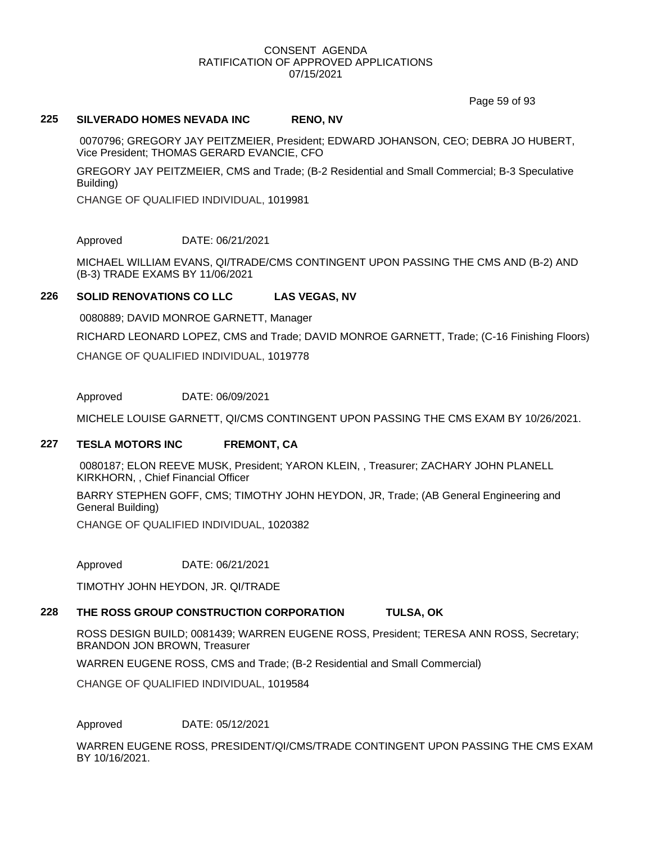Page 59 of 93

### **225 SILVERADO HOMES NEVADA INC RENO, NV**

0070796; GREGORY JAY PEITZMEIER, President; EDWARD JOHANSON, CEO; DEBRA JO HUBERT, Vice President; THOMAS GERARD EVANCIE, CFO

GREGORY JAY PEITZMEIER, CMS and Trade; (B-2 Residential and Small Commercial; B-3 Speculative Building)

CHANGE OF QUALIFIED INDIVIDUAL, 1019981

Approved DATE: 06/21/2021

MICHAEL WILLIAM EVANS, QI/TRADE/CMS CONTINGENT UPON PASSING THE CMS AND (B-2) AND (B-3) TRADE EXAMS BY 11/06/2021

# **226 SOLID RENOVATIONS CO LLC LAS VEGAS, NV**

0080889; DAVID MONROE GARNETT, Manager

RICHARD LEONARD LOPEZ, CMS and Trade; DAVID MONROE GARNETT, Trade; (C-16 Finishing Floors)

CHANGE OF QUALIFIED INDIVIDUAL, 1019778

Approved DATE: 06/09/2021

MICHELE LOUISE GARNETT, QI/CMS CONTINGENT UPON PASSING THE CMS EXAM BY 10/26/2021.

#### **227 TESLA MOTORS INC FREMONT, CA**

0080187; ELON REEVE MUSK, President; YARON KLEIN, , Treasurer; ZACHARY JOHN PLANELL KIRKHORN, , Chief Financial Officer

BARRY STEPHEN GOFF, CMS; TIMOTHY JOHN HEYDON, JR, Trade; (AB General Engineering and General Building)

CHANGE OF QUALIFIED INDIVIDUAL, 1020382

Approved DATE: 06/21/2021

TIMOTHY JOHN HEYDON, JR. QI/TRADE

# **228 THE ROSS GROUP CONSTRUCTION CORPORATION TULSA, OK**

ROSS DESIGN BUILD; 0081439; WARREN EUGENE ROSS, President; TERESA ANN ROSS, Secretary; BRANDON JON BROWN, Treasurer

WARREN EUGENE ROSS, CMS and Trade; (B-2 Residential and Small Commercial)

CHANGE OF QUALIFIED INDIVIDUAL, 1019584

Approved DATE: 05/12/2021

WARREN EUGENE ROSS, PRESIDENT/QI/CMS/TRADE CONTINGENT UPON PASSING THE CMS EXAM BY 10/16/2021.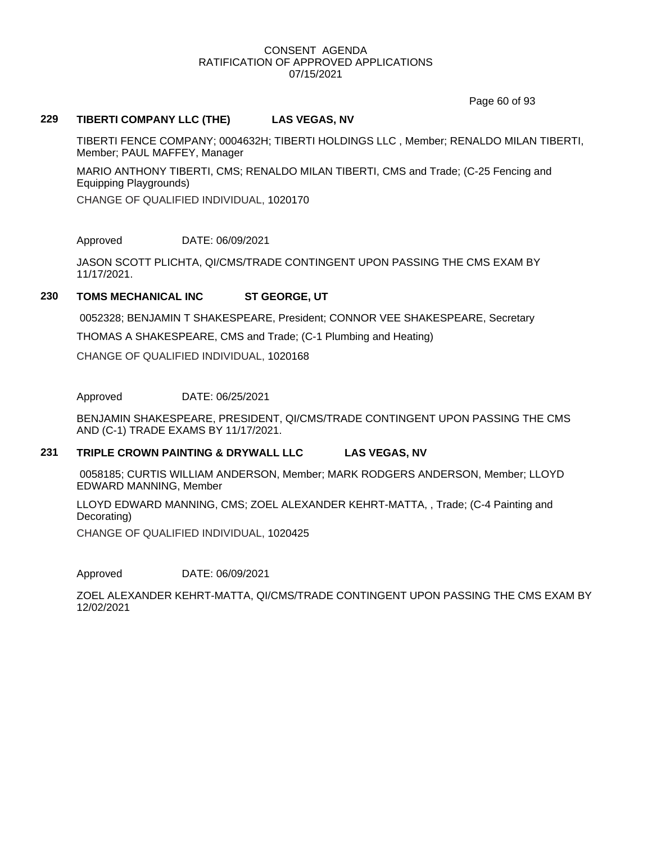Page 60 of 93

# **229 TIBERTI COMPANY LLC (THE) LAS VEGAS, NV**

TIBERTI FENCE COMPANY; 0004632H; TIBERTI HOLDINGS LLC , Member; RENALDO MILAN TIBERTI, Member; PAUL MAFFEY, Manager

MARIO ANTHONY TIBERTI, CMS; RENALDO MILAN TIBERTI, CMS and Trade; (C-25 Fencing and Equipping Playgrounds)

CHANGE OF QUALIFIED INDIVIDUAL, 1020170

Approved DATE: 06/09/2021

JASON SCOTT PLICHTA, QI/CMS/TRADE CONTINGENT UPON PASSING THE CMS EXAM BY 11/17/2021.

# **230 TOMS MECHANICAL INC ST GEORGE, UT**

0052328; BENJAMIN T SHAKESPEARE, President; CONNOR VEE SHAKESPEARE, Secretary

THOMAS A SHAKESPEARE, CMS and Trade; (C-1 Plumbing and Heating)

CHANGE OF QUALIFIED INDIVIDUAL, 1020168

Approved DATE: 06/25/2021

BENJAMIN SHAKESPEARE, PRESIDENT, QI/CMS/TRADE CONTINGENT UPON PASSING THE CMS AND (C-1) TRADE EXAMS BY 11/17/2021.

#### **231 TRIPLE CROWN PAINTING & DRYWALL LLC LAS VEGAS, NV**

0058185; CURTIS WILLIAM ANDERSON, Member; MARK RODGERS ANDERSON, Member; LLOYD EDWARD MANNING, Member

LLOYD EDWARD MANNING, CMS; ZOEL ALEXANDER KEHRT-MATTA, , Trade; (C-4 Painting and Decorating)

CHANGE OF QUALIFIED INDIVIDUAL, 1020425

Approved DATE: 06/09/2021

ZOEL ALEXANDER KEHRT-MATTA, QI/CMS/TRADE CONTINGENT UPON PASSING THE CMS EXAM BY 12/02/2021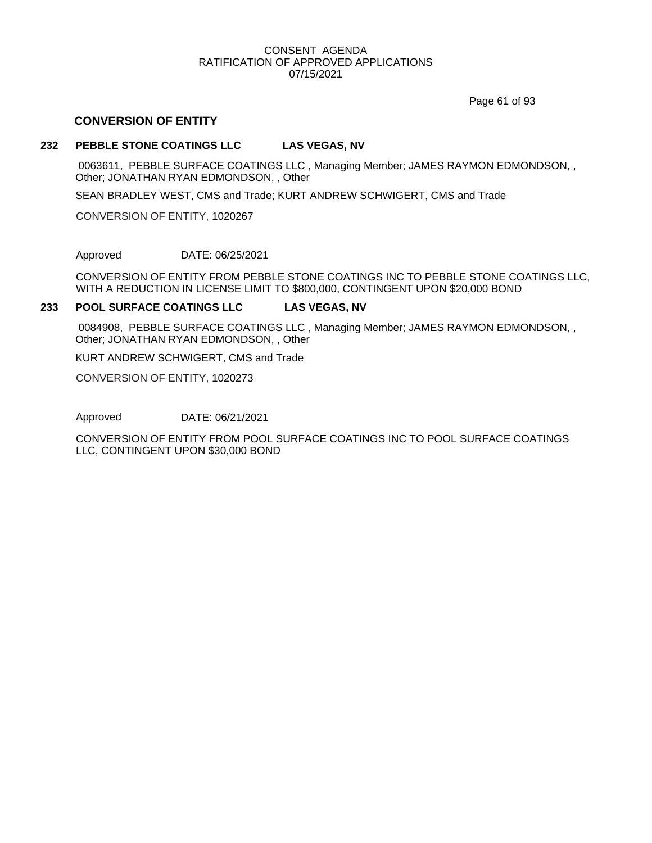Page 61 of 93

# **CONVERSION OF ENTITY**

#### **232 PEBBLE STONE COATINGS LLC LAS VEGAS, NV**

0063611, PEBBLE SURFACE COATINGS LLC , Managing Member; JAMES RAYMON EDMONDSON, , Other; JONATHAN RYAN EDMONDSON, , Other

SEAN BRADLEY WEST, CMS and Trade; KURT ANDREW SCHWIGERT, CMS and Trade

CONVERSION OF ENTITY, 1020267

Approved DATE: 06/25/2021

CONVERSION OF ENTITY FROM PEBBLE STONE COATINGS INC TO PEBBLE STONE COATINGS LLC, WITH A REDUCTION IN LICENSE LIMIT TO \$800,000, CONTINGENT UPON \$20,000 BOND

#### **233 POOL SURFACE COATINGS LLC LAS VEGAS, NV**

0084908, PEBBLE SURFACE COATINGS LLC , Managing Member; JAMES RAYMON EDMONDSON, , Other; JONATHAN RYAN EDMONDSON, , Other

KURT ANDREW SCHWIGERT, CMS and Trade

CONVERSION OF ENTITY, 1020273

Approved DATE: 06/21/2021

CONVERSION OF ENTITY FROM POOL SURFACE COATINGS INC TO POOL SURFACE COATINGS LLC, CONTINGENT UPON \$30,000 BOND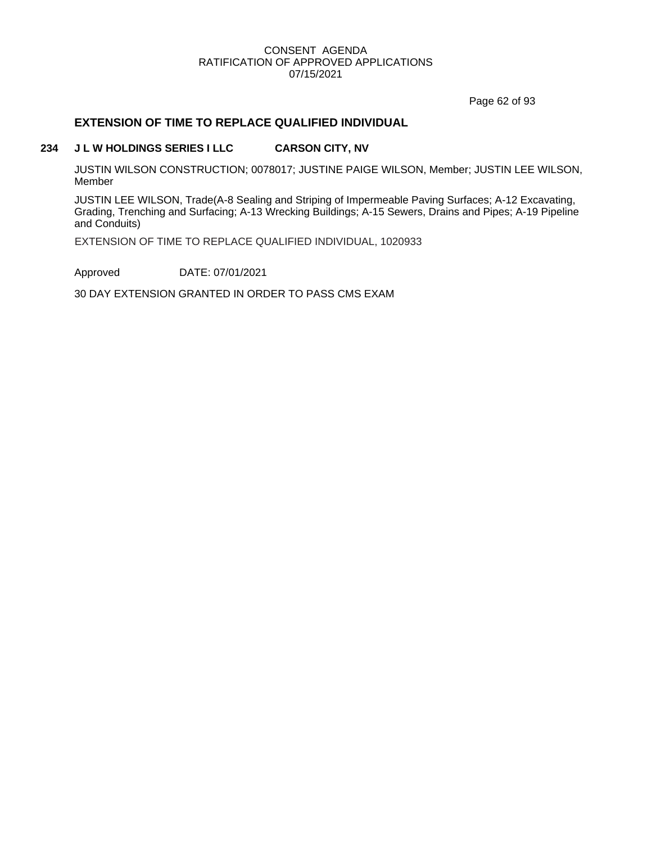Page 62 of 93

# **EXTENSION OF TIME TO REPLACE QUALIFIED INDIVIDUAL**

# **234 J L W HOLDINGS SERIES I LLC CARSON CITY, NV**

JUSTIN WILSON CONSTRUCTION; 0078017; JUSTINE PAIGE WILSON, Member; JUSTIN LEE WILSON, Member

JUSTIN LEE WILSON, Trade(A-8 Sealing and Striping of Impermeable Paving Surfaces; A-12 Excavating, Grading, Trenching and Surfacing; A-13 Wrecking Buildings; A-15 Sewers, Drains and Pipes; A-19 Pipeline and Conduits)

EXTENSION OF TIME TO REPLACE QUALIFIED INDIVIDUAL, 1020933

Approved DATE: 07/01/2021

30 DAY EXTENSION GRANTED IN ORDER TO PASS CMS EXAM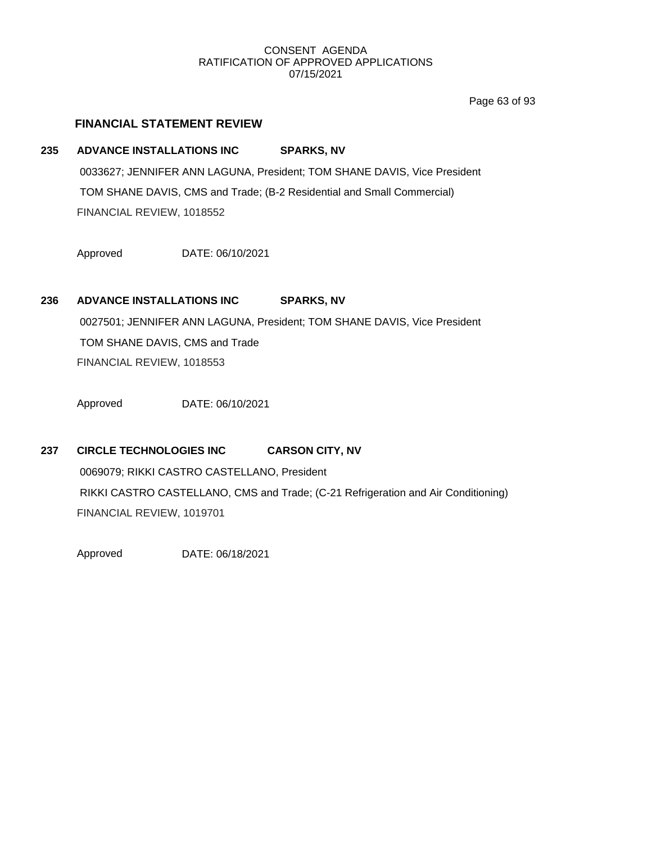Page 63 of 93

# **FINANCIAL STATEMENT REVIEW**

# **235 ADVANCE INSTALLATIONS INC SPARKS, NV**

0033627; JENNIFER ANN LAGUNA, President; TOM SHANE DAVIS, Vice President TOM SHANE DAVIS, CMS and Trade; (B-2 Residential and Small Commercial) FINANCIAL REVIEW, 1018552

Approved DATE: 06/10/2021

# **236 ADVANCE INSTALLATIONS INC SPARKS, NV**

0027501; JENNIFER ANN LAGUNA, President; TOM SHANE DAVIS, Vice President TOM SHANE DAVIS, CMS and Trade FINANCIAL REVIEW, 1018553

Approved DATE: 06/10/2021

# **237 CIRCLE TECHNOLOGIES INC CARSON CITY, NV**

0069079; RIKKI CASTRO CASTELLANO, President RIKKI CASTRO CASTELLANO, CMS and Trade; (C-21 Refrigeration and Air Conditioning) FINANCIAL REVIEW, 1019701

Approved DATE: 06/18/2021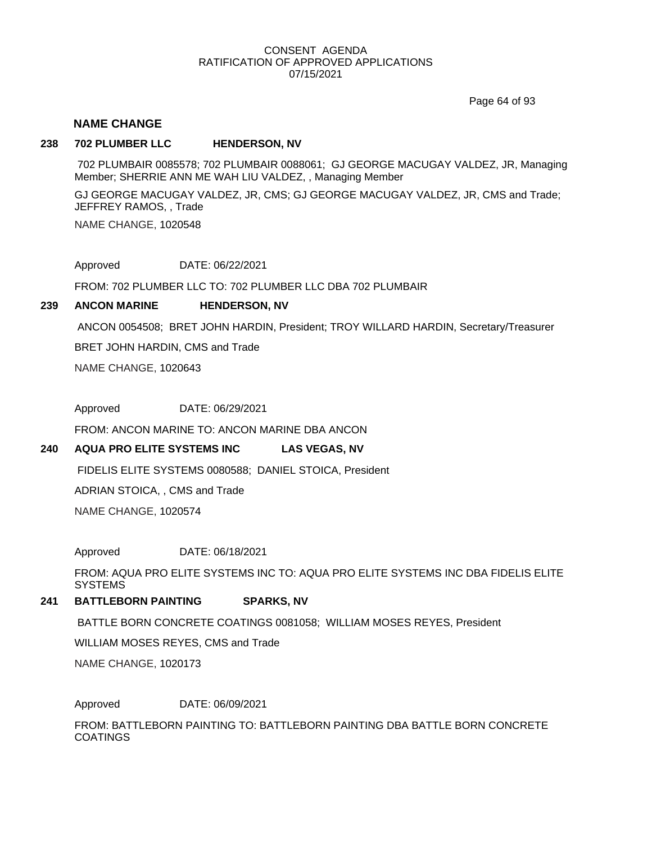Page 64 of 93

### **NAME CHANGE**

#### **238 702 PLUMBER LLC HENDERSON, NV**

702 PLUMBAIR 0085578; 702 PLUMBAIR 0088061; GJ GEORGE MACUGAY VALDEZ, JR, Managing Member; SHERRIE ANN ME WAH LIU VALDEZ, , Managing Member

NAME CHANGE, 1020548 GJ GEORGE MACUGAY VALDEZ, JR, CMS; GJ GEORGE MACUGAY VALDEZ, JR, CMS and Trade; JEFFREY RAMOS, , Trade

Approved DATE: 06/22/2021

FROM: 702 PLUMBER LLC TO: 702 PLUMBER LLC DBA 702 PLUMBAIR

#### **239 ANCON MARINE HENDERSON, NV**

ANCON 0054508; BRET JOHN HARDIN, President; TROY WILLARD HARDIN, Secretary/Treasurer

BRET JOHN HARDIN, CMS and Trade

NAME CHANGE, 1020643

Approved DATE: 06/29/2021

FROM: ANCON MARINE TO: ANCON MARINE DBA ANCON

#### **240 AQUA PRO ELITE SYSTEMS INC LAS VEGAS, NV**

FIDELIS ELITE SYSTEMS 0080588; DANIEL STOICA, President

ADRIAN STOICA, , CMS and Trade

NAME CHANGE, 1020574

Approved DATE: 06/18/2021

FROM: AQUA PRO ELITE SYSTEMS INC TO: AQUA PRO ELITE SYSTEMS INC DBA FIDELIS ELITE **SYSTEMS** 

#### **241 BATTLEBORN PAINTING SPARKS, NV**

BATTLE BORN CONCRETE COATINGS 0081058; WILLIAM MOSES REYES, President

WILLIAM MOSES REYES, CMS and Trade

NAME CHANGE, 1020173

Approved DATE: 06/09/2021

FROM: BATTLEBORN PAINTING TO: BATTLEBORN PAINTING DBA BATTLE BORN CONCRETE **COATINGS**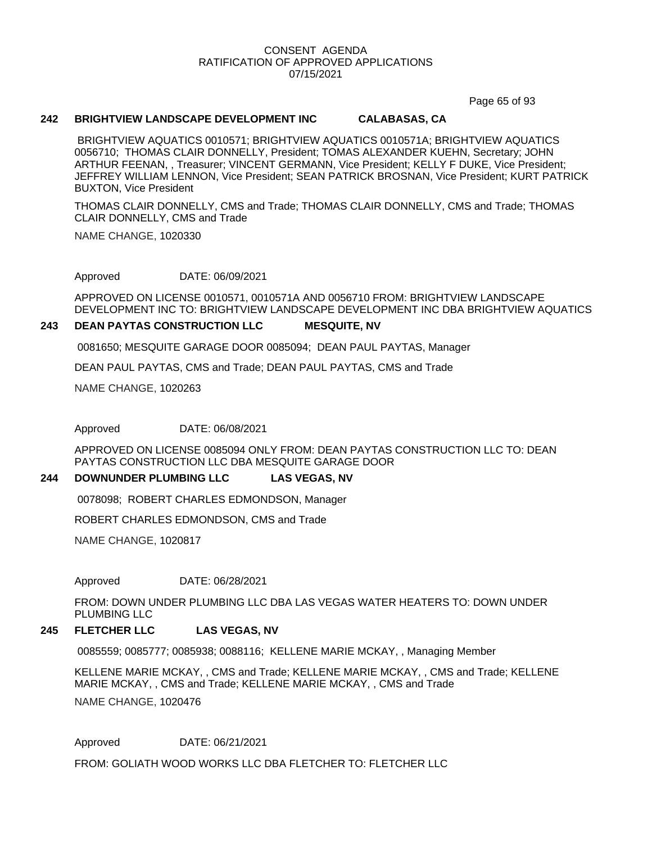Page 65 of 93

#### **242 BRIGHTVIEW LANDSCAPE DEVELOPMENT INC CALABASAS, CA**

BRIGHTVIEW AQUATICS 0010571; BRIGHTVIEW AQUATICS 0010571A; BRIGHTVIEW AQUATICS 0056710; THOMAS CLAIR DONNELLY, President; TOMAS ALEXANDER KUEHN, Secretary; JOHN ARTHUR FEENAN, , Treasurer; VINCENT GERMANN, Vice President; KELLY F DUKE, Vice President; JEFFREY WILLIAM LENNON, Vice President; SEAN PATRICK BROSNAN, Vice President; KURT PATRICK BUXTON, Vice President

THOMAS CLAIR DONNELLY, CMS and Trade; THOMAS CLAIR DONNELLY, CMS and Trade; THOMAS CLAIR DONNELLY, CMS and Trade

NAME CHANGE, 1020330

Approved DATE: 06/09/2021

APPROVED ON LICENSE 0010571, 0010571A AND 0056710 FROM: BRIGHTVIEW LANDSCAPE DEVELOPMENT INC TO: BRIGHTVIEW LANDSCAPE DEVELOPMENT INC DBA BRIGHTVIEW AQUATICS

#### **243 DEAN PAYTAS CONSTRUCTION LLC MESQUITE, NV**

0081650; MESQUITE GARAGE DOOR 0085094; DEAN PAUL PAYTAS, Manager

DEAN PAUL PAYTAS, CMS and Trade; DEAN PAUL PAYTAS, CMS and Trade

NAME CHANGE, 1020263

Approved DATE: 06/08/2021

APPROVED ON LICENSE 0085094 ONLY FROM: DEAN PAYTAS CONSTRUCTION LLC TO: DEAN PAYTAS CONSTRUCTION LLC DBA MESQUITE GARAGE DOOR

#### **244 DOWNUNDER PLUMBING LLC LAS VEGAS, NV**

0078098; ROBERT CHARLES EDMONDSON, Manager

ROBERT CHARLES EDMONDSON, CMS and Trade

NAME CHANGE, 1020817

Approved DATE: 06/28/2021

FROM: DOWN UNDER PLUMBING LLC DBA LAS VEGAS WATER HEATERS TO: DOWN UNDER PLUMBING LLC

#### **245 FLETCHER LLC LAS VEGAS, NV**

0085559; 0085777; 0085938; 0088116; KELLENE MARIE MCKAY, , Managing Member

KELLENE MARIE MCKAY, , CMS and Trade; KELLENE MARIE MCKAY, , CMS and Trade; KELLENE MARIE MCKAY, , CMS and Trade; KELLENE MARIE MCKAY, , CMS and Trade

NAME CHANGE, 1020476

Approved DATE: 06/21/2021

FROM: GOLIATH WOOD WORKS LLC DBA FLETCHER TO: FLETCHER LLC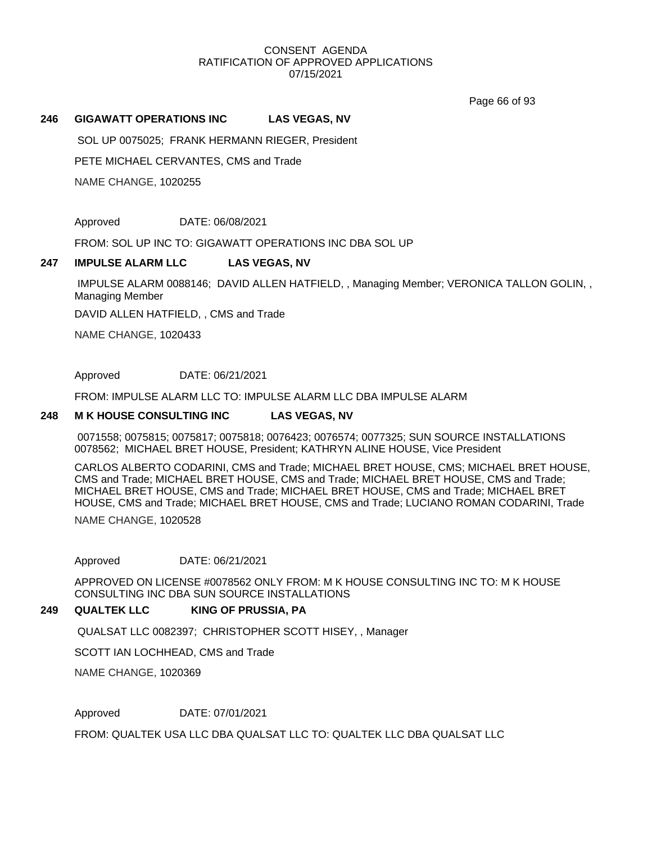Page 66 of 93

#### **246 GIGAWATT OPERATIONS INC LAS VEGAS, NV**

SOL UP 0075025; FRANK HERMANN RIEGER, President

PETE MICHAEL CERVANTES, CMS and Trade

NAME CHANGE, 1020255

Approved DATE: 06/08/2021

FROM: SOL UP INC TO: GIGAWATT OPERATIONS INC DBA SOL UP

#### **247 IMPULSE ALARM LLC LAS VEGAS, NV**

IMPULSE ALARM 0088146; DAVID ALLEN HATFIELD, , Managing Member; VERONICA TALLON GOLIN, , Managing Member

DAVID ALLEN HATFIELD, , CMS and Trade

NAME CHANGE, 1020433

Approved DATE: 06/21/2021

FROM: IMPULSE ALARM LLC TO: IMPULSE ALARM LLC DBA IMPULSE ALARM

#### **248 M K HOUSE CONSULTING INC LAS VEGAS, NV**

0071558; 0075815; 0075817; 0075818; 0076423; 0076574; 0077325; SUN SOURCE INSTALLATIONS 0078562; MICHAEL BRET HOUSE, President; KATHRYN ALINE HOUSE, Vice President

CARLOS ALBERTO CODARINI, CMS and Trade; MICHAEL BRET HOUSE, CMS; MICHAEL BRET HOUSE, CMS and Trade; MICHAEL BRET HOUSE, CMS and Trade; MICHAEL BRET HOUSE, CMS and Trade; MICHAEL BRET HOUSE, CMS and Trade; MICHAEL BRET HOUSE, CMS and Trade; MICHAEL BRET HOUSE, CMS and Trade; MICHAEL BRET HOUSE, CMS and Trade; LUCIANO ROMAN CODARINI, Trade

NAME CHANGE, 1020528

Approved DATE: 06/21/2021

APPROVED ON LICENSE #0078562 ONLY FROM: M K HOUSE CONSULTING INC TO: M K HOUSE CONSULTING INC DBA SUN SOURCE INSTALLATIONS

#### **249 QUALTEK LLC KING OF PRUSSIA, PA**

QUALSAT LLC 0082397; CHRISTOPHER SCOTT HISEY, , Manager

SCOTT IAN LOCHHEAD, CMS and Trade

NAME CHANGE, 1020369

Approved DATE: 07/01/2021

FROM: QUALTEK USA LLC DBA QUALSAT LLC TO: QUALTEK LLC DBA QUALSAT LLC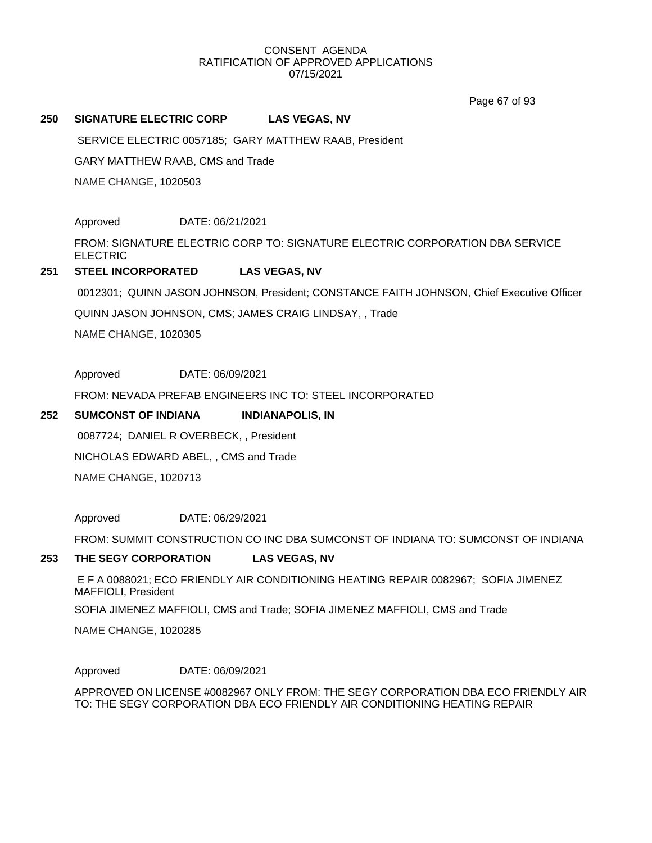Page 67 of 93

#### **250 SIGNATURE ELECTRIC CORP LAS VEGAS, NV**

SERVICE ELECTRIC 0057185; GARY MATTHEW RAAB, President

GARY MATTHEW RAAB, CMS and Trade

NAME CHANGE, 1020503

Approved DATE: 06/21/2021

FROM: SIGNATURE ELECTRIC CORP TO: SIGNATURE ELECTRIC CORPORATION DBA SERVICE ELECTRIC

#### **251 STEEL INCORPORATED LAS VEGAS, NV**

0012301; QUINN JASON JOHNSON, President; CONSTANCE FAITH JOHNSON, Chief Executive Officer

QUINN JASON JOHNSON, CMS; JAMES CRAIG LINDSAY, , Trade

NAME CHANGE, 1020305

Approved DATE: 06/09/2021

FROM: NEVADA PREFAB ENGINEERS INC TO: STEEL INCORPORATED

#### **252** SUMCONST OF INDIANA **INDIANAPOLIS, IN**

0087724; DANIEL R OVERBECK, , President

NICHOLAS EDWARD ABEL, , CMS and Trade

NAME CHANGE, 1020713

Approved DATE: 06/29/2021

FROM: SUMMIT CONSTRUCTION CO INC DBA SUMCONST OF INDIANA TO: SUMCONST OF INDIANA

#### **253 THE SEGY CORPORATION LAS VEGAS, NV**

E F A 0088021; ECO FRIENDLY AIR CONDITIONING HEATING REPAIR 0082967; SOFIA JIMENEZ MAFFIOLI, President

SOFIA JIMENEZ MAFFIOLI, CMS and Trade; SOFIA JIMENEZ MAFFIOLI, CMS and Trade

NAME CHANGE, 1020285

Approved DATE: 06/09/2021

APPROVED ON LICENSE #0082967 ONLY FROM: THE SEGY CORPORATION DBA ECO FRIENDLY AIR TO: THE SEGY CORPORATION DBA ECO FRIENDLY AIR CONDITIONING HEATING REPAIR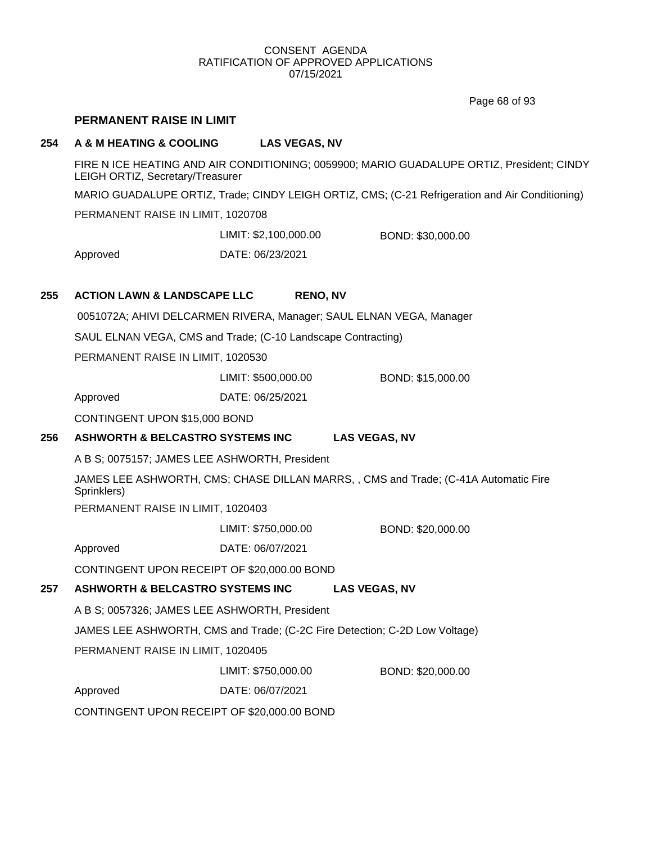Page 68 of 93

# **PERMANENT RAISE IN LIMIT**

### **254 A & M HEATING & COOLING LAS VEGAS, NV**

FIRE N ICE HEATING AND AIR CONDITIONING; 0059900; MARIO GUADALUPE ORTIZ, President; CINDY LEIGH ORTIZ, Secretary/Treasurer MARIO GUADALUPE ORTIZ, Trade; CINDY LEIGH ORTIZ, CMS; (C-21 Refrigeration and Air Conditioning)

PERMANENT RAISE IN LIMIT, 1020708

LIMIT: \$2,100,000.00 BOND: \$30,000.00

Approved DATE: 06/23/2021

# **255 ACTION LAWN & LANDSCAPE LLC RENO, NV**

0051072A; AHIVI DELCARMEN RIVERA, Manager; SAUL ELNAN VEGA, Manager

SAUL ELNAN VEGA, CMS and Trade; (C-10 Landscape Contracting)

PERMANENT RAISE IN LIMIT, 1020530

LIMIT: \$500,000.00 BOND: \$15,000.00

Approved DATE: 06/25/2021

CONTINGENT UPON \$15,000 BOND

# **256 ASHWORTH & BELCASTRO SYSTEMS INC LAS VEGAS, NV**

A B S; 0075157; JAMES LEE ASHWORTH, President

JAMES LEE ASHWORTH, CMS; CHASE DILLAN MARRS, , CMS and Trade; (C-41A Automatic Fire Sprinklers)

PERMANENT RAISE IN LIMIT, 1020403

LIMIT: \$750,000.00 BOND: \$20,000.00

Approved DATE: 06/07/2021

CONTINGENT UPON RECEIPT OF \$20,000.00 BOND

# **257 ASHWORTH & BELCASTRO SYSTEMS INC LAS VEGAS, NV**

A B S; 0057326; JAMES LEE ASHWORTH, President

JAMES LEE ASHWORTH, CMS and Trade; (C-2C Fire Detection; C-2D Low Voltage)

PERMANENT RAISE IN LIMIT, 1020405

LIMIT: \$750,000.00 BOND: \$20,000.00

Approved DATE: 06/07/2021

CONTINGENT UPON RECEIPT OF \$20,000.00 BOND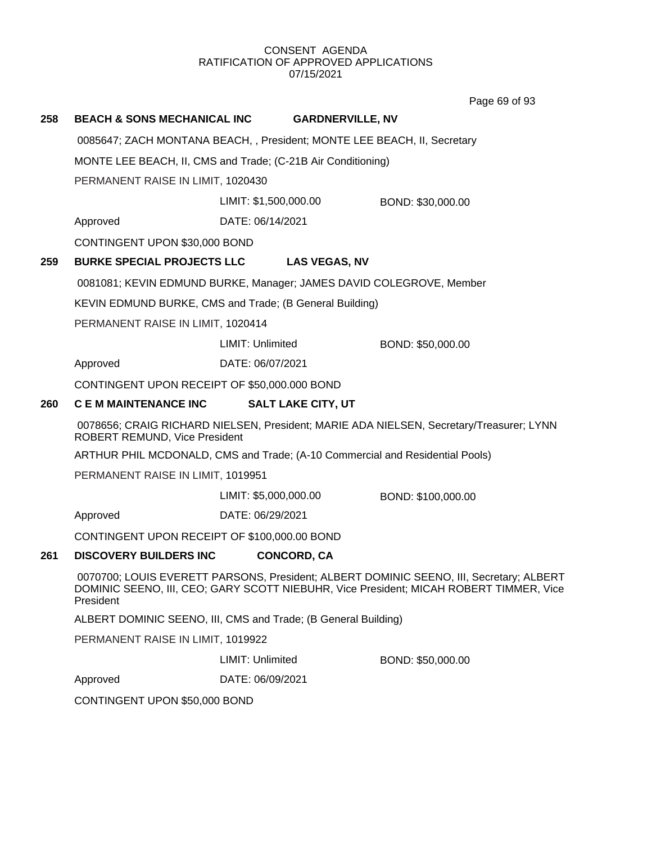Page 69 of 93

# **258 BEACH & SONS MECHANICAL INC GARDNERVILLE, NV** 0085647; ZACH MONTANA BEACH, , President; MONTE LEE BEACH, II, Secretary MONTE LEE BEACH, II, CMS and Trade; (C-21B Air Conditioning) PERMANENT RAISE IN LIMIT, 1020430 Approved DATE: 06/14/2021 LIMIT: \$1,500,000.00 BOND: \$30,000.00 CONTINGENT UPON \$30,000 BOND **259 BURKE SPECIAL PROJECTS LLC LAS VEGAS, NV** 0081081; KEVIN EDMUND BURKE, Manager; JAMES DAVID COLEGROVE, Member KEVIN EDMUND BURKE, CMS and Trade; (B General Building) PERMANENT RAISE IN LIMIT, 1020414 Approved DATE: 06/07/2021 LIMIT: Unlimited BOND: \$50,000.00 CONTINGENT UPON RECEIPT OF \$50,000.000 BOND **260 C E M MAINTENANCE INC SALT LAKE CITY, UT** 0078656; CRAIG RICHARD NIELSEN, President; MARIE ADA NIELSEN, Secretary/Treasurer; LYNN ROBERT REMUND, Vice President ARTHUR PHIL MCDONALD, CMS and Trade; (A-10 Commercial and Residential Pools) PERMANENT RAISE IN LIMIT, 1019951 Approved DATE: 06/29/2021 LIMIT: \$5,000,000.00 BOND: \$100,000.00 CONTINGENT UPON RECEIPT OF \$100,000.00 BOND **261 DISCOVERY BUILDERS INC CONCORD, CA** 0070700; LOUIS EVERETT PARSONS, President; ALBERT DOMINIC SEENO, III, Secretary; ALBERT DOMINIC SEENO, III, CEO; GARY SCOTT NIEBUHR, Vice President; MICAH ROBERT TIMMER, Vice President ALBERT DOMINIC SEENO, III, CMS and Trade; (B General Building) PERMANENT RAISE IN LIMIT, 1019922 Approved DATE: 06/09/2021 LIMIT: Unlimited BOND: \$50,000.00

CONTINGENT UPON \$50,000 BOND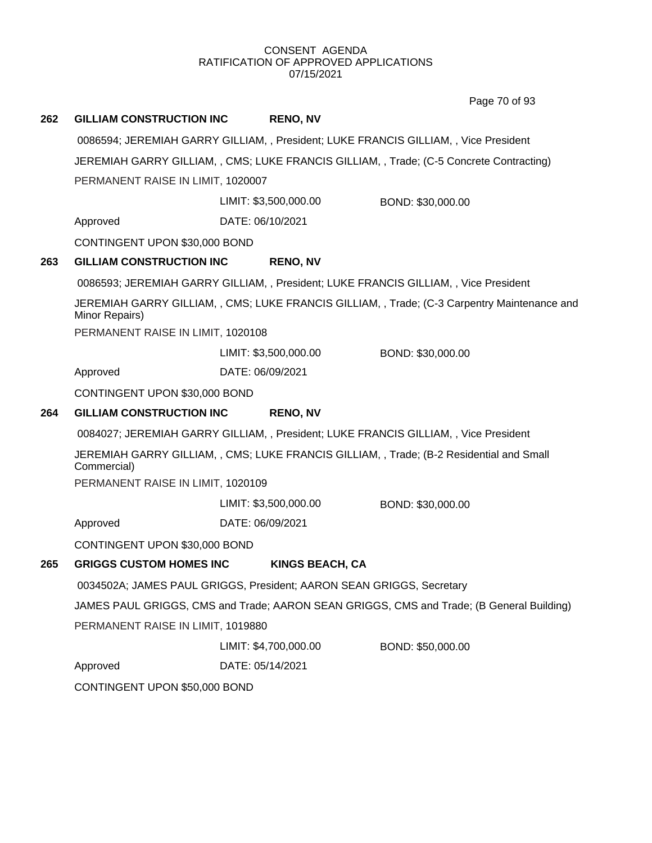Page 70 of 93

| 262 | <b>GILLIAM CONSTRUCTION INC</b>   | <b>RENO, NV</b>                                                                      |                                                                                            |
|-----|-----------------------------------|--------------------------------------------------------------------------------------|--------------------------------------------------------------------------------------------|
|     |                                   | 0086594; JEREMIAH GARRY GILLIAM, , President; LUKE FRANCIS GILLIAM, , Vice President |                                                                                            |
|     |                                   |                                                                                      | JEREMIAH GARRY GILLIAM, , CMS; LUKE FRANCIS GILLIAM, , Trade; (C-5 Concrete Contracting)   |
|     | PERMANENT RAISE IN LIMIT, 1020007 |                                                                                      |                                                                                            |
|     |                                   | LIMIT: \$3,500,000.00                                                                | BOND: \$30,000.00                                                                          |
|     | Approved                          | DATE: 06/10/2021                                                                     |                                                                                            |
|     | CONTINGENT UPON \$30,000 BOND     |                                                                                      |                                                                                            |
| 263 | <b>GILLIAM CONSTRUCTION INC</b>   | <b>RENO, NV</b>                                                                      |                                                                                            |
|     |                                   | 0086593; JEREMIAH GARRY GILLIAM, , President; LUKE FRANCIS GILLIAM, , Vice President |                                                                                            |
|     | Minor Repairs)                    |                                                                                      | JEREMIAH GARRY GILLIAM,, CMS; LUKE FRANCIS GILLIAM,, Trade; (C-3 Carpentry Maintenance and |
|     | PERMANENT RAISE IN LIMIT, 1020108 |                                                                                      |                                                                                            |
|     |                                   | LIMIT: \$3,500,000.00                                                                | BOND: \$30,000.00                                                                          |
|     | Approved                          | DATE: 06/09/2021                                                                     |                                                                                            |
|     | CONTINGENT UPON \$30,000 BOND     |                                                                                      |                                                                                            |
| 264 | <b>GILLIAM CONSTRUCTION INC</b>   | <b>RENO, NV</b>                                                                      |                                                                                            |
|     |                                   | 0084027; JEREMIAH GARRY GILLIAM, , President; LUKE FRANCIS GILLIAM, , Vice President |                                                                                            |
|     | Commercial)                       |                                                                                      | JEREMIAH GARRY GILLIAM, , CMS; LUKE FRANCIS GILLIAM, , Trade; (B-2 Residential and Small   |
|     | PERMANENT RAISE IN LIMIT, 1020109 |                                                                                      |                                                                                            |
|     |                                   | LIMIT: \$3,500,000.00                                                                | BOND: \$30,000.00                                                                          |
|     | Approved                          | DATE: 06/09/2021                                                                     |                                                                                            |
|     | CONTINGENT UPON \$30,000 BOND     |                                                                                      |                                                                                            |
| 265 | <b>GRIGGS CUSTOM HOMES INC</b>    | <b>KINGS BEACH, CA</b>                                                               |                                                                                            |
|     |                                   | 0034502A; JAMES PAUL GRIGGS, President; AARON SEAN GRIGGS, Secretary                 |                                                                                            |
|     |                                   |                                                                                      | JAMES PAUL GRIGGS, CMS and Trade; AARON SEAN GRIGGS, CMS and Trade; (B General Building)   |
|     | PERMANENT RAISE IN LIMIT, 1019880 |                                                                                      |                                                                                            |
|     |                                   | LIMIT: \$4,700,000.00                                                                | BOND: \$50,000.00                                                                          |
|     | Approved                          | DATE: 05/14/2021                                                                     |                                                                                            |
|     | CONTINGENT UPON \$50,000 BOND     |                                                                                      |                                                                                            |
|     |                                   |                                                                                      |                                                                                            |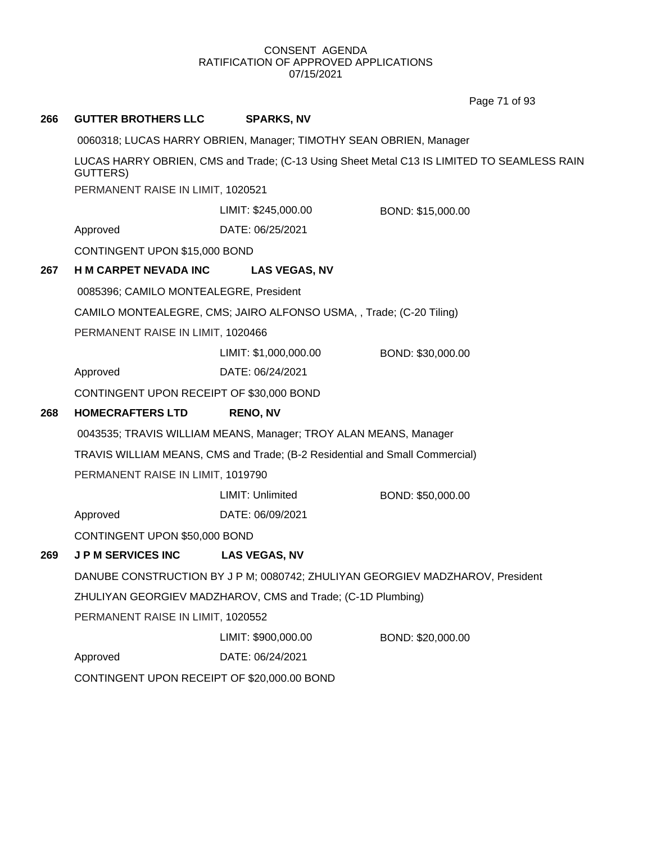Page 71 of 93

| 266                               | <b>GUTTER BROTHERS LLC</b>                  | <b>SPARKS, NV</b>                                                           |                                                                                            |
|-----------------------------------|---------------------------------------------|-----------------------------------------------------------------------------|--------------------------------------------------------------------------------------------|
|                                   |                                             | 0060318; LUCAS HARRY OBRIEN, Manager; TIMOTHY SEAN OBRIEN, Manager          |                                                                                            |
|                                   | <b>GUTTERS</b> )                            |                                                                             | LUCAS HARRY OBRIEN, CMS and Trade; (C-13 Using Sheet Metal C13 IS LIMITED TO SEAMLESS RAIN |
|                                   | PERMANENT RAISE IN LIMIT, 1020521           |                                                                             |                                                                                            |
|                                   |                                             | LIMIT: \$245,000.00                                                         | BOND: \$15,000.00                                                                          |
|                                   | Approved                                    | DATE: 06/25/2021                                                            |                                                                                            |
|                                   | CONTINGENT UPON \$15,000 BOND               |                                                                             |                                                                                            |
| 267                               | <b>H M CARPET NEVADA INC</b>                | <b>LAS VEGAS, NV</b>                                                        |                                                                                            |
|                                   | 0085396; CAMILO MONTEALEGRE, President      |                                                                             |                                                                                            |
|                                   |                                             | CAMILO MONTEALEGRE, CMS; JAIRO ALFONSO USMA, , Trade; (C-20 Tiling)         |                                                                                            |
|                                   | PERMANENT RAISE IN LIMIT, 1020466           |                                                                             |                                                                                            |
|                                   |                                             | LIMIT: \$1,000,000.00                                                       | BOND: \$30,000.00                                                                          |
|                                   | Approved                                    | DATE: 06/24/2021                                                            |                                                                                            |
|                                   | CONTINGENT UPON RECEIPT OF \$30,000 BOND    |                                                                             |                                                                                            |
| 268                               | <b>HOMECRAFTERS LTD</b>                     | <b>RENO, NV</b>                                                             |                                                                                            |
|                                   |                                             | 0043535; TRAVIS WILLIAM MEANS, Manager; TROY ALAN MEANS, Manager            |                                                                                            |
|                                   |                                             | TRAVIS WILLIAM MEANS, CMS and Trade; (B-2 Residential and Small Commercial) |                                                                                            |
|                                   | PERMANENT RAISE IN LIMIT, 1019790           |                                                                             |                                                                                            |
|                                   |                                             | LIMIT: Unlimited                                                            | BOND: \$50,000.00                                                                          |
|                                   | Approved                                    | DATE: 06/09/2021                                                            |                                                                                            |
|                                   | CONTINGENT UPON \$50,000 BOND               |                                                                             |                                                                                            |
| 269                               | <b>JPM SERVICES INC</b>                     | <b>LAS VEGAS, NV</b>                                                        |                                                                                            |
|                                   |                                             |                                                                             | DANUBE CONSTRUCTION BY J P M; 0080742; ZHULIYAN GEORGIEV MADZHAROV, President              |
|                                   |                                             | ZHULIYAN GEORGIEV MADZHAROV, CMS and Trade; (C-1D Plumbing)                 |                                                                                            |
| PERMANENT RAISE IN LIMIT, 1020552 |                                             |                                                                             |                                                                                            |
|                                   |                                             | LIMIT: \$900,000.00                                                         | BOND: \$20,000.00                                                                          |
|                                   | Approved                                    | DATE: 06/24/2021                                                            |                                                                                            |
|                                   | CONTINGENT UPON RECEIPT OF \$20,000.00 BOND |                                                                             |                                                                                            |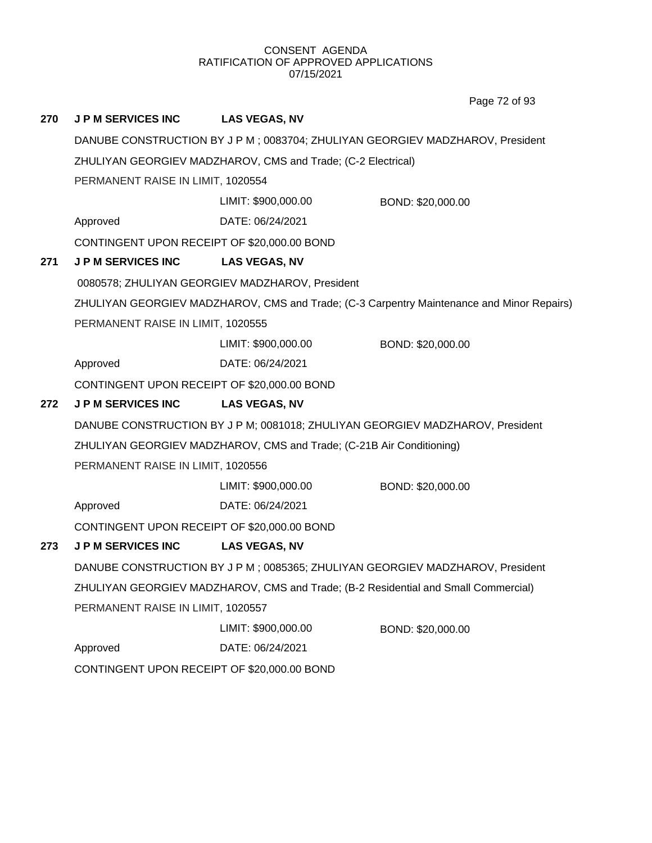Page 72 of 93

# **270 J P M SERVICES INC LAS VEGAS, NV** DANUBE CONSTRUCTION BY J P M ; 0083704; ZHULIYAN GEORGIEV MADZHAROV, President ZHULIYAN GEORGIEV MADZHAROV, CMS and Trade; (C-2 Electrical) PERMANENT RAISE IN LIMIT, 1020554 Approved DATE: 06/24/2021 LIMIT: \$900,000.00 BOND: \$20,000.00 CONTINGENT UPON RECEIPT OF \$20,000.00 BOND **271 J P M SERVICES INC LAS VEGAS, NV** 0080578; ZHULIYAN GEORGIEV MADZHAROV, President ZHULIYAN GEORGIEV MADZHAROV, CMS and Trade; (C-3 Carpentry Maintenance and Minor Repairs) PERMANENT RAISE IN LIMIT, 1020555 Approved DATE: 06/24/2021 LIMIT: \$900,000.00 BOND: \$20,000.00 CONTINGENT UPON RECEIPT OF \$20,000.00 BOND **272 J P M SERVICES INC LAS VEGAS, NV** DANUBE CONSTRUCTION BY J P M; 0081018; ZHULIYAN GEORGIEV MADZHAROV, President ZHULIYAN GEORGIEV MADZHAROV, CMS and Trade; (C-21B Air Conditioning) PERMANENT RAISE IN LIMIT, 1020556 Approved DATE: 06/24/2021 LIMIT: \$900,000.00 BOND: \$20,000.00 CONTINGENT UPON RECEIPT OF \$20,000.00 BOND **273 J P M SERVICES INC LAS VEGAS, NV** DANUBE CONSTRUCTION BY J P M ; 0085365; ZHULIYAN GEORGIEV MADZHAROV, President ZHULIYAN GEORGIEV MADZHAROV, CMS and Trade; (B-2 Residential and Small Commercial) PERMANENT RAISE IN LIMIT, 1020557 Approved DATE: 06/24/2021 LIMIT: \$900,000.00 BOND: \$20,000.00 CONTINGENT UPON RECEIPT OF \$20,000.00 BOND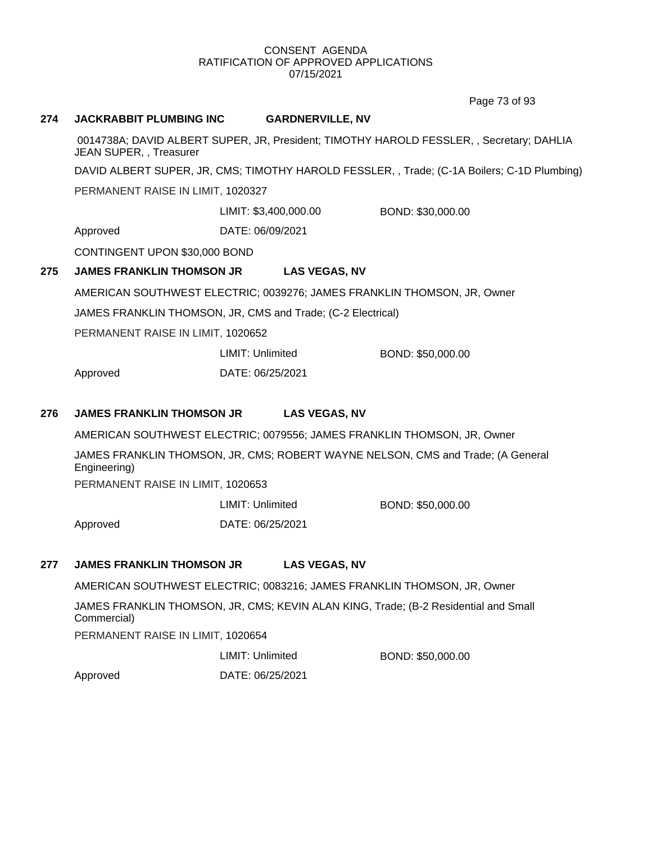Page 73 of 93

## **274 JACKRABBIT PLUMBING INC GARDNERVILLE, NV**

0014738A; DAVID ALBERT SUPER, JR, President; TIMOTHY HAROLD FESSLER, , Secretary; DAHLIA JEAN SUPER, , Treasurer

DAVID ALBERT SUPER, JR, CMS; TIMOTHY HAROLD FESSLER, , Trade; (C-1A Boilers; C-1D Plumbing)

PERMANENT RAISE IN LIMIT, 1020327

LIMIT: \$3,400,000.00 BOND: \$30,000.00

Approved DATE: 06/09/2021

CONTINGENT UPON \$30,000 BOND

## **275 JAMES FRANKLIN THOMSON JR LAS VEGAS, NV**

AMERICAN SOUTHWEST ELECTRIC; 0039276; JAMES FRANKLIN THOMSON, JR, Owner

JAMES FRANKLIN THOMSON, JR, CMS and Trade; (C-2 Electrical)

PERMANENT RAISE IN LIMIT, 1020652

|          | LIMIT: Unlimited | BOND: \$50,000.00 |
|----------|------------------|-------------------|
| Approved | DATE: 06/25/2021 |                   |

## **276 JAMES FRANKLIN THOMSON JR LAS VEGAS, NV**

AMERICAN SOUTHWEST ELECTRIC; 0079556; JAMES FRANKLIN THOMSON, JR, Owner

JAMES FRANKLIN THOMSON, JR, CMS; ROBERT WAYNE NELSON, CMS and Trade; (A General Engineering)

PERMANENT RAISE IN LIMIT, 1020653

|          | LIMIT: Unlimited | BOND: \$50,000.00 |
|----------|------------------|-------------------|
| Approved | DATE: 06/25/2021 |                   |

## **277 JAMES FRANKLIN THOMSON JR LAS VEGAS, NV**

AMERICAN SOUTHWEST ELECTRIC; 0083216; JAMES FRANKLIN THOMSON, JR, Owner JAMES FRANKLIN THOMSON, JR, CMS; KEVIN ALAN KING, Trade; (B-2 Residential and Small Commercial) PERMANENT RAISE IN LIMIT, 1020654

LIMIT: Unlimited BOND: \$50,000.00

Approved DATE: 06/25/2021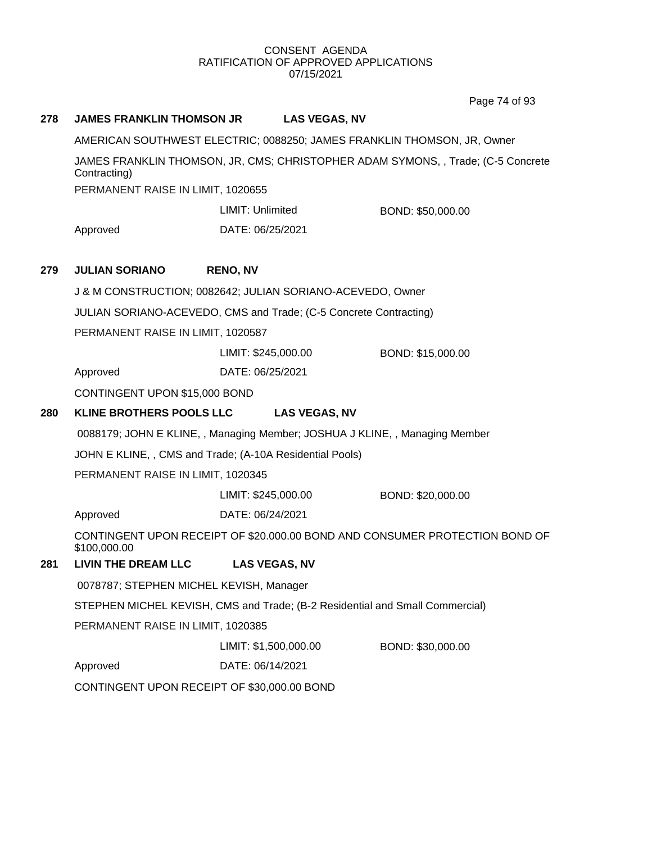Page 74 of 93

| 278 | <b>JAMES FRANKLIN THOMSON JR</b>                                        | <b>LAS VEGAS, NV</b>                                                         |                                                                                  |
|-----|-------------------------------------------------------------------------|------------------------------------------------------------------------------|----------------------------------------------------------------------------------|
|     | AMERICAN SOUTHWEST ELECTRIC; 0088250; JAMES FRANKLIN THOMSON, JR, Owner |                                                                              |                                                                                  |
|     | Contracting)                                                            |                                                                              | JAMES FRANKLIN THOMSON, JR, CMS; CHRISTOPHER ADAM SYMONS, , Trade; (C-5 Concrete |
|     | PERMANENT RAISE IN LIMIT, 1020655                                       |                                                                              |                                                                                  |
|     |                                                                         | LIMIT: Unlimited                                                             | BOND: \$50,000.00                                                                |
|     | Approved                                                                | DATE: 06/25/2021                                                             |                                                                                  |
|     |                                                                         |                                                                              |                                                                                  |
| 279 | <b>JULIAN SORIANO</b>                                                   | <b>RENO, NV</b>                                                              |                                                                                  |
|     |                                                                         | J & M CONSTRUCTION; 0082642; JULIAN SORIANO-ACEVEDO, Owner                   |                                                                                  |
|     |                                                                         | JULIAN SORIANO-ACEVEDO, CMS and Trade; (C-5 Concrete Contracting)            |                                                                                  |
|     | PERMANENT RAISE IN LIMIT, 1020587                                       |                                                                              |                                                                                  |
|     |                                                                         | LIMIT: \$245,000.00                                                          | BOND: \$15,000.00                                                                |
|     | Approved                                                                | DATE: 06/25/2021                                                             |                                                                                  |
|     | CONTINGENT UPON \$15,000 BOND                                           |                                                                              |                                                                                  |
| 280 | <b>KLINE BROTHERS POOLS LLC</b>                                         | <b>LAS VEGAS, NV</b>                                                         |                                                                                  |
|     |                                                                         | 0088179; JOHN E KLINE,, Managing Member; JOSHUA J KLINE,, Managing Member    |                                                                                  |
|     |                                                                         | JOHN E KLINE, , CMS and Trade; (A-10A Residential Pools)                     |                                                                                  |
|     | PERMANENT RAISE IN LIMIT, 1020345                                       |                                                                              |                                                                                  |
|     |                                                                         | LIMIT: \$245,000.00                                                          | BOND: \$20,000.00                                                                |
|     | Approved                                                                | DATE: 06/24/2021                                                             |                                                                                  |
|     | \$100,000.00                                                            |                                                                              | CONTINGENT UPON RECEIPT OF \$20.000.00 BOND AND CONSUMER PROTECTION BOND OF      |
| 281 | <b>LIVIN THE DREAM LLC</b>                                              | <b>LAS VEGAS, NV</b>                                                         |                                                                                  |
|     | 0078787; STEPHEN MICHEL KEVISH, Manager                                 |                                                                              |                                                                                  |
|     |                                                                         | STEPHEN MICHEL KEVISH, CMS and Trade; (B-2 Residential and Small Commercial) |                                                                                  |
|     | PERMANENT RAISE IN LIMIT, 1020385                                       |                                                                              |                                                                                  |
|     |                                                                         | LIMIT: \$1,500,000.00                                                        | BOND: \$30,000.00                                                                |
|     | Approved                                                                | DATE: 06/14/2021                                                             |                                                                                  |
|     | CONTINGENT UPON RECEIPT OF \$30,000.00 BOND                             |                                                                              |                                                                                  |
|     |                                                                         |                                                                              |                                                                                  |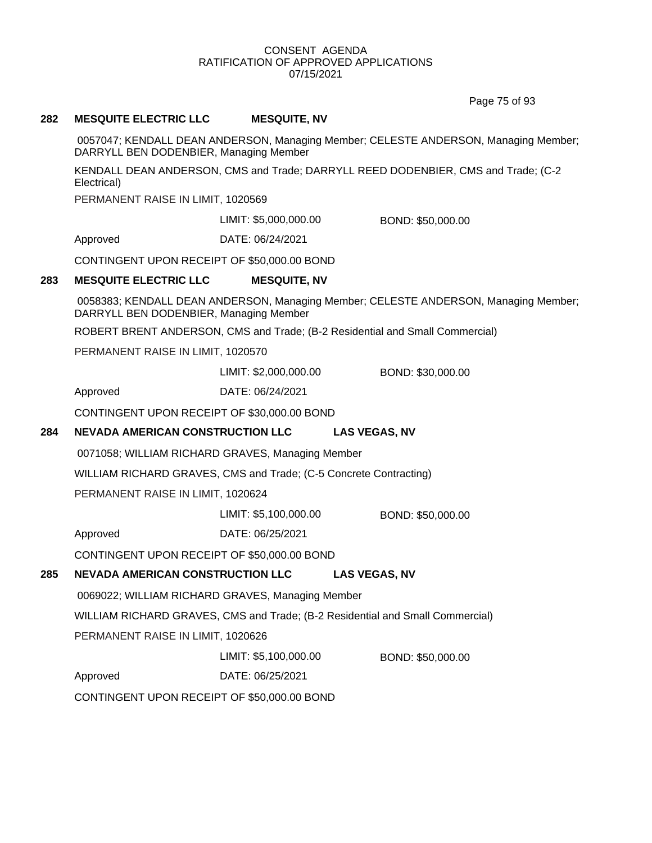Page 75 of 93

## **282 MESQUITE ELECTRIC LLC MESQUITE, NV**

0057047; KENDALL DEAN ANDERSON, Managing Member; CELESTE ANDERSON, Managing Member; DARRYLL BEN DODENBIER, Managing Member

KENDALL DEAN ANDERSON, CMS and Trade; DARRYLL REED DODENBIER, CMS and Trade; (C-2 Electrical)

PERMANENT RAISE IN LIMIT, 1020569

LIMIT: \$5,000,000.00 BOND: \$50,000.00

Approved DATE: 06/24/2021

CONTINGENT UPON RECEIPT OF \$50,000.00 BOND

## **283 MESQUITE ELECTRIC LLC MESQUITE, NV**

0058383; KENDALL DEAN ANDERSON, Managing Member; CELESTE ANDERSON, Managing Member; DARRYLL BEN DODENBIER, Managing Member

ROBERT BRENT ANDERSON, CMS and Trade; (B-2 Residential and Small Commercial)

PERMANENT RAISE IN LIMIT, 1020570

LIMIT: \$2,000,000.00 BOND: \$30,000.00

Approved DATE: 06/24/2021

CONTINGENT UPON RECEIPT OF \$30,000.00 BOND

## **284 NEVADA AMERICAN CONSTRUCTION LLC LAS VEGAS, NV**

0071058; WILLIAM RICHARD GRAVES, Managing Member

WILLIAM RICHARD GRAVES, CMS and Trade; (C-5 Concrete Contracting)

PERMANENT RAISE IN LIMIT, 1020624

LIMIT: \$5,100,000.00 BOND: \$50,000.00

Approved DATE: 06/25/2021

CONTINGENT UPON RECEIPT OF \$50,000.00 BOND

## **285 NEVADA AMERICAN CONSTRUCTION LLC LAS VEGAS, NV**

0069022; WILLIAM RICHARD GRAVES, Managing Member

WILLIAM RICHARD GRAVES, CMS and Trade; (B-2 Residential and Small Commercial)

PERMANENT RAISE IN LIMIT, 1020626

LIMIT: \$5,100,000.00 BOND: \$50,000.00

Approved DATE: 06/25/2021

CONTINGENT UPON RECEIPT OF \$50,000.00 BOND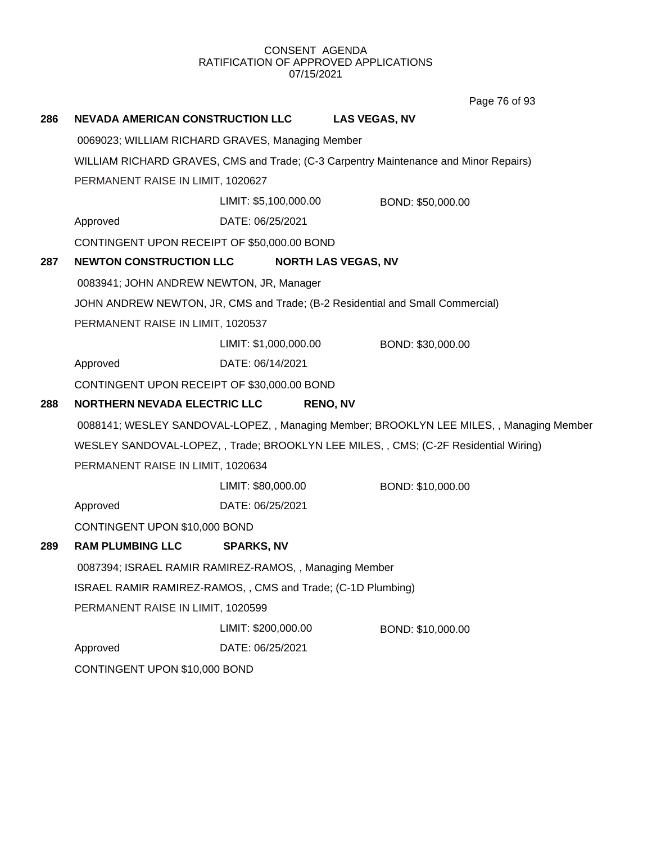Page 76 of 93

| 286 | NEVADA AMERICAN CONSTRUCTION LLC                            |                       |                            | <b>LAS VEGAS, NV</b>                                                                     |  |
|-----|-------------------------------------------------------------|-----------------------|----------------------------|------------------------------------------------------------------------------------------|--|
|     | 0069023; WILLIAM RICHARD GRAVES, Managing Member            |                       |                            |                                                                                          |  |
|     |                                                             |                       |                            | WILLIAM RICHARD GRAVES, CMS and Trade; (C-3 Carpentry Maintenance and Minor Repairs)     |  |
|     | PERMANENT RAISE IN LIMIT, 1020627                           |                       |                            |                                                                                          |  |
|     |                                                             | LIMIT: \$5,100,000.00 |                            | BOND: \$50,000.00                                                                        |  |
|     | Approved                                                    | DATE: 06/25/2021      |                            |                                                                                          |  |
|     | CONTINGENT UPON RECEIPT OF \$50,000.00 BOND                 |                       |                            |                                                                                          |  |
| 287 | <b>NEWTON CONSTRUCTION LLC</b>                              |                       | <b>NORTH LAS VEGAS, NV</b> |                                                                                          |  |
|     | 0083941; JOHN ANDREW NEWTON, JR, Manager                    |                       |                            |                                                                                          |  |
|     |                                                             |                       |                            | JOHN ANDREW NEWTON, JR, CMS and Trade; (B-2 Residential and Small Commercial)            |  |
|     | PERMANENT RAISE IN LIMIT, 1020537                           |                       |                            |                                                                                          |  |
|     |                                                             | LIMIT: \$1,000,000.00 |                            | BOND: \$30,000.00                                                                        |  |
|     | Approved                                                    | DATE: 06/14/2021      |                            |                                                                                          |  |
|     | CONTINGENT UPON RECEIPT OF \$30,000.00 BOND                 |                       |                            |                                                                                          |  |
| 288 | <b>NORTHERN NEVADA ELECTRIC LLC</b>                         |                       | <b>RENO, NV</b>            |                                                                                          |  |
|     |                                                             |                       |                            | 0088141; WESLEY SANDOVAL-LOPEZ, , Managing Member; BROOKLYN LEE MILES, , Managing Member |  |
|     |                                                             |                       |                            | WESLEY SANDOVAL-LOPEZ, , Trade; BROOKLYN LEE MILES, , CMS; (C-2F Residential Wiring)     |  |
|     | PERMANENT RAISE IN LIMIT, 1020634                           |                       |                            |                                                                                          |  |
|     |                                                             | LIMIT: \$80,000.00    |                            | BOND: \$10,000.00                                                                        |  |
|     | Approved                                                    | DATE: 06/25/2021      |                            |                                                                                          |  |
|     | CONTINGENT UPON \$10,000 BOND                               |                       |                            |                                                                                          |  |
| 289 | <b>RAM PLUMBING LLC</b>                                     | <b>SPARKS, NV</b>     |                            |                                                                                          |  |
|     | 0087394; ISRAEL RAMIR RAMIREZ-RAMOS, , Managing Member      |                       |                            |                                                                                          |  |
|     | ISRAEL RAMIR RAMIREZ-RAMOS,, CMS and Trade; (C-1D Plumbing) |                       |                            |                                                                                          |  |
|     | PERMANENT RAISE IN LIMIT, 1020599                           |                       |                            |                                                                                          |  |
|     |                                                             | LIMIT: \$200,000.00   |                            | BOND: \$10,000.00                                                                        |  |
|     | Approved                                                    | DATE: 06/25/2021      |                            |                                                                                          |  |
|     | CONTINGENT UPON \$10,000 BOND                               |                       |                            |                                                                                          |  |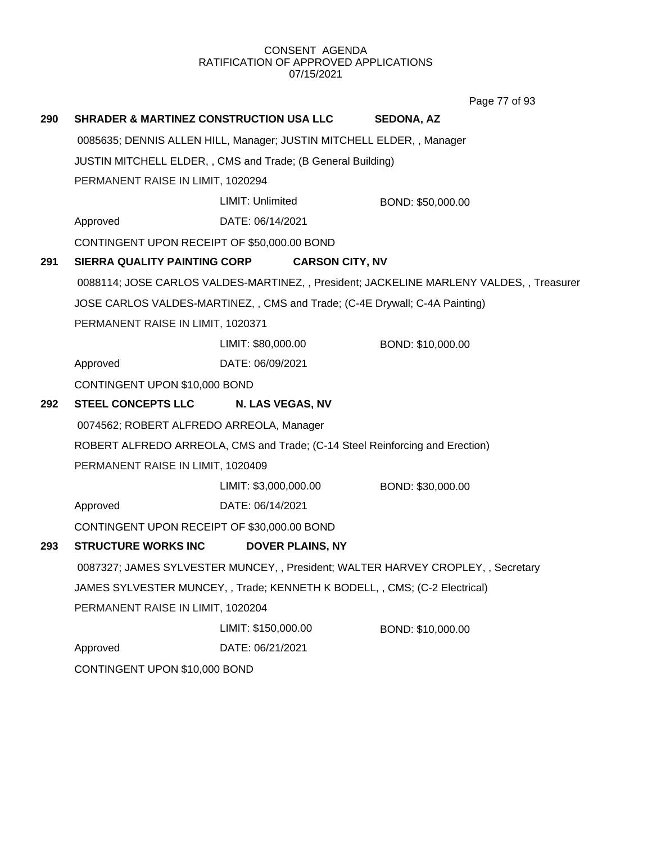Page 77 of 93

| 290 | <b>SHRADER &amp; MARTINEZ CONSTRUCTION USA LLC</b>                               |                                                                              | <b>SEDONA, AZ</b>                                                                        |  |
|-----|----------------------------------------------------------------------------------|------------------------------------------------------------------------------|------------------------------------------------------------------------------------------|--|
|     |                                                                                  | 0085635; DENNIS ALLEN HILL, Manager; JUSTIN MITCHELL ELDER, , Manager        |                                                                                          |  |
|     | JUSTIN MITCHELL ELDER, , CMS and Trade; (B General Building)                     |                                                                              |                                                                                          |  |
|     | PERMANENT RAISE IN LIMIT, 1020294                                                |                                                                              |                                                                                          |  |
|     |                                                                                  | LIMIT: Unlimited                                                             | BOND: \$50,000.00                                                                        |  |
|     | Approved                                                                         | DATE: 06/14/2021                                                             |                                                                                          |  |
|     | CONTINGENT UPON RECEIPT OF \$50,000.00 BOND                                      |                                                                              |                                                                                          |  |
| 291 | SIERRA QUALITY PAINTING CORP                                                     | <b>CARSON CITY, NV</b>                                                       |                                                                                          |  |
|     |                                                                                  |                                                                              | 0088114; JOSE CARLOS VALDES-MARTINEZ, , President; JACKELINE MARLENY VALDES, , Treasurer |  |
|     |                                                                                  | JOSE CARLOS VALDES-MARTINEZ, , CMS and Trade; (C-4E Drywall; C-4A Painting)  |                                                                                          |  |
|     | PERMANENT RAISE IN LIMIT, 1020371                                                |                                                                              |                                                                                          |  |
|     |                                                                                  | LIMIT: \$80,000.00                                                           | BOND: \$10,000.00                                                                        |  |
|     | Approved                                                                         | DATE: 06/09/2021                                                             |                                                                                          |  |
|     | CONTINGENT UPON \$10,000 BOND                                                    |                                                                              |                                                                                          |  |
| 292 | <b>STEEL CONCEPTS LLC</b>                                                        | N. LAS VEGAS, NV                                                             |                                                                                          |  |
|     | 0074562; ROBERT ALFREDO ARREOLA, Manager                                         |                                                                              |                                                                                          |  |
|     |                                                                                  | ROBERT ALFREDO ARREOLA, CMS and Trade; (C-14 Steel Reinforcing and Erection) |                                                                                          |  |
|     | PERMANENT RAISE IN LIMIT, 1020409                                                |                                                                              |                                                                                          |  |
|     |                                                                                  | LIMIT: \$3,000,000.00                                                        | BOND: \$30,000.00                                                                        |  |
|     | Approved                                                                         | DATE: 06/14/2021                                                             |                                                                                          |  |
|     | CONTINGENT UPON RECEIPT OF \$30,000.00 BOND                                      |                                                                              |                                                                                          |  |
| 293 | <b>STRUCTURE WORKS INC</b>                                                       | <b>DOVER PLAINS, NY</b>                                                      |                                                                                          |  |
|     | 0087327; JAMES SYLVESTER MUNCEY, , President; WALTER HARVEY CROPLEY, , Secretary |                                                                              |                                                                                          |  |
|     |                                                                                  | JAMES SYLVESTER MUNCEY, , Trade; KENNETH K BODELL, , CMS; (C-2 Electrical)   |                                                                                          |  |
|     | PERMANENT RAISE IN LIMIT, 1020204                                                |                                                                              |                                                                                          |  |
|     |                                                                                  | LIMIT: \$150,000.00                                                          | BOND: \$10,000.00                                                                        |  |
|     | Approved                                                                         | DATE: 06/21/2021                                                             |                                                                                          |  |
|     | CONTINGENT UPON \$10,000 BOND                                                    |                                                                              |                                                                                          |  |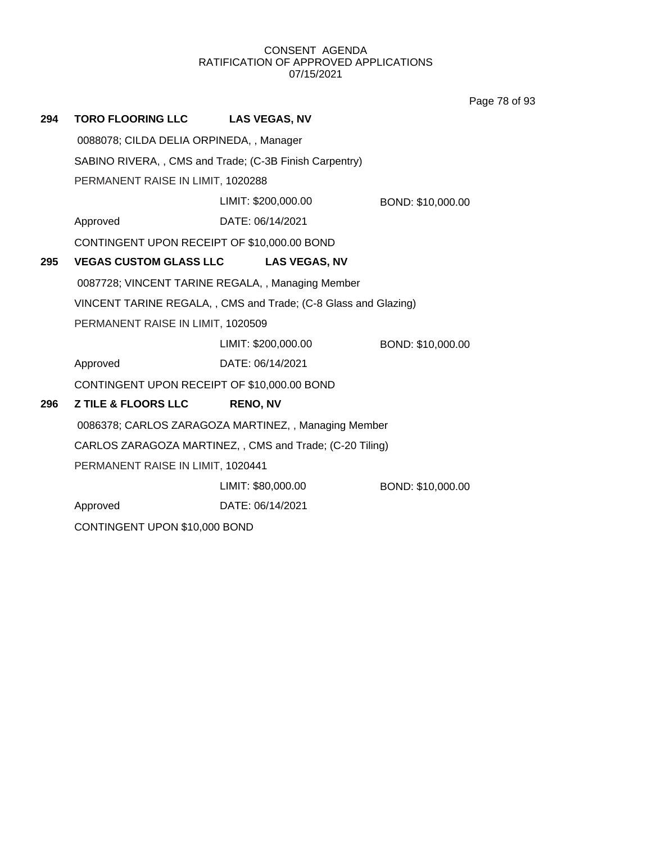Page 78 of 93

| 294 | <b>TORO FLOORING LLC</b>                    | <b>LAS VEGAS, NV</b>                                            |                   |
|-----|---------------------------------------------|-----------------------------------------------------------------|-------------------|
|     | 0088078; CILDA DELIA ORPINEDA,, Manager     |                                                                 |                   |
|     |                                             | SABINO RIVERA,, CMS and Trade; (C-3B Finish Carpentry)          |                   |
|     | PERMANENT RAISE IN LIMIT, 1020288           |                                                                 |                   |
|     |                                             | LIMIT: \$200,000.00                                             | BOND: \$10,000.00 |
|     | Approved                                    | DATE: 06/14/2021                                                |                   |
|     | CONTINGENT UPON RECEIPT OF \$10,000.00 BOND |                                                                 |                   |
| 295 | <b>VEGAS CUSTOM GLASS LLC</b>               | <b>LAS VEGAS, NV</b>                                            |                   |
|     |                                             | 0087728; VINCENT TARINE REGALA, , Managing Member               |                   |
|     |                                             | VINCENT TARINE REGALA, , CMS and Trade; (C-8 Glass and Glazing) |                   |
|     | PERMANENT RAISE IN LIMIT, 1020509           |                                                                 |                   |
|     |                                             | LIMIT: \$200,000.00                                             | BOND: \$10,000.00 |
|     | Approved                                    | DATE: 06/14/2021                                                |                   |
|     | CONTINGENT UPON RECEIPT OF \$10,000.00 BOND |                                                                 |                   |
| 296 | <b>Z TILE &amp; FLOORS LLC</b>              | <b>RENO, NV</b>                                                 |                   |
|     |                                             | 0086378; CARLOS ZARAGOZA MARTINEZ, , Managing Member            |                   |
|     |                                             | CARLOS ZARAGOZA MARTINEZ, , CMS and Trade; (C-20 Tiling)        |                   |
|     | PERMANENT RAISE IN LIMIT, 1020441           |                                                                 |                   |
|     |                                             | LIMIT: \$80,000.00                                              | BOND: \$10,000.00 |
|     | Approved                                    | DATE: 06/14/2021                                                |                   |
|     | CONTINGENT UPON \$10,000 BOND               |                                                                 |                   |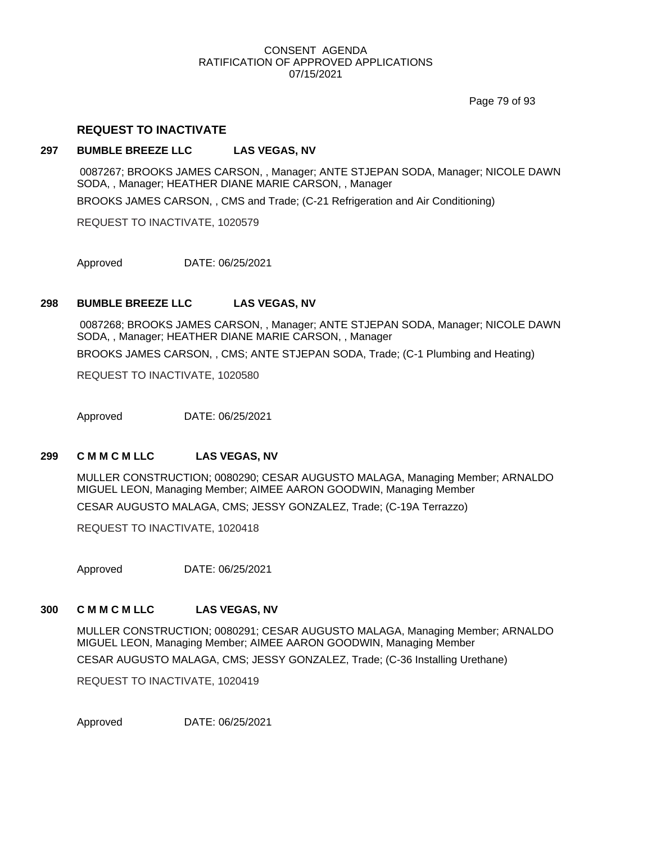Page 79 of 93

## **REQUEST TO INACTIVATE**

## **297 BUMBLE BREEZE LLC LAS VEGAS, NV**

0087267; BROOKS JAMES CARSON, , Manager; ANTE STJEPAN SODA, Manager; NICOLE DAWN SODA, , Manager; HEATHER DIANE MARIE CARSON, , Manager

BROOKS JAMES CARSON, , CMS and Trade; (C-21 Refrigeration and Air Conditioning)

REQUEST TO INACTIVATE, 1020579

Approved DATE: 06/25/2021

## **298 BUMBLE BREEZE LLC LAS VEGAS, NV**

0087268; BROOKS JAMES CARSON, , Manager; ANTE STJEPAN SODA, Manager; NICOLE DAWN SODA, , Manager; HEATHER DIANE MARIE CARSON, , Manager BROOKS JAMES CARSON, , CMS; ANTE STJEPAN SODA, Trade; (C-1 Plumbing and Heating)

REQUEST TO INACTIVATE, 1020580

Approved DATE: 06/25/2021

## **299 C M M C M LLC LAS VEGAS, NV**

MULLER CONSTRUCTION; 0080290; CESAR AUGUSTO MALAGA, Managing Member; ARNALDO MIGUEL LEON, Managing Member; AIMEE AARON GOODWIN, Managing Member CESAR AUGUSTO MALAGA, CMS; JESSY GONZALEZ, Trade; (C-19A Terrazzo)

REQUEST TO INACTIVATE, 1020418

Approved DATE: 06/25/2021

## **300 C M M C M LLC LAS VEGAS, NV**

MULLER CONSTRUCTION; 0080291; CESAR AUGUSTO MALAGA, Managing Member; ARNALDO MIGUEL LEON, Managing Member; AIMEE AARON GOODWIN, Managing Member

CESAR AUGUSTO MALAGA, CMS; JESSY GONZALEZ, Trade; (C-36 Installing Urethane)

REQUEST TO INACTIVATE, 1020419

Approved DATE: 06/25/2021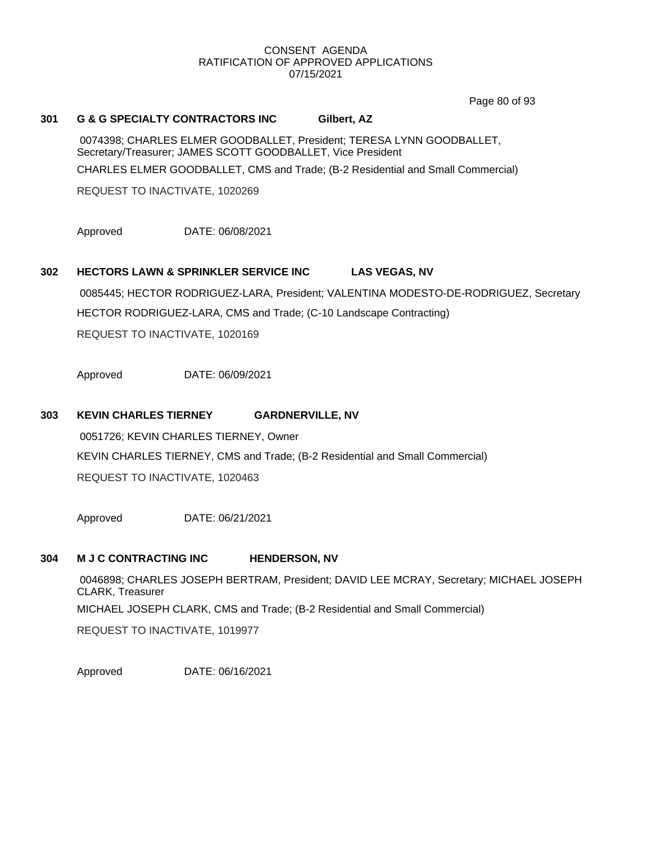Page 80 of 93

# **301 G & G SPECIALTY CONTRACTORS INC Gilbert, AZ** 0074398; CHARLES ELMER GOODBALLET, President; TERESA LYNN GOODBALLET, Secretary/Treasurer; JAMES SCOTT GOODBALLET, Vice President CHARLES ELMER GOODBALLET, CMS and Trade; (B-2 Residential and Small Commercial) REQUEST TO INACTIVATE, 1020269 Approved DATE: 06/08/2021 **302 HECTORS LAWN & SPRINKLER SERVICE INC LAS VEGAS, NV** 0085445; HECTOR RODRIGUEZ-LARA, President; VALENTINA MODESTO-DE-RODRIGUEZ, Secretary HECTOR RODRIGUEZ-LARA, CMS and Trade; (C-10 Landscape Contracting) REQUEST TO INACTIVATE, 1020169

Approved DATE: 06/09/2021

## **303 KEVIN CHARLES TIERNEY GARDNERVILLE, NV**

0051726; KEVIN CHARLES TIERNEY, Owner KEVIN CHARLES TIERNEY, CMS and Trade; (B-2 Residential and Small Commercial) REQUEST TO INACTIVATE, 1020463

Approved DATE: 06/21/2021

## **304 M J C CONTRACTING INC HENDERSON, NV**

0046898; CHARLES JOSEPH BERTRAM, President; DAVID LEE MCRAY, Secretary; MICHAEL JOSEPH CLARK, Treasurer MICHAEL JOSEPH CLARK, CMS and Trade; (B-2 Residential and Small Commercial)

REQUEST TO INACTIVATE, 1019977

Approved DATE: 06/16/2021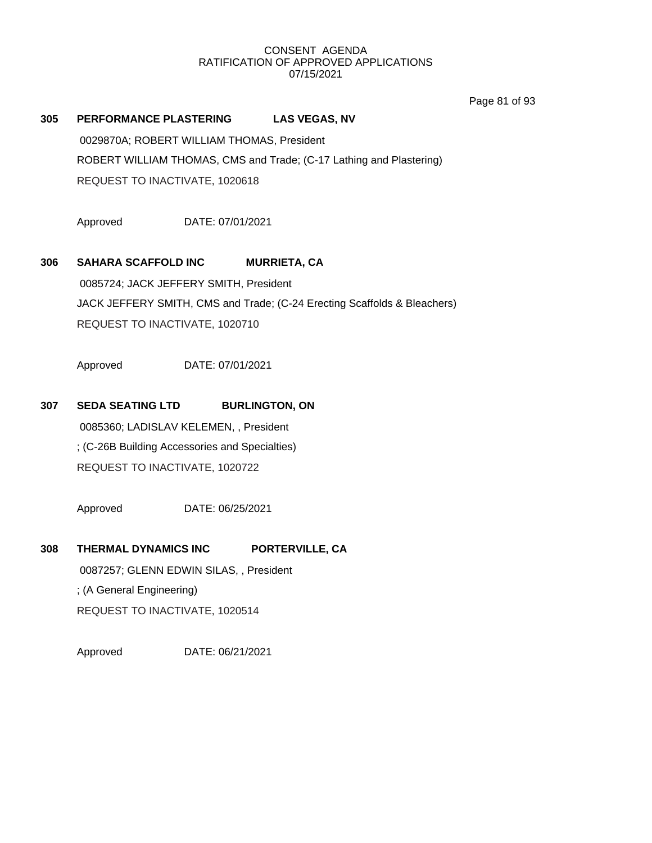Page 81 of 93

## **305 PERFORMANCE PLASTERING LAS VEGAS, NV**

0029870A; ROBERT WILLIAM THOMAS, President ROBERT WILLIAM THOMAS, CMS and Trade; (C-17 Lathing and Plastering) REQUEST TO INACTIVATE, 1020618

Approved DATE: 07/01/2021

## **306 SAHARA SCAFFOLD INC MURRIETA, CA**

0085724; JACK JEFFERY SMITH, President JACK JEFFERY SMITH, CMS and Trade; (C-24 Erecting Scaffolds & Bleachers) REQUEST TO INACTIVATE, 1020710

Approved DATE: 07/01/2021

## **307 SEDA SEATING LTD BURLINGTON, ON**

0085360; LADISLAV KELEMEN, , President ; (C-26B Building Accessories and Specialties) REQUEST TO INACTIVATE, 1020722

Approved DATE: 06/25/2021

**308 THERMAL DYNAMICS INC PORTERVILLE, CA**

0087257; GLENN EDWIN SILAS, , President ; (A General Engineering) REQUEST TO INACTIVATE, 1020514

Approved DATE: 06/21/2021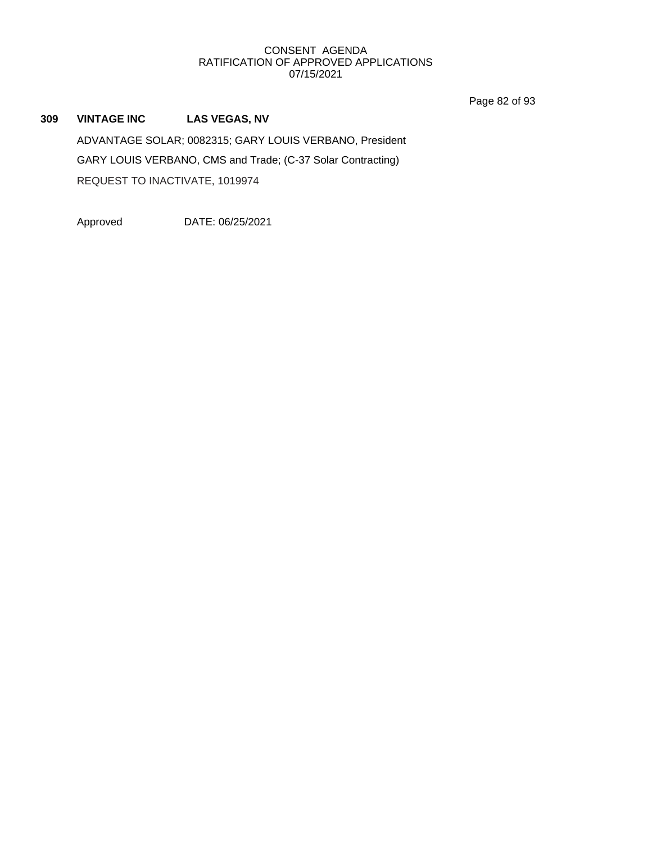Page 82 of 93

**309 VINTAGE INC LAS VEGAS, NV** ADVANTAGE SOLAR; 0082315; GARY LOUIS VERBANO, President GARY LOUIS VERBANO, CMS and Trade; (C-37 Solar Contracting) REQUEST TO INACTIVATE, 1019974

Approved DATE: 06/25/2021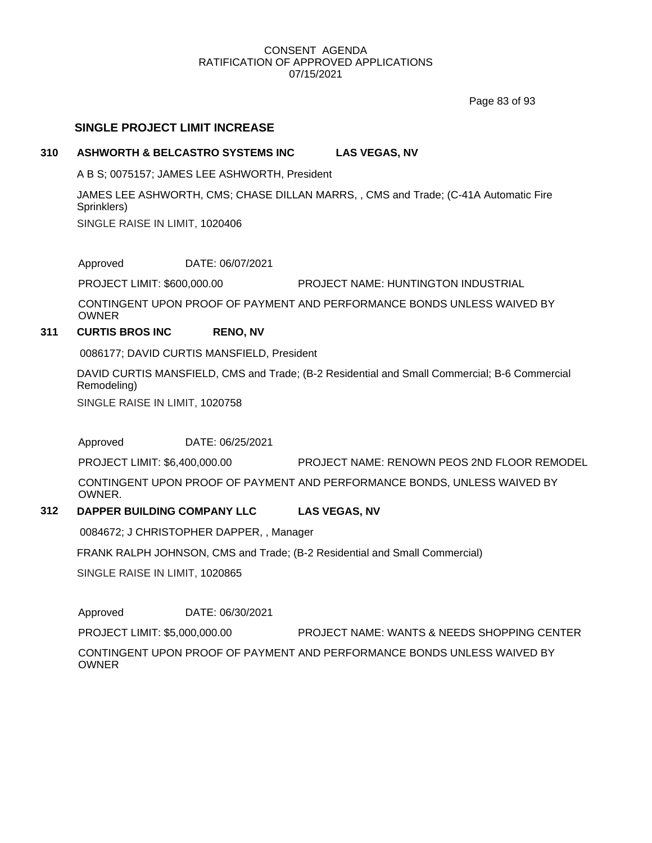Page 83 of 93

## **SINGLE PROJECT LIMIT INCREASE**

## **310 ASHWORTH & BELCASTRO SYSTEMS INC LAS VEGAS, NV**

A B S; 0075157; JAMES LEE ASHWORTH, President

JAMES LEE ASHWORTH, CMS; CHASE DILLAN MARRS, , CMS and Trade; (C-41A Automatic Fire Sprinklers)

SINGLE RAISE IN LIMIT, 1020406

Approved DATE: 06/07/2021

PROJECT LIMIT: \$600,000.00 PROJECT NAME: HUNTINGTON INDUSTRIAL

CONTINGENT UPON PROOF OF PAYMENT AND PERFORMANCE BONDS UNLESS WAIVED BY OWNER

## **311 CURTIS BROS INC RENO, NV**

0086177; DAVID CURTIS MANSFIELD, President

DAVID CURTIS MANSFIELD, CMS and Trade; (B-2 Residential and Small Commercial; B-6 Commercial Remodeling) SINGLE RAISE IN LIMIT, 1020758

Approved DATE: 06/25/2021

PROJECT LIMIT: \$6,400,000.00 PROJECT NAME: RENOWN PEOS 2ND FLOOR REMODEL

CONTINGENT UPON PROOF OF PAYMENT AND PERFORMANCE BONDS, UNLESS WAIVED BY **OWNER** 

## **312 DAPPER BUILDING COMPANY LLC LAS VEGAS, NV**

0084672; J CHRISTOPHER DAPPER, , Manager

FRANK RALPH JOHNSON, CMS and Trade; (B-2 Residential and Small Commercial)

SINGLE RAISE IN LIMIT, 1020865

Approved DATE: 06/30/2021

PROJECT LIMIT: \$5,000,000.00 PROJECT NAME: WANTS & NEEDS SHOPPING CENTER

CONTINGENT UPON PROOF OF PAYMENT AND PERFORMANCE BONDS UNLESS WAIVED BY OWNER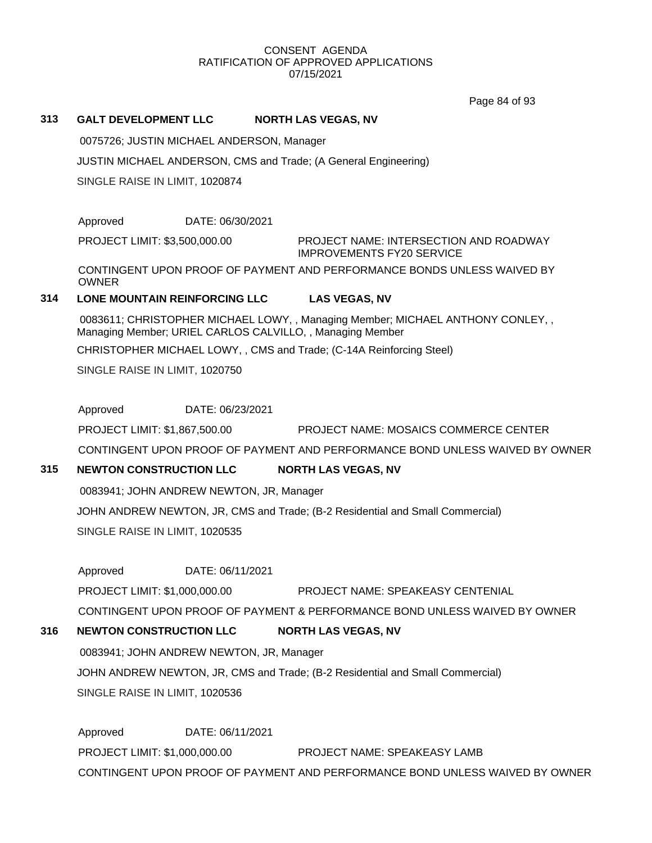Page 84 of 93

## **313 GALT DEVELOPMENT LLC NORTH LAS VEGAS, NV**

0075726; JUSTIN MICHAEL ANDERSON, Manager

JUSTIN MICHAEL ANDERSON, CMS and Trade; (A General Engineering)

SINGLE RAISE IN LIMIT, 1020874

Approved DATE: 06/30/2021

PROJECT LIMIT: \$3,500,000.00

PROJECT NAME: INTERSECTION AND ROADWAY IMPROVEMENTS FY20 SERVICE

CONTINGENT UPON PROOF OF PAYMENT AND PERFORMANCE BONDS UNLESS WAIVED BY **OWNER** 

**314 LONE MOUNTAIN REINFORCING LLC LAS VEGAS, NV**

0083611; CHRISTOPHER MICHAEL LOWY, , Managing Member; MICHAEL ANTHONY CONLEY, , Managing Member; URIEL CARLOS CALVILLO, , Managing Member

CHRISTOPHER MICHAEL LOWY, , CMS and Trade; (C-14A Reinforcing Steel)

SINGLE RAISE IN LIMIT, 1020750

Approved DATE: 06/23/2021

PROJECT LIMIT: \$1,867,500.00 PROJECT NAME: MOSAICS COMMERCE CENTER

CONTINGENT UPON PROOF OF PAYMENT AND PERFORMANCE BOND UNLESS WAIVED BY OWNER

## **315 NEWTON CONSTRUCTION LLC NORTH LAS VEGAS, NV**

0083941; JOHN ANDREW NEWTON, JR, Manager

JOHN ANDREW NEWTON, JR, CMS and Trade; (B-2 Residential and Small Commercial)

SINGLE RAISE IN LIMIT, 1020535

Approved DATE: 06/11/2021

PROJECT LIMIT: \$1,000,000.00 PROJECT NAME: SPEAKEASY CENTENIAL

CONTINGENT UPON PROOF OF PAYMENT & PERFORMANCE BOND UNLESS WAIVED BY OWNER

## **316 NEWTON CONSTRUCTION LLC NORTH LAS VEGAS, NV**

0083941; JOHN ANDREW NEWTON, JR, Manager JOHN ANDREW NEWTON, JR, CMS and Trade; (B-2 Residential and Small Commercial) SINGLE RAISE IN LIMIT, 1020536

Approved DATE: 06/11/2021 PROJECT LIMIT: \$1,000,000.00 PROJECT NAME: SPEAKEASY LAMB CONTINGENT UPON PROOF OF PAYMENT AND PERFORMANCE BOND UNLESS WAIVED BY OWNER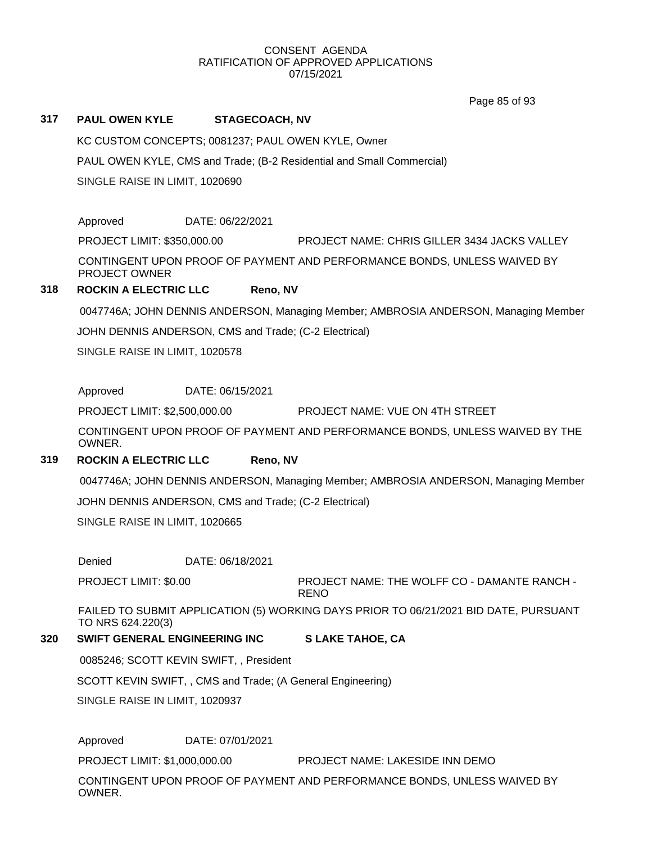Page 85 of 93

## **317 PAUL OWEN KYLE STAGECOACH, NV**

KC CUSTOM CONCEPTS; 0081237; PAUL OWEN KYLE, Owner

PAUL OWEN KYLE, CMS and Trade; (B-2 Residential and Small Commercial)

SINGLE RAISE IN LIMIT, 1020690

Approved DATE: 06/22/2021

PROJECT LIMIT: \$350,000.00 PROJECT NAME: CHRIS GILLER 3434 JACKS VALLEY

CONTINGENT UPON PROOF OF PAYMENT AND PERFORMANCE BONDS, UNLESS WAIVED BY PROJECT OWNER

## **318 ROCKIN A ELECTRIC LLC Reno, NV**

0047746A; JOHN DENNIS ANDERSON, Managing Member; AMBROSIA ANDERSON, Managing Member

JOHN DENNIS ANDERSON, CMS and Trade; (C-2 Electrical)

SINGLE RAISE IN LIMIT, 1020578

Approved DATE: 06/15/2021

PROJECT LIMIT: \$2,500,000.00 PROJECT NAME: VUE ON 4TH STREET

CONTINGENT UPON PROOF OF PAYMENT AND PERFORMANCE BONDS, UNLESS WAIVED BY THE OWNER.

## **319 ROCKIN A ELECTRIC LLC Reno, NV**

0047746A; JOHN DENNIS ANDERSON, Managing Member; AMBROSIA ANDERSON, Managing Member JOHN DENNIS ANDERSON, CMS and Trade; (C-2 Electrical)

SINGLE RAISE IN LIMIT, 1020665

Denied DATE: 06/18/2021

PROJECT LIMIT: \$0.00

PROJECT NAME: THE WOLFF CO - DAMANTE RANCH - RENO

FAILED TO SUBMIT APPLICATION (5) WORKING DAYS PRIOR TO 06/21/2021 BID DATE, PURSUANT TO NRS 624.220(3)

## **320 SWIFT GENERAL ENGINEERING INC S LAKE TAHOE, CA**

0085246; SCOTT KEVIN SWIFT, , President

SCOTT KEVIN SWIFT, , CMS and Trade; (A General Engineering)

SINGLE RAISE IN LIMIT, 1020937

Approved DATE: 07/01/2021

PROJECT LIMIT: \$1,000,000.00 PROJECT NAME: LAKESIDE INN DEMO

CONTINGENT UPON PROOF OF PAYMENT AND PERFORMANCE BONDS, UNLESS WAIVED BY OWNER.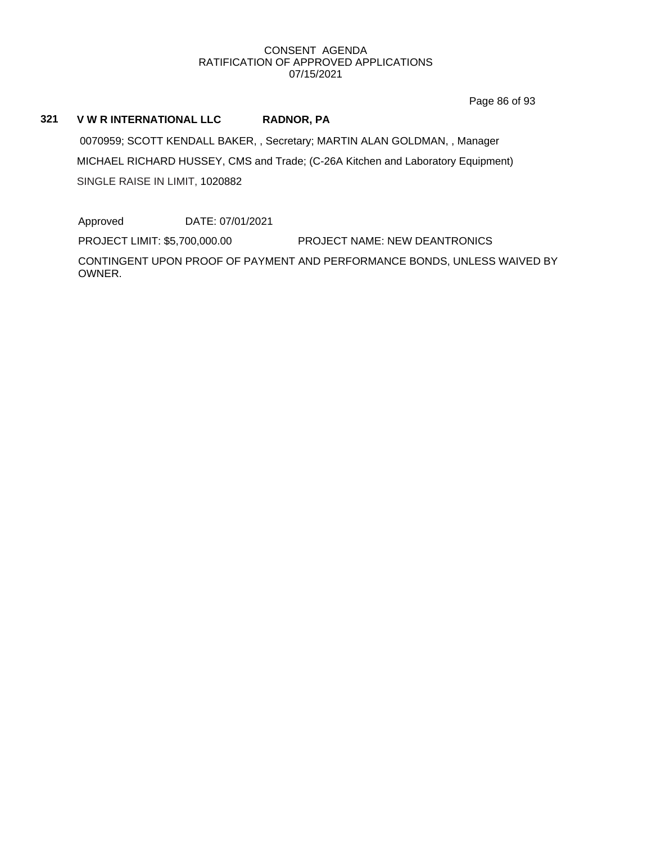Page 86 of 93

## **321 V W R INTERNATIONAL LLC RADNOR, PA**

0070959; SCOTT KENDALL BAKER, , Secretary; MARTIN ALAN GOLDMAN, , Manager MICHAEL RICHARD HUSSEY, CMS and Trade; (C-26A Kitchen and Laboratory Equipment) SINGLE RAISE IN LIMIT, 1020882

Approved DATE: 07/01/2021

PROJECT LIMIT: \$5,700,000.00 PROJECT NAME: NEW DEANTRONICS

CONTINGENT UPON PROOF OF PAYMENT AND PERFORMANCE BONDS, UNLESS WAIVED BY OWNER.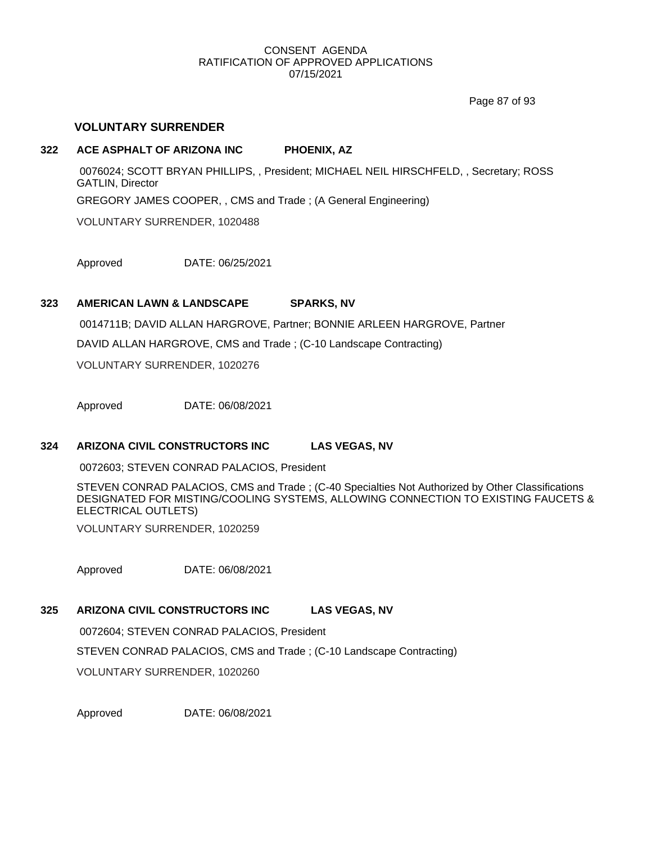Page 87 of 93

## **VOLUNTARY SURRENDER**

## **322 ACE ASPHALT OF ARIZONA INC PHOENIX, AZ**

0076024; SCOTT BRYAN PHILLIPS, , President; MICHAEL NEIL HIRSCHFELD, , Secretary; ROSS GATLIN, Director GREGORY JAMES COOPER, , CMS and Trade ; (A General Engineering) VOLUNTARY SURRENDER, 1020488

Approved DATE: 06/25/2021

## **323 AMERICAN LAWN & LANDSCAPE SPARKS, NV**

0014711B; DAVID ALLAN HARGROVE, Partner; BONNIE ARLEEN HARGROVE, Partner DAVID ALLAN HARGROVE, CMS and Trade ; (C-10 Landscape Contracting) VOLUNTARY SURRENDER, 1020276

Approved DATE: 06/08/2021

## **324 ARIZONA CIVIL CONSTRUCTORS INC LAS VEGAS, NV**

0072603; STEVEN CONRAD PALACIOS, President

STEVEN CONRAD PALACIOS, CMS and Trade ; (C-40 Specialties Not Authorized by Other Classifications DESIGNATED FOR MISTING/COOLING SYSTEMS, ALLOWING CONNECTION TO EXISTING FAUCETS & ELECTRICAL OUTLETS)

VOLUNTARY SURRENDER, 1020259

Approved DATE: 06/08/2021

## **325 ARIZONA CIVIL CONSTRUCTORS INC LAS VEGAS, NV**

0072604; STEVEN CONRAD PALACIOS, President

STEVEN CONRAD PALACIOS, CMS and Trade ; (C-10 Landscape Contracting)

VOLUNTARY SURRENDER, 1020260

Approved DATE: 06/08/2021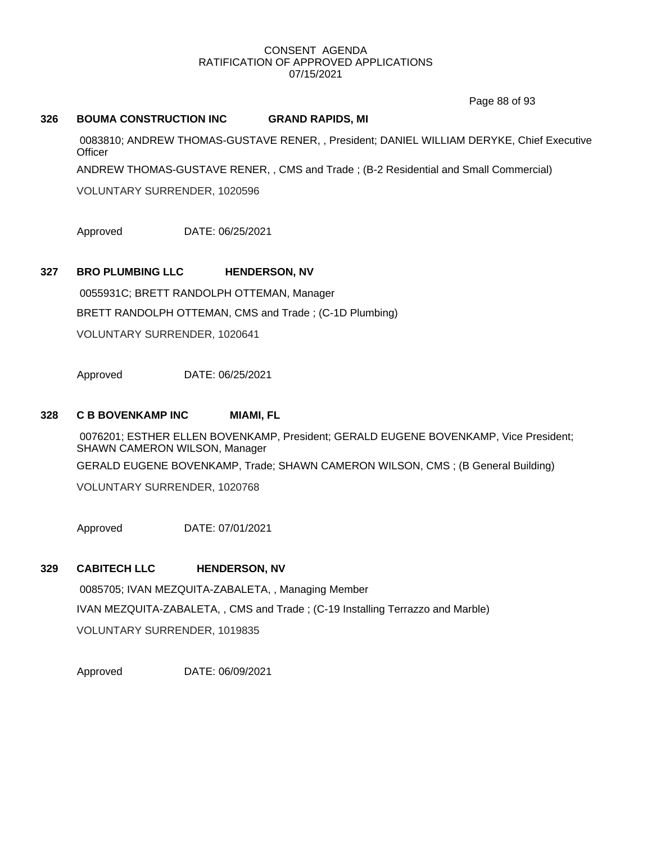Page 88 of 93

## **326 BOUMA CONSTRUCTION INC GRAND RAPIDS, MI**

0083810; ANDREW THOMAS-GUSTAVE RENER, , President; DANIEL WILLIAM DERYKE, Chief Executive **Officer** 

ANDREW THOMAS-GUSTAVE RENER, , CMS and Trade ; (B-2 Residential and Small Commercial)

VOLUNTARY SURRENDER, 1020596

Approved DATE: 06/25/2021

## **327 BRO PLUMBING LLC HENDERSON, NV**

0055931C; BRETT RANDOLPH OTTEMAN, Manager BRETT RANDOLPH OTTEMAN, CMS and Trade ; (C-1D Plumbing) VOLUNTARY SURRENDER, 1020641

Approved DATE: 06/25/2021

## **328 C B BOVENKAMP INC MIAMI, FL**

0076201; ESTHER ELLEN BOVENKAMP, President; GERALD EUGENE BOVENKAMP, Vice President; SHAWN CAMERON WILSON, Manager GERALD EUGENE BOVENKAMP, Trade; SHAWN CAMERON WILSON, CMS ; (B General Building)

VOLUNTARY SURRENDER, 1020768

Approved DATE: 07/01/2021

## **329 CABITECH LLC HENDERSON, NV**

0085705; IVAN MEZQUITA-ZABALETA, , Managing Member IVAN MEZQUITA-ZABALETA, , CMS and Trade ; (C-19 Installing Terrazzo and Marble) VOLUNTARY SURRENDER, 1019835

Approved DATE: 06/09/2021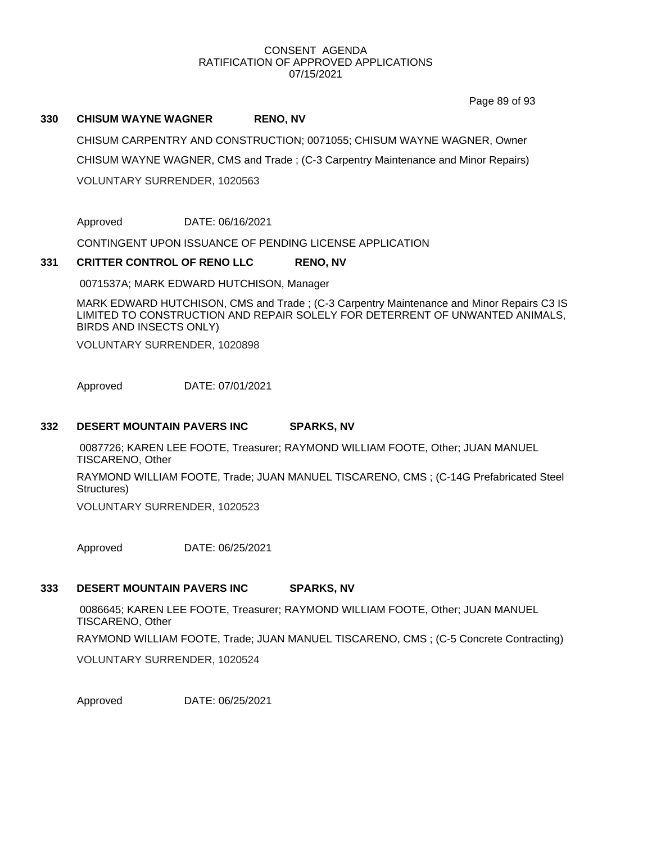Page 89 of 93

## **330 CHISUM WAYNE WAGNER RENO, NV**

CHISUM CARPENTRY AND CONSTRUCTION; 0071055; CHISUM WAYNE WAGNER, Owner CHISUM WAYNE WAGNER, CMS and Trade ; (C-3 Carpentry Maintenance and Minor Repairs) VOLUNTARY SURRENDER, 1020563

Approved DATE: 06/16/2021

CONTINGENT UPON ISSUANCE OF PENDING LICENSE APPLICATION

## **331 CRITTER CONTROL OF RENO LLC RENO, NV**

0071537A; MARK EDWARD HUTCHISON, Manager

MARK EDWARD HUTCHISON, CMS and Trade ; (C-3 Carpentry Maintenance and Minor Repairs C3 IS LIMITED TO CONSTRUCTION AND REPAIR SOLELY FOR DETERRENT OF UNWANTED ANIMALS, BIRDS AND INSECTS ONLY)

VOLUNTARY SURRENDER, 1020898

Approved DATE: 07/01/2021

## **332 DESERT MOUNTAIN PAVERS INC SPARKS, NV**

0087726; KAREN LEE FOOTE, Treasurer; RAYMOND WILLIAM FOOTE, Other; JUAN MANUEL TISCARENO, Other RAYMOND WILLIAM FOOTE, Trade; JUAN MANUEL TISCARENO, CMS ; (C-14G Prefabricated Steel Structures)

VOLUNTARY SURRENDER, 1020523

Approved DATE: 06/25/2021

## **333 DESERT MOUNTAIN PAVERS INC SPARKS, NV**

0086645; KAREN LEE FOOTE, Treasurer; RAYMOND WILLIAM FOOTE, Other; JUAN MANUEL TISCARENO, Other RAYMOND WILLIAM FOOTE, Trade; JUAN MANUEL TISCARENO, CMS ; (C-5 Concrete Contracting) VOLUNTARY SURRENDER, 1020524

Approved DATE: 06/25/2021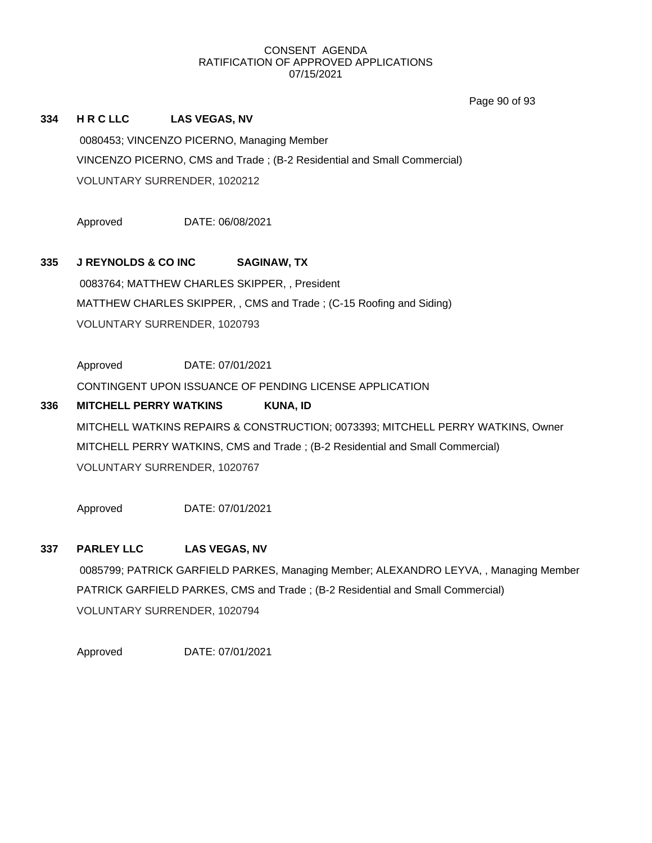Page 90 of 93

## **334 H R C LLC LAS VEGAS, NV**

0080453; VINCENZO PICERNO, Managing Member VINCENZO PICERNO, CMS and Trade ; (B-2 Residential and Small Commercial) VOLUNTARY SURRENDER, 1020212

Approved DATE: 06/08/2021

## **335 J REYNOLDS & CO INC SAGINAW, TX**

0083764; MATTHEW CHARLES SKIPPER, , President MATTHEW CHARLES SKIPPER, , CMS and Trade ; (C-15 Roofing and Siding) VOLUNTARY SURRENDER, 1020793

Approved DATE: 07/01/2021

CONTINGENT UPON ISSUANCE OF PENDING LICENSE APPLICATION

## **336 MITCHELL PERRY WATKINS KUNA, ID** MITCHELL WATKINS REPAIRS & CONSTRUCTION; 0073393; MITCHELL PERRY WATKINS, Owner MITCHELL PERRY WATKINS, CMS and Trade ; (B-2 Residential and Small Commercial) VOLUNTARY SURRENDER, 1020767

Approved DATE: 07/01/2021

## **337 PARLEY LLC LAS VEGAS, NV**

0085799; PATRICK GARFIELD PARKES, Managing Member; ALEXANDRO LEYVA, , Managing Member PATRICK GARFIELD PARKES, CMS and Trade ; (B-2 Residential and Small Commercial) VOLUNTARY SURRENDER, 1020794

Approved DATE: 07/01/2021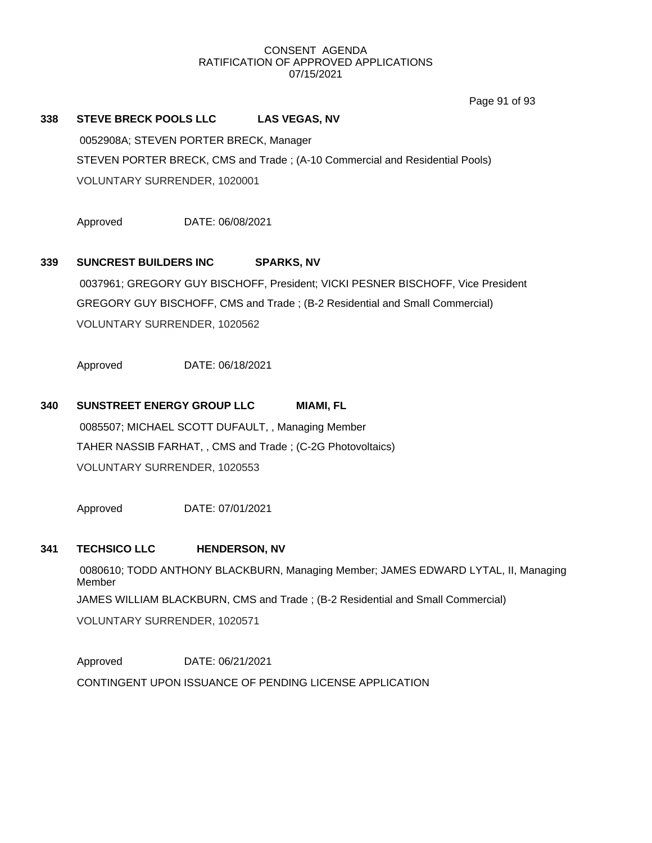Page 91 of 93

## **338 STEVE BRECK POOLS LLC LAS VEGAS, NV**

0052908A; STEVEN PORTER BRECK, Manager STEVEN PORTER BRECK, CMS and Trade ; (A-10 Commercial and Residential Pools) VOLUNTARY SURRENDER, 1020001

Approved DATE: 06/08/2021

## **339 SUNCREST BUILDERS INC SPARKS, NV**

0037961; GREGORY GUY BISCHOFF, President; VICKI PESNER BISCHOFF, Vice President GREGORY GUY BISCHOFF, CMS and Trade ; (B-2 Residential and Small Commercial) VOLUNTARY SURRENDER, 1020562

Approved DATE: 06/18/2021

## **340 SUNSTREET ENERGY GROUP LLC MIAMI, FL**

0085507; MICHAEL SCOTT DUFAULT, , Managing Member TAHER NASSIB FARHAT, , CMS and Trade ; (C-2G Photovoltaics) VOLUNTARY SURRENDER, 1020553

Approved DATE: 07/01/2021

## **341 TECHSICO LLC HENDERSON, NV**

0080610; TODD ANTHONY BLACKBURN, Managing Member; JAMES EDWARD LYTAL, II, Managing Member JAMES WILLIAM BLACKBURN, CMS and Trade ; (B-2 Residential and Small Commercial) VOLUNTARY SURRENDER, 1020571

Approved DATE: 06/21/2021 CONTINGENT UPON ISSUANCE OF PENDING LICENSE APPLICATION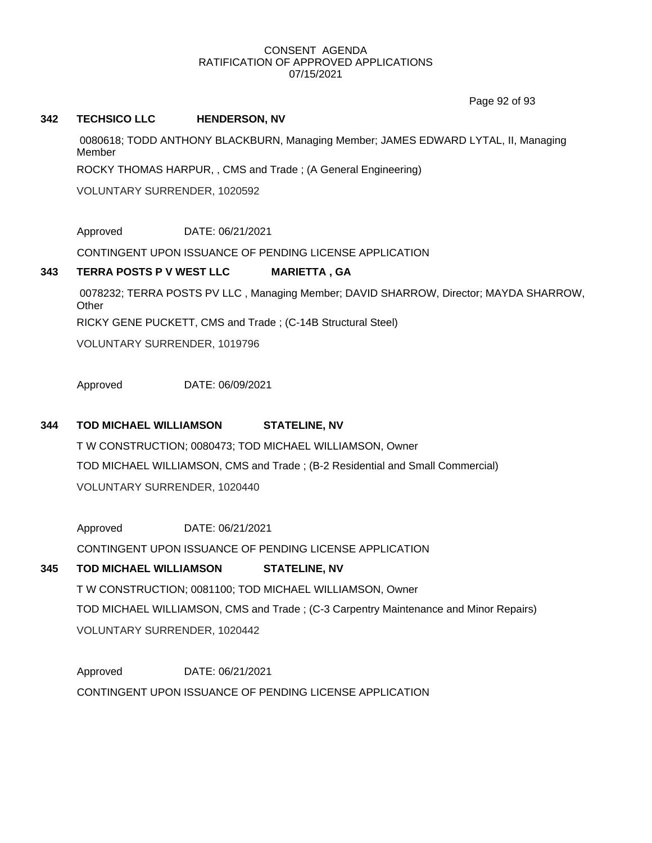Page 92 of 93

## **342 TECHSICO LLC HENDERSON, NV**

0080618; TODD ANTHONY BLACKBURN, Managing Member; JAMES EDWARD LYTAL, II, Managing Member

ROCKY THOMAS HARPUR, , CMS and Trade ; (A General Engineering)

VOLUNTARY SURRENDER, 1020592

Approved DATE: 06/21/2021

CONTINGENT UPON ISSUANCE OF PENDING LICENSE APPLICATION

## **343 TERRA POSTS P V WEST LLC MARIETTA , GA**

0078232; TERRA POSTS PV LLC , Managing Member; DAVID SHARROW, Director; MAYDA SHARROW, **Other** RICKY GENE PUCKETT, CMS and Trade ; (C-14B Structural Steel)

VOLUNTARY SURRENDER, 1019796

Approved DATE: 06/09/2021

## **344 TOD MICHAEL WILLIAMSON STATELINE, NV**

T W CONSTRUCTION; 0080473; TOD MICHAEL WILLIAMSON, Owner TOD MICHAEL WILLIAMSON, CMS and Trade ; (B-2 Residential and Small Commercial) VOLUNTARY SURRENDER, 1020440

Approved DATE: 06/21/2021

CONTINGENT UPON ISSUANCE OF PENDING LICENSE APPLICATION

## **345 TOD MICHAEL WILLIAMSON STATELINE, NV**

T W CONSTRUCTION; 0081100; TOD MICHAEL WILLIAMSON, Owner TOD MICHAEL WILLIAMSON, CMS and Trade ; (C-3 Carpentry Maintenance and Minor Repairs) VOLUNTARY SURRENDER, 1020442

Approved DATE: 06/21/2021 CONTINGENT UPON ISSUANCE OF PENDING LICENSE APPLICATION